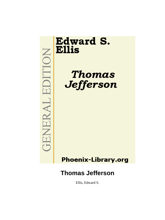# **Edward S. Ellis**

EDITION

**GENERAL** 

**Thomas** Jefferson

# **Phoenix-Library.org**

# **Thomas Jefferson**

Ellis, Edward S.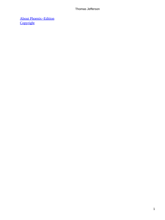[About Phoenix−Edition](#page-95-0) **[Copyright](#page-96-0)**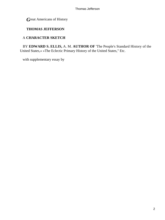*G*reat Americans of History

### **THOMAS JEFFERSON**

## A **CHARACTER SKETCH**

 BY **EDWARD S. ELLIS,** A. M. **AUTHOR OF** 'The People's Standard History of the United States,« »The Eclectic Primary History of the United States," Etc.

with supplementary essay by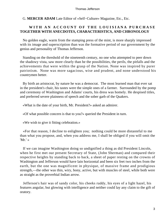G. **MERCER ADAM** Late Editor of «Self−Culture» Magazine, Etc., Etc.

### **WITH AN ACCOUNT OF THE LOUISIANA PURCHASE TOGETHER WITH ANECDOTES, CHARACTERISTICS, AND CHRONOLOGY**

 No golden eagle, warm from the stamping press of the mint, is more sharply impressed with its image and superscription than was the formative period of our government by the genius and personality of Thomas Jefferson.

 Standing on the threshold of the nineteenth century, no one who attempted to peer down the shadowy vista, saw more clearly than he the possibilities, the perils, the pitfalls and the achievements that were within the grasp of the Nation. None was inspired by purer patriotism. None was more sagacious, wise and prudent, and none understood his countrymen better.

 By birth an aristocrat, by nature he was a democrat. The most learned man that ever sat in the president's chair, his tastes were the simple ones of a farmer. Surrounded by the pomp and ceremony of Washington and Adams' courts, his dress was homely. He despised titles, and preferred severe plainness of speech and the sober garb of the Quakers.

«What is the date of your birth, Mr. President?» asked an admirer.

«Of what possible concern is that to you?» queried the President in turn.

«We wish to give it fitting celebration.»

 «For that reason, I decline to enlighten you; nothing could be more distasteful to me than what you propose, and, when you address me, I shall be obliged if you will omit the ' $Mr.'$  »

 If we can imagine Washington doing so undignified a thing as did President Lincoln, when he first met our present Secretary of State, (John Sherman) and compared their respective heights by standing back to back, a sheet of paper resting on the crowns of Washington and Jefferson would have lain horizontal and been six feet two inches from the earth, but the one was magnificent in physique, of massive frame and prodigious strength,—the other was thin, wiry, bony, active, but with muscles of steel, while both were as straight as the proverbial Indian arrow.

 Jefferson's hair was of sandy color, his cheeks ruddy, his eyes of a light hazel, his features angular, but glowing with intelligence and neither could lay any claim to the gift of oratory.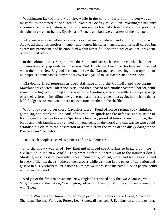Washington lacked literary ability, while in the hand of Jefferson, the pen was as masterful as the sword in the clutch of Saladin or Godfrey of Bouillon. Washington had only a common school education, while Jefferson was a classical scholar and could express his thoughts in excellent Italian, Spanish and French, and both were masters of their temper.

 Jefferson was an excellent violinist, a skilled mathematician and a profound scholar. Add to all these his spotless integrity and honor, his statesmanship, and his well curbed but aggressive patriotism, and he embodied within himself all the attributes of an ideal president of the United States.

 In the colonial times, Virginia was the South and Massachusetts the North. The other colonies were only appendages. The New York Dutchman dozed over his beer and pipe, and when the other New England settlements saw the Narragansetts bearing down upon them with upraised tomahawks, they ran for cover and yelled to Massachusetts to save them.

 Clayborne fired popguns at Lord Baltimore, and the Catholic and Protestant Marylanders enacted Toleration Acts, and then chased one another over the border, with some of the fugitives running all the way to the Carolinas, where the settlers were perspiring over their efforts in installing new governors and thrusting them out again, in the hope that a half−fledged statesman would turn up sometime or other in the shuffle.

 What a roystering set those Cavaliers were! Fond of horse racing, cock fighting, gambling and drinking, the soul of hospitality, quick to take offense, and quicker to forgive,—duellists as brave as Spartans, chivalric, proud of honor, their province, their blood and their families, they envied only one being in the world and that was he who could establish his claim to the possession of a strain from the veins of the dusky daughter of Powhatan —Pocahontas.

Could such people succeed as pioneers of the wilderness?

 Into the snowy wastes of New England plunged the Pilgrims to blaze a path for civilization in the New World. They were perfect pioneers down to the minutest detail. Sturdy, grimly resolute, painfully honest, industrious, patient, moral and seeing God's hand in every affliction, they smothered their groans while writhing in the pangs of starvation and gasped in husky whispers: "He doeth all things well; praise to his name!" Such people could not fail in their work.

 And yet of the first ten presidents, New England furnished only the two Adamses, while Virginia gave to the nation, Washington, Jefferson, Madison, Monroe and then tapered off with Tyler.

 In the War for the Union, the ten most prominent leaders were Grant, Sherman, Sheridan, Thomas, Farragut, Porter, Lee, Stonewall Jackson, J. E. Johnston and Longstreet.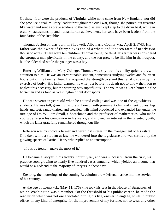Of these, four were the products of Virginia, while none came from New England, nor did she produce a real, military leader throughout the civil war, though she poured out treasure like water and sent as brave soldiers to the field as ever kept step to the drum beat, while in oratory, statesmanship and humanitarian achievement, her sons have been leaders from the foundation of the Republic.

 Thomas Jefferson was born in Shadwell, Albemarle County,Va., April 2,1743. His father was the owner of thirty slaves and of a wheat and tobacco farm of nearly two thousand acres. There were ten children, Thomas being the third. His father was considered the strongest man physically in the county, and the son grew to be like him in that respect, but the elder died while the younger was a boy.

 Entering William and Mary College, Thomas was shy, but his ability quickly drew attention to him. He was an irrestrainable student, sometimes studying twelve and fourteen hours out of the twenty−four. He acquired the strength to stand this terrific strain by his exercise of body. His father warned his wife just before his death not to allow their son to neglect this necessity, but the warning was superfluous. The youth was a keen hunter, a fine horseman and as fond as Washington of out door sports.

 He was seventeen years old when he entered college and was one of the «gawkiest» students. He was tall, growing fast, raw−boned, with prominent chin and cheek bones, big hands and feet, sandy−haired and freckled. His mind broadened and expanded fast under the tutelage of Dr. William Small, a Scotchman and the professor of mathematics, who made young Jefferson his companion in his walks, and showed an interest in the talented youth, which the latter gratefully remembered throughout life.

 Jefferson was by choice a farmer and never lost interest in the management of his estate. One day, while a student at law, he wandered into the legislature and was thrilled by the glowing speech of Patrick Henry who replied to an interruption:

"If this be treason, make the most of it."

 He became a lawyer in his twenty−fourth year, and was successful from the first, his practice soon growing to nearly five hundred cases annually, which yielded an income that would be a godsend to the majority of lawyers in these days.

 Ere long, the mutterings of the coming Revolution drew Jefferson aside into the service of his country.

 At the age of twenty−six (May 11, 1769), he took his seat in the House of Burgesses, of which Washington was a member. On the threshold of his public career, he made the resolution which was not once violated during his life, «never to engage, while in public office, in any kind of enterprise for the improvement of my fortune, nor to wear any other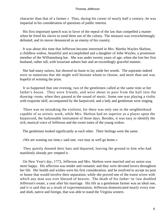character than that of a farmer.» Thus, during his career of nearly half a century, he was impartial in his consideration of questions of public interest.

 His first important speech was in favor of the repeal of the law that compelled a master when he freed his slaves to send them out of the colony. The measure was overwhelmingly defeated, and its mover denounced as an enemy of his country.

 It was about this time that Jefferson became interested in Mrs. Martha Wayles Skelton, a childless widow, beautiful and accomplished and a daughter of John Wayles, a prominent member of the Williamsburg bar. She was under twenty years of age, when she lost her first husband, rather tall, with luxuriant auburn hair and an exceedingly graceful manner.

 She had many suitors, but showed no haste to lay aside her weeds. The aspirants indeed were so numerous that she might well hesitate whom to choose, and more than one was hopeful of winning the prize.

 It so happened that one evening, two of the gentlemen called at the same time at her father's house. They were friends, and were about to pass from the hall into the drawing−room, when they paused at the sound of music. Some one was playing a violin with exquisite skill, accompanied by the harpsicord, and a lady and gentleman were singing.

 There was no mistaking the violinist, for there was only one in the neighborhood capable of so artistic work, while Mrs. Skelton had no superior as a player upon the harpsicord, the fashionable instrument of those days. Besides, it was easy to identify the rich, musical voice of Jefferson and the sweet tones of the young widow.

The gentlemen looked significantly at each other. Their feelings were the same.

«We are wasting our time,» said one; «we may as well go home.»

 They quietly donned their hats and departed, leaving the ground to him who had manifestly already pre−empted it.

 On New Year's day, 1772, Jefferson and Mrs. Skelton were married and no union was more happy. His affection was tender and romantic and they were devoted lovers throughout her life. Her health and wishes were his first consideration, and he resolved to accept no post or honor that would involve their separation, while she proved one of the truest wives with which any man was ever blessed of heaven. The death of his father−in−law doubled Jefferson's estate, a year after his marriage. His life as a gentleman farmer was an ideal one, and it is said that as a result of experimentation, Jefferson domesticated nearly every tree and shub, native and foreign, that was able to stand the Virginia winters.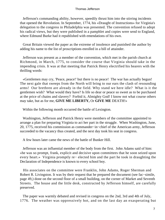Jefferson's commanding ability, however, speedily thrust him into the stirring incidents that opened the Revolution. In September, 1774, his «Draught of Instructions» for Virginia's delegation to the congress in Philadelphia was presented. The convention refused to adopt his radical views, but they were published in a pamphlet and copies were send to England, where Edmund Burke had it republished with emendations of his own.

 Great Britain viewed the paper as the extreme of insolence and punished the author by adding his name to the list of proscriptions enrolled in a bill of attainder.

 Jefferson was present as a member of the convention, which met in the parish church at Richmond, in March, 1775, to consider the course that Virginia should take in the impending crisis. It was at that meeting that Patrick Henry electrified his hearers with the thrilling words:

 «Gentlemen may cry, 'Peace, peace!' but there is no peace! The war has actually begun! The next gale that sweeps from the North will bring to our ears the clash of resounding arms! Our brethren are already in the field. Why stand we here idle? What is it the gentlemen wish? What would they have? Is life so dear or peace so sweet as to be purchased at the price of chains and slavery? Forbid it, Almighty God! I know not what course others may take, but as for me, **GIVE ME LIBERTY,** Or **GIVE ME** DEATH!»

Within the following month occurred the battle of Lexington.

 Washington, Jefferson and Patrick Henry were members of the committee appointed to arrange a plan for preparing Virginia to act her part in the struggle. When Washington, June, 20, 1775, received his commission as commander−in−chief of the American army, Jefferson succeeded to the vacancy thus created, and the next day took his seat in congress.

A few hours later came the news of the battle of Bunker Hill.

 Jefferson was an influential member of the body from the first. John Adams said of him: «he was so prompt, frank, explicit and decisive upon committees that he soon seized upon every heart.» Virginia promptly re− elected him and the part he took in draughting the Declaration of Independence is known to every school boy.

 His associates on the committee were Franklin, John Adams, Roger Sherman and Robert R. Livingston. It was by their request that he prepared the document (see fac−simile, page 49,) done on the second floor of a small building, on the corner of Market and Seventh Streets. The house and the little desk, constructed by Jefferson himself, are carefully preserved.

 The paper was warmly debated and revised in congress on the 2nd, 3rd and 4th of July, 1776. The weather was oppressively hot, and on the last day an exasperating but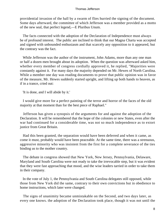providential invasion of the hall by a swarm of flies hurried the signing of the document. Some days afterward, the committee of which Jefferson was a member provided as a motto of the new seal, that perfect legend,—E Pluribus Unum.

 The facts connected with the adoption of the Declaration of Independence must always be of profound interest. The public are inclined to think that our Magna Charta was accepted and signed with unbounded enthusiasm and that scarcely any opposition to it appeared, but the contrary was the fact.

 While Jefferson was the author of the instrument, John Adams, more than any one man or half a dozen men brought about its adoption. When the question was afterward asked him, whether every member of congress cordially approved it, he replied, "Majorities were constantly against it. For many days the majority depended on Mr. Hewes of North Carolina. While a member one day was reading documents to prove that public opinion was in favor of the measure, Mr. Hewes suddenly started upright, and lifting up both hands to heaven, as if in a trance, cried out:

'It is done, and I will abide by it.'

 I would give more for a perfect painting of the terror and horror of the faces of the old majority at that moment than for the best piece of Raphael."

 Jefferson has given a synopsis of the arguments for and against the adoption of the Declaration. It will be remembered that the hope of the colonies or new States, even after the war had continued for a considerable time, was not so much independence as to extort justice from Great Britain.

 Had this been granted, the separation would have been deferred and when it came, as come it must, probably would have been peaceable. At the same time, there was a strenuous, aggressive minority who was insistent from the first for a complete severance of the ties binding us to the mother country.

 The debate in congress showed that New York, New Jersey, Pennsylvania, Delaware, Maryland and South Carolina were not ready to take the irrevocable step, but it was evident that they were fast approaching that mood, and the wise leaders tarried in order to take them in their company.

 In the vote of July 1, the Pennsylvania and South Carolina delegates still opposed, while those from New York did the same, contrary to their own convictions but in obedience to home instructions, which later were changed.

 The signs of unanimity became unmistakable on the Second, and two days later, as every one knows. the adoption of the Declaration took place, though it was not until the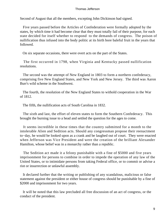Second of August that all the members, excepting John Dickinson had signed.

 Five years passed before the Articles of Confederation were formally adopted by the states, by which time it had become clear that they must totally fail of their purpose, for each state decided for itself whether to respond to the demands of congress. The poison of nullification thus infused into the body politic at its birth bore baleful fruit in the years that followed.

On six separate occasions, there were overt acts on the part of the States.

 The first occurred in 1798, when Virginia and Kentucky passed nullification resolutions.

 The second was the attempt of New England in 1803 to form a northern confederacy, comprising five New England States, and New York and New Jersey. The third was Aaron Burr's wild scheme in the Southwest.

 The fourth, the resolution of the New England States to withold cooperation in the War of 1812.

The fifth, the nullification acts of South Carolina in 1832.

 The sixth and last, the effort of eleven states to form the Southern Confederacy. This brought the burning issue to a head and settled the question for the ages to come.

 It seems incredible in these times that the country submitted for a month to the intolerable Alien and Sedition acts. Should any congressman propose their reenactment to−day, he would be looked upon as a crank and be laughed out of court. They were enacted when Jefferson was Vice President and were the creation of the brilliant Alexander Hamilton, whose belief was in a monarchy rather than a republic.

 The Sedition act made it a felony punishable with a fine of \$5000 and five years imprisonment for persons to combine in order to impede the operation of any law of the United States, or to intimidate persons from taking Federal office, or to commit or advise a riot or insurrection or unlawful assembly.

 It declared further that the writing or publishing of any scandalous, malicious or false statement against the president or either house of congress should be punishable by a fine of \$2000 and imprisonment for two years.

 It will be noted that this law precluded all free discussion of an act of congress, or the conduct of the president.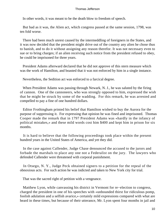In other words, it was meant to be the death blow to freedom of speech.

 But bad as it was, the Alien act, which congress passed at the same session, 1798, was ten fold worse.

 There had been much unrest caused by the intermeddling of foreigners in the States, and it was now decided that the president might drive out of the country any alien he chose thus to banish, and to do it without assigning any reason therefor. It was not necessary even to sue or to bring charges; if an alien receiving such notice from the president refused to obey, he could be imprisoned for three years.

 President Adams afterward declared that he did not approve of this stern measure which was the work of Hamilton, and boasted that it was not enforced by him in a single instance.

Nevertheless, the Sedition act was enforced to a farcical degree.

 When President Adams was passing through Newark, N. J., he was saluted by the firing of cannon. One of the cannoneers, who was strongly opposed to him, expressed the wish that he might be struck by some of the wadding. For this remark, he was arrested and compelled to pay a fine of one hundred dollars.

 Editor Frothingham printed his belief that Hamilton wished to buy the Aurora for the purpose of suppressing it. For expressing that opinion he was fined and imprisoned. Thomas Cooper made the remark that in 1797 President Adams was «hardly in the infancy of political mistakes,» and these mild words cost him \$400 and kept him in prison for six months.

 It is hard to believe that the following proceedings took place within the present hundred years in the United States of America, and yet they did.

 In the case against Callender, Judge Chase denounced the accused to the jurors and forbade the marshals to place any one not a Federalist on the jury. The lawyers who defended Callender were threatened with corporal punishment.

 In Otsego, N. Y., Judge Peck obtained signers to a petition for the repeal of the obnoxious acts. For such action he was indicted and taken to New York city for trial.

That was the sacred right of petition with a vengeance.

 Matthew Lyon, while canvassing his district in Vermont for re−election to congress, charged the president in one of his speeches with «unbounded thirst for ridiculous pomp, foolish adulation and a selfish avarice,» certainly mild expressions compared with what are heard in these times, but because of their utterance, Mr. Lyon spent four months in jail and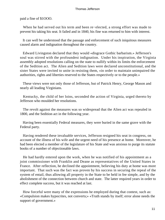paid a fine of \$1OOO.

 When he had served out his term and been re−elected, a strong effort was made to prevent his taking his seat. It failed and in 1840, his fine was returned to him with interest.

 It can well be understood that the passage and enforcement of such iniquitous measures caused alarm and indignation throughout the country.

 Edward Livingston declared that they would «disgrace Gothic barbarism.» Jefferson's soul was stirred with the profoundest indignation. Under his inspiration, the Virginia assembly adopted resolutions calling on the state to nullify within its limits the enforcement of the Sedition act. The Alien and Sedition laws were declared unconstitutional, and the sister States were invited to unite in resisting them, «in order to maintain unimpaired the authorities, rights and liberties reserved to the States respectively or to the people.»

 These views were not only those of Jefferson, but of Patrick Henry, George Mason and nearly all leading Virginians.

 Kentucky, the child of her loins, seconded the action of Virginia, urged thereto by Jefferson who moulded her resolutions.

 The revolt against the measures was so widespread that the Alien act was repealed in 1800, and the Sedition act in the following year.

 Having been essentially Federal measures, they were buried in the same grave with the Federal party.

 Having rendered these invaluable services, Jefferson resigned his seat in congress, on account of the illness of his wife and the urgent need of his presence at home. Moreover, he had been elected a member of the legislature of his State and was anxious to purge its statute books of a number of objectionable laws.

 He had hardly entered upon the work, when he was notified of his appointment as a joint commissioner with Franklin and Deane as representatives of the United States in France. After reflection, he declined the appointment, believing his duty at home was more important. That such was the fact was proven by his success in securing the repeal of the system of entail, thus allowing all property in the State to be held in fee simple, and by the abolishment of the connection between church and state. The latter required years in order to effect complete success, but it was reached at last.

 How forceful were many of the expressions he employed during that contest, such as: «Compulsion makes hypocrites, not converts;» «Truth stands by itself; error alone needs the support of government.»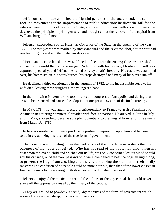Jefferson's committee abolished the frightful penalties of the ancient code; he set on foot the movement for the improvement of public education; he drew the bill for the establishment of courts of law in the State, and prescribing their methods and powers; he destroyed the principle of primogeniture, and brought about the removal of the capital from Williamsburg to Richmond.

 Jefferson succeeded Patrick Henry as Governor of the State, at the opening of the year 1779. The two years were marked by incessant trial and the severest labor, for the war had reached Virginia soil and the State was desolated.

 More than once the legislature was obliged to flee before the enemy; Gates was crushed at Camden; Arnold the traitor scourged Richmond with his raiders; Monticello itself was captured by cavalry, and Jefferson escaped only by a hair's breadth. His estate was trampled over, his horses stolen, his barns burned, his crops destroyed and many of his slaves run off.

 He declined a third election,and in the autumn of 1782, to his inconsolable sorrow, his wife died, leaving three daughters, the youngest a babe.

 In the following November, he took his seat in congress at Annapolis, and during that session he proposed and caused the adoption of our present system of decimal currency.

 In May, 1784, he was again elected plenipotentiary to France to assist Franklin and Adams in negotiating commercial treaties with foreign nations. He arrived in Paris in July, and in May, succeeding, became sole plenipotentiary to the king of France for three years from March 1O, 1785.

 Jefferson's residence in France produced a profound impression upon him and had much to do in crystallizing his ideas of the true form of government.

 That country was groveling under the heel of one of the most hideous systems that the baseness of man ever conceived. Who has not read of the nobleman who, when his coachman ran over a child and crushed out its life, was only concerned lest its blood should soil his carriage, or of the poor peasants who were compelled to beat the bogs all night long, to prevent the frogs from croaking and thereby disturbing the slumber of their lordly masters? The condition of no people could be more horrible, than that of the lower classes in France previous to the uprising, with its excesses that horrified the world.

 Jefferson enjoyed the music, the art and the culture of the gay capital, but could never shake off the oppression caused by the misery of the people.

 «They are ground to powder,» he said, «by the vices of the form of government which is one of wolves over sheep, or kites over pigeons.»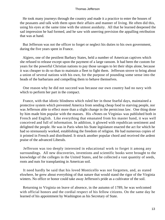He took many journeys through the country and made it a practice to enter the houses of the peasants and talk with them upon their affairs and manner of living. He often did this, using his eyes at the same time with the utmost assiduity. All that he learned deepened the sad impression he had formed, and he saw with unerring prevision the appalling retribution that was at hand.

 But Jefferson was not the officer to forget or neglect his duties to his own government, during the five years spent in France.

 Algiers, one of the pestilent Barbary States, held a number of American captives which she refused to release except upon the payment of a large ransom. It had been the custom for years for the powerful Christian nations to pay those savages to let their ships alone, because it was cheaper to do so than to maintain a fleet to fight them. Jefferson strove to bring about a union of several nations with his own, for the purpose of pounding some sense into the heads of the barbarians and compelling them to behave themselves.

 One reason why he did not succeed was because our own country had no navy with which to perform her part in the compact.

 France, with that idiotic blindness which ruled her in those fearful days, maintained a protective system which prevented America from sending cheap food to starving people, nor was Jefferson able to effect more than a slight change in the pernicious law. One thing done by him made him popular with the masses. His «Notes on Virginia» was published both in French and English. Like everything that emanated from his master hand, it was well conceived and full of information. In addition, it glowed with republican sentiment and delighted the people. He was in Paris when his State legislature enacted the act for which he had so strenuously worked, establishing the freedom of religion. He had numerous copies of it printed in French and distributed. It struck another popular chord and received the ardent praise of the advanced Liberals.

 Jefferson was too deeply interested in educational work to forget it among any surroundings. All new discoveries, inventions and scientific books were brought to the knowledge of the colleges in the United States, and he collected a vast quantity of seeds, roots and nuts for transplanting in American soil.

 It need hardly be said that his loved Monticello was not forgotten, and, as stated elswhere, he grew about everything of that nature that would stand the rigor of the Virginia winters. No office or honor could take away Jefferson's pride as a cultivator of the soil.

 Returning to Virginia on leave of absence, in the autumn of 1789, he was welcomed with official honors and the cordial respect of his fellow citizens. On the same day he learned of his appointment by Washington as his Secretary of State.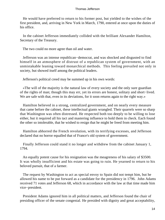He would have preferred to return to his former post, but yielded to the wishes of the first president, and, arriving in New York in March, 1790, entered at once upon the duties of his office.

 In the cabinet Jefferson immediately collided with the brilliant Alexander Hamilton, Secretary of the Treasury.

The two could no more agree than oil and water.

 Jefferson was an intense republican−democrat, and was shocked and disgusted to find himself in an atmosphere of distrust of a republican system of government, with an unmistakable leaning toward monarchical methods. This feeling prevailed not only in society, but showed itself among the political leaders.

Jefferson's political creed may be summed up in his own words:

 «The will of the majority is the natural law of every society and the only sure guardian of the rights of man; though this may err, yet its errors are honest, solitary and short−lived. We are safe with that, even in its deviations, for it soon returns again to the right way.»

 Hamilton believed in a strong, centralized government, and on nearly every measure that came before the cabinet, these intellectual giants wrangled. Their quarrels were so sharp that Washington was often distressed. He respected both too deeply to be willing to lose either, but it required all his tact and mastering influence to hold them in check. Each found the other so intolerable, that he wished to resign that he might be freed from meeting him.

 Hamilton abhorred the French revolution, with its terrifying excesses, and Jefferson declared that no horror equalled that of France's old system of government.

 Finally Jefferson could stand it no longer and withdrew from the cabinet January 1, 1794.

 An equally potent cause for his resignation was the meagreness of his salary of \$3500. It was wholly insufficient and his estate was going to ruin. He yearned to return to his beloved pursuit, that of a farmer.

 The request by Washington to act as special envoy to Spain did not tempt him, but he allowed his name to be put forward as a candidate for the presidency in 1796. John Adams received 71 votes and Jefferson 68, which in accordance with the law at that time made him vice−president.

 President Adams ignored him in all political matters, and Jefferson found the chair of presiding officer of the senate congenial. He presided with dignity and great acceptability,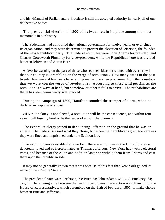and his «Manual of Parliamentary Practice» is still the accepted authority in nearly all of our deliberative bodies.

 The presidential election of 1800 will always retain its place among the most memorable in our history.

 The Federalists had controlled the national government for twelve years, or ever since its organization, and they were determined to prevent the elevation of Jefferson, the founder of the new Republican party. The Federal nominees were John Adams for president and Charles Cotesworth Pinckney for vice−president, while the Republican vote was divided between Jefferson and Aaron Burr.

 A favorite warning on the part of those who see their ideas threatened with overthrow is that our country is «trembling on the verge of revolution.» How many times in the past twenty−five, ten and five years have ranting men and women proclaimed from the housetops that we were «on the verge of revolution?» According to these wild pessimists the revolution is always at hand, but somehow or other it fails to arrive. The probabilities are that it has been permanently side−tracked.

 During the campaign of 1800, Hamilton sounded the trumpet of alarm, when he declared in response to a toast:

 «If Mr. Pinckney is not elected, a revolution will be the consequence, and within four years I will lose my head or be the leader of a triumphant army.»

 The Federalist clergy joined in denouncing Jefferson on the ground that he was an atheist. The Federalists said what they chose, but when the Republicans grew too careless they were fined and imprisoned under the Sedition law.

 The exciting canvas established one fact: there was no man in the United States so devotedly loved and so fiercely hated as Thomas Jefferson. New York had twelve electoral votes, and because of the Alien and Sedition laws she witheld them from Adams and cast them upon the Republican side.

 It may not be generally known that it was because of this fact that New York gained its name of the «Empire State.»

 The presidential vote was: Jefferson, 73; Burr, 73; John Adams, 65; C. C. Pinckney, 64; Jay, 1. There being a tie between the leading candidates, the election was thrown into the House of Representatives, which assembled on the 11th of February, 1801, to make choice between Burr and Jefferson.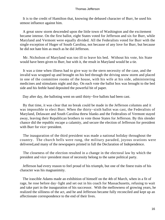It is to the credit of Hamilton that, knowing the debased character of Burr, he used his utmost influence against him.

 A great snow storm descended upon the little town of Washington and the excitement became intense. On the first ballot, eight States voted for Jefferson and six for Burr, while Maryland and Vermont were equally divided. All the Federalists voted for Burr with the single exception of Huger of South Carolina, not because of any love for Burr, but because he did not hate him as much as he did Jefferson.

 Mr. Nicholson of Maryland was too ill to leave his bed. Without his vote, his State would have been given to Burr, but with it, the result in Maryland would be a tie.

 It was a time when illness had to give way to the stern necessity of the case, and the invalid was wrapped up and brought on his bed through the driving snow storm and placed in one of the committee rooms of the house, with his wife at his side, administering medicines and stimulants night and day. On each vote the ballot box was brought to the bed side and his feeble hand deposited the powerful bit of paper.

Day after day, the balloting went on until thirty−five ballots had been cast.

 By that time, it was clear that no break could be made in the Jefferson columns and it was impossible to elect Burr. When the thirty−sixth ballot was cast, the Federalists of Maryland, Delaware and South Carolina threw blanks and the Federalists of Vermont stayed away, leaving their Republican brothers to vote those States for Jefferson. By this slender chance did the republic escape a calamity, and secure the election of Jefferson for president with Burr for vice−president.

 The inauguration of the third president was made a national holiday throughout the country. The church bells were rung, the military paraded, joyous orations were delivered,and many of the newspapers printed in full the Declaration of Independence.

 The closeness of the election resulted in a change in the electoral law by which the president and vice−president must of necessity belong to the same political party.

 Jefferson had every reason to feel proud of his triumph, but one of the finest traits of his character was his magnanimity.

 The irascible Adams made an exhibition of himself on the 4th of March, when in a fit of rage, he rose before day−light and set out in his coach for Massachusetts, refusing to wait and take part in the inauguration of his successor. With the mellowness of growing years, he realized the silliness of the act, and he and Jefferson became fully reconciled and kept up an affectionate correspondence to the end of their lives.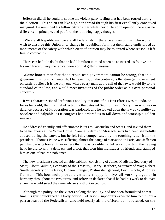Jefferson did all he could to soothe the violent party feeling that had been roused during the election. This spirit ran like a golden thread through his first excellently conceived inaugural. He reminded his fellow citizens that while they differed in opinion, there was no difference in principle, and put forth the following happy thought:

 «We are all Republicans, we are all Federalists. If there be any among us, who would wish to dissolve this Union or to change its republican form, let them stand undisturbed as monuments of the safety with which error of opinion may be tolerated where reason is left free to combat it.»

 There can be little doubt that he had Hamilton in mind when he answered, as follows, in his own forceful way the radical views of that gifted statesman.

 «Some honest men fear that a republican government cannot be strong, that this government is not strong enough. I believe this, on the contrary, is the strongest government on earth. I believe it is the only one where every man, at the call of the laws, would fly to the standard of the law, and would meet invasions of the public order as his own personal concern.»

 It was characteristic of Jefferson's nobility that one of his first efforts was to undo, so far as he could, the mischief effected by the detested Sedition law. Every man who was in durance because of its operation was pardoned, and he looked upon the law as «a nullity as obsolete and palpable, as if congress had ordered us to fall down and worship a golden image.»

 He addressed friendly and affectionate letters to Kosciusko and others, and invited them to be his guests at the White House. Samuel Adams of Massachusetts had been shamefully abused during the canvas, but he felt fully compensated by the touching letter from the president. Thomas Paine was suffering almost the pangs of starvation in Paris, and Jefferson paid his passage home. Everywhere that it was possible for Jefferson to extend the helping hand he did so with a delicacy and a tact, that won him multitudes of friends and stamped him as one of nature's noblemen.

 The new president selected an able cabinet, consisting of James Madison, Secretary of State; Albert Gallatin, Secretary of the Treasury; Henry Dearborn, Secretary of War; Robert Smith,Secretary of the Navy; Gideon Granger, Postmaster−general; Levi Lincoln, Attorney General. This household proved a veritable «happy family,» all working together in harmony throughout the two terms, and Jefferson declared that if he had his work to do over again, he would select the same advisers without exception.

 Although the policy,«to the victors belong the spoils,» had not been formulated at that time, its spirit quickened the body politic. Jefferson's supporters expected him to turn out a part at least of the Federalists, who held nearly all the offices, but he refused, on the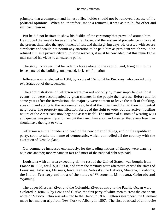principle that a competent and honest office holder should not be removed because of his political opinions. When he, therefore, made a removal, it was as a rule, for other and sufficient reasons.

 But he did not hesitate to show his dislike of the ceremony that prevailed around him. He stopped the weekly levee at the White House, and the system of precedence in force at the present time; also the appointment of fast and thanksgiving days. He dressed with severe simplicity and would not permit any attention to be paid him as president which would be refused him as a private citizen. In some respects, it must be conceded that this remarkable man carried his views to an extreme point.

 The story, however, that he rode his horse alone to the capitol, and, tying him to the fence, entered the building, unattended, lacks confirmation.

 Jefferson was re−elected in 1804, by a vote of 162 to 14 for Pinckney, who carried only two States out of the seventeen.

 The administrations of Jefferson were marked not only by many important national events, but were accompanied by great changes in the people themselves. Before and for some years after the Revolution, the majority were content to leave the task of thinking, speaking and acting to the representatives, first of the crown and then to their influential neighbors. The property qualification abridged the right to vote, but the active, hustling nature of the Americans now began to assert itself. The universal custom of wearing wigs and queues was given up and men cut their own hair short and insisted that every free man should have the right to vote.

 Jefferson was the founder and head of the new order of things, and of the republican party, soon to take the name of democratic, which controlled all the country with the exception of New England.

 Our commerce increased enormously, for the leading nations of Europe were warring with one another; money came in fast and most of the national debt was paid.

 Louisiana with an area exceeding all the rest of the United States, was bought from France in 1803, for \$15,000,000, and from the territory were afterward carved the states of Louisiana, Arkansas, Missouri, Iowa, Kansas, Nebraska, the Dakotas, Montana, Oklahoma, the Indian Territory and most of the states of Wisconsin, Minnesota, Colorado and Wyoming.

 The upper Missouri River and the Columbia River country to the Pacific Ocean were explored in 1804−6, by Lewis and Clarke, the first party of white men to cross the continent north of Mexico. Ohio was admitted to the Union in 1802. Fulton's steamboat, the Clermont made her maiden trip from New York to Albany in 1807. The first boatload of anthracite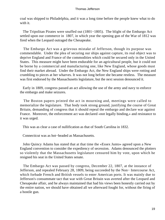coal was shipped to Philadelphia, and it was a long time before the people knew what to do with it.

 The Tripolitan Pirates were snuffed out (1801−1805). The blight of the Embargo Act settled upon our commerce in 1807, in which year the opening gun of the War of 1812 was fired when the Leopard outraged the Chesapeake.

 The Embargo Act was a grievous mistake of Jefferson, though its purpose was commendable. Under the plea of securing our ships against capture, its real object was to deprive England and France of the commodities which could be secured only in the United States. This measure might have been endurable for an agricultural people, but it could not be borne by a commercial and manufacturing one, like New England, whose goods must find their market abroad. Under the Embargo Act, the New England ships were rotting and crumbling to pieces at her wharves. It was not long before she became restless. The measure was first endorsed by the Massachusetts legislature, but the next session denounced it.

 Early in 1809, congress passed an act allowing the use of the army and navy to enforce the embargo and make seizures.

 The Boston papers printed the act in mourning and, meetings were called to memorialize the legislature. That body took strong ground, justifying the course of Great Britain, demanding of congress that it should repeal the embargo and declare war against France. Moreover, the enforcement act was declared «not legally binding,» and resistance to it was urged.

This was as clear a case of nullification as that of South Carolina in 1832.

Connecticut was as hot−headed as Massachusetts.

 John Quincy Adams has stated that at that time the «Essex Junto» agreed upon a New England convention to consider the expediency of secession. Adams denounced the plotters so violently that the Massachusetts legislature censured him by vote, upon which he resigned his seat in the United States senate.

 The Embargo Act was passed by congress, December 22, 1807, at the instance of Jefferson, and repealed February 28, 1809, being succeeded by the Non− Intercourse Act, which forbade French and British vessels to enter American ports. It was mainly due to Jefferson's consummate tact that war with Great Britain was averted after the Leopard and Chesapeake affair, and he always maintained that had his views been honestly carried out by the entire nation, we should have obtained all we afterward fought for, without the firing of a hostile gun.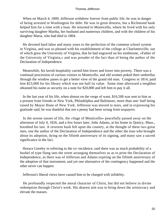When on March 4, 1809, Jefferson withdrew forever from public life, he was in danger of being arrested in Washington for debt. He was in great distress, but a Richmond bank helped him for a time with a loan. He returned to Monticello, where he lived with his only surviving daughter Martha, her husband and numerous children, and with the children of his daughter Maria, who had died in 1804.

 He devoted hard labor and many years to the perfection of the common school system in Virginia, and was so pleased with his establishment of the college at Charlottesville, out of which grew the University of Virginia, that he had engraved on his tombstone, «Father of the University of Virginia,» and was prouder of the fact than of being the author of the Declaration of Independence.

 Meanwhile, his lavish hospitality carried him lower and lower into poverty. There was a continual procession of curious visitors to Monticello, and old women poked their umbrellas through the window panes to get a better view of the grand old man. Congress in 1814, paid him \$23,000 for his library which was not half its value. Some time afterward a neighbor obtained his name as security on a note for \$20,000 and left him to pay it all.

 In the last year of his life, when almost on the verge of want, \$16,500 was sent to him as a present from friends in New York, Philadelphia and Baltimore, more than one−half being raised by Mayor Hone of New York. Jefferson was moved to tears, and in expressing his gratitude said, he was thankful that not a penny had been wrung from taxpayers.

 In the serene sunset of life, the «Sage of Monticello» peacefully passed away on the afternoon of July 4, 1826, and a few hours later, John Adams, at his home in Quincy, Mass., breathed his last. A reverent hush fell upon the country, at the thought of these two great men, one the author of the Declaration of Independence and the other the man who brought about its adoption, dying on the fiftieth anniversary of its signing, and many saw a sacred significance in the fact.

 Horace Greeley in referring to the co−incidence, said there was as much probability of a bushel of type flung into the street arranging themselves so as to print the Declaration of Independence, as there was of Jefferson and Adams expiring on the fiftieth anniversary of the adoption of that instrument; and yet one alternative of the contingency happened and the other never can happen.

Jefferson's liberal views have caused him to be charged with infidelity.

 He profoundly respected the moral character of Christ, but did not believe in divine redemption through Christ's work. His dearest aim was to bring down the aristocracy and elevate the masses.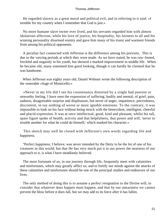He regarded slavery as a great moral and political evil, and in referring to it said: «I tremble for my country when I remember that God is just.»

 No more humane slave owner ever lived, and his servants regarded him with almost idolatrous affection, while his love of justice, his hospitality, his fairness to all and his winning personality disarmed enmity and gave him many of his truest and warmest friends from among his political opponents.

 A peculiar fact connected with Jefferson is the difference among his portraits. This is due to the varying periods at which they were made. As we have stated, he was raw−boned, freckled and ungainly in his youth, but showed a marked improvement in middle life. When he became old, many esteemed him good looking, though it can hardly be claimed that he was handsome.

 When Jefferson was eighty years old, Daniel Webster wrote the following description of the venerable «Sage of Monticello:»

 «Never in my life did I see his countenance distorted by a single bad passion or unworthy feeling. I have seen the expression of suffering, bodily and mental, of grief, pain, sadness, disagreeable surprise and displeasure, but never of anger, impatience, peevishness, discontent, to say nothing of worse or more ignoble emotions. To the contrary, it was impossible to look on his face without being struck with the benevolent, intelligent, cheerful and placid expression. It was at once intellectual, good, kind and pleasant, whilst his tall, spare figure spoke of health, activity and that helpfulness, that power and will, 'never to trouble another for what he could do himself,' which marked his character.»

 This sketch may well be closed with Jefferson's own words regarding life and happiness.

 "Perfect happiness, I believe, was never intended by the Deity to be the lot of one of his creatures in this world; but that He has very much put it in our power the nearness of our approach to it, is what I have steadfastly believed.

 The most fortunate of us, in our journey through life, frequently meet with calamities and misfortunes, which may greatly afflict us; and to fortify our minds against the attacks of these calamities and misfortunes should be one of the principal studies and endeavors of our lives.

 The only method of doing this is to assume a perfect resignation to the Divine will, to consider that whatever does happen must happen, and that by our uneasiness we cannot prevent the blow before it does fall, but we may add to its force after it has fallen.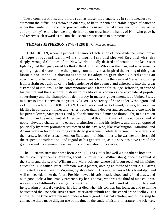These considerations, and others such as these, may enable us in some measure to surmount the difficulties thrown in our way, to bear up with a tolerable degree of patience under this burden of life, and to proceed with a pious and unshaken resignation till we arrive at our journey's end, when we may deliver up our trust into the hands of Him who gave it, and receive such reward as to Him shall seem proportionate to our merits."

#### **THOMAS JEFFERSON.** (1743−1826) By G. Mercer Adam

**JEFFERSON,** when he penned the famous Declaration of Independence, which broke all hope of reconciliation with the motherland and showed England what the deeply−wronged Colonies of the New World unitedly desired and would in the last resort fight for, had then just passed his thirty−third birthday. Who was the man, and what were his upbringings and status in the then young community, that inspired the writing of this great historic document— a document that on its adoption gave these United States an ever−memorable national birthday, and seven years later, by the Peace of Versailles, wrung from Britain recognition of the independence of the country and ushered it into the great sisterhood of Nations? To his contemporaries and a later political age, Jefferson, in spite of his culture and the aristocratic strain in his blood, is known as the advocate of popular sovereignty and the champion of democracy in matters governmental, as United States minister to France between the years 1784−89, as Secretary of State under Washington, and as U. S. President from 1801 to 1809. By education and bent of mind, he was, however, an idealist in politics, a thinker and writer, rather than a debater and speaker, and one who in his private letters, State papers, and public documents did much to throw light, in his era, on the origin and development of American political thought. A man of fine education and of noble, elevated character, he earned distinction among his fellows, and though opposed politically by many prominent statesmen of the day, who, like Washington, Hamilton, and Adams, were in favor of a strong centralized government, while Jefferson, in the interests of the masses, feared encroachments on State and individual liberty, he was nevertheless paid the respect, consideration, and regard of his generation, as his services have earned the gratitude and his memory the endearing commendation of posterity.

 The illustrous statesman was born April 13, 1743, at "Shadwell,« his father's home in the hill country of central Virginia, about 150 miles from Williamsburg, once the capital of the State, and the seat of William and Mary college, where Jefferson received his higher education. His father, Peter Jefferson, was a planter, owning an estate of about 2,000 acres, cultivated, as was usual in Virginia, by slave labor. His mother was a Miss Randolph, and well connected; to her the future President owed his aristocratic blood and refined tastes, and with good looks a fine, manly presence. By her, Thomas, who was the third of nine children, was in his childhood's days gently nurtured, though himself fond of outdoor life and invigorating physical exercise. His father died when his son was but fourteen, and to him he bequeathed the Roanoke River estate, afterwards rebuilt and christened "Monticello.» His studies at the time were pursued under a fairly good classical scholar; and on passing to college he there made diligent use of his time in the study of history, literature, the sciences,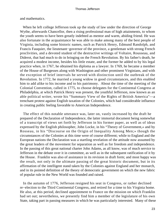and mathematics.

 When he left college Jefferson took up the study of law under the direction of George Wythe, afterwards Chancellor, then a rising professional man of high attainments, to whom the youth seems to have been greatly indebted as mentor and warm, abiding friend. He was also fortunate in the acquaintance he was able to make among many of the best people of Virginia, including some historic names, such as Patrick Henry, Edmund Randolph, and Francis Fauquier, the lieutenant−governor of the province, a gentleman with strong French proclivities, and a devoted student of the destructive writings of Voltaire, Rousseau, and Diderot, that had much to do in bringing on the French Revolution. By his father's death, he acquired a modest income, besides his little estate, and the former he added to by his legal practice when, in 1767, he obtained his diploma as a lawyer. In 1769, he became a member of the House of Burgesses along with Washington and other prominent Virginians, and with the exception of brief intervals he served with distinction until the outbreak of the Revolution. In 1772, he married a young widow in good circumstances, and this enabled him to add alike to his income and to his patrimony. About the time of the meeting of the Colonial Convention, called in 1775, to choose delegates for the Continental Congress at Philadelphia, at which Patrick Henry was present, the youthful Jefferson, now known as an able political writer, wrote his "Summary View of the Rights of British America"—a trenchant protest against English taxation of the Colonies, which had considerable influence in creating public feeling favorable to American Independence.

 The effect of this notable utterance was, later on, vastly increased by the draft he prepared of the Declaration of Independence, the latter immortal document being somewhat of a transcript of views set forth by Jefferson in his former paper, as well as of ideas expressed by the English philosopher, John Locke, in his "Theory of Government,« and by Rosseau, in his "Discourse on the Origin of Inequality Among Men;» though the circumstances of the Colonies at this time were of course different; while to England and the European nations the Declaration was a startling revelation of the attitude now assumed by the great leaders of the movement for separation as well as for freedom and independence. In the passing of this great national charter John Adams, as all know, was of much service to Jefferson in the debate over it in committee, as well as in the subsequent ratification of it by the House. Franklin was also of assistance in its revision in draft form; and most happy was the result, not only in the ultimate passing of the great historic document, but in its affirmation of the intelligent stand taken by the Colonies against England and her monarch, and in its pointed definition of the theory of democratic government on which the new fabric of popular rule in the New World was founded and raised.

 In the autumn of 1776, Jefferson resigned his seat in Congress, or rather declined re−election to the Third Continental Congress, and retired for a time to his Virginia home. He also, at this period, declined appointment to France on the mission on which Franklin had set out; nevertheless, we presently find him a member of the legislature of his own State, taking part in passing measures in which he was particularly interested. Many of these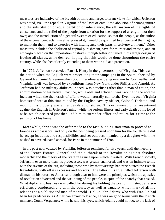measures are indicative of the breadth of mind and large, tolerant views for which Jefferson was noted, viz.: the repeal in Virginia of the laws of entail; the abolition of primogeniture and the substitution of equal partition of inheritance; the affirmation of the rights of conscience and the relief of the people from taxation for the support of a religion not their own; and the introduction of a general system of education, so that the people, as the author of these beneficent acts himself expressed it, "would be qualified to understand their rights, to maintain them, and to exercise with intelligence their parts in self−government." Other measures included the abolition of capital punishment, save for murder and treason, and an embargo placed on the importation of slaves, though Jefferson failed in his larger design of freeing all slaves, as he desired, hoping that this would be done throughout the entire country, while also beneficently extending to them white aid and protection.

 In 1779, Jefferson succeeded Patrick Henry in the governorship of Virginia. This was the period when the English were prosecuting their campaigns in the South, checked by General Nathaniel Greene—when South Carolina was being overrun by Cornwallis, and Virginia itself was invaded by expeditions from New York under Philips and Arnold. As Jefferson had no military abilities, indeed, was a recluse rather than a man of action, the administration of his native Province, while able and efficient, was lacking in the notable incident which the then crisis of affairs would naturally call forth. Even his own Virginia homestead was at this time raided by the English cavalry officer, Colonel Tarleton, and much of his property was either desolated or stolen. This occasioned bitter resentment against the English in Jefferson's mind; while the serious illness and early death of his loved wife, which occurred just then, led him to surrender office and return for a time to the seclusion of his home.

 Meanwhile, thrice was the offer made to the fast−budding statesman to proceed to France as ambassador; and only on the post being pressed upon him for the fourth time did he accept its duties and responsibilities and set out, accompanied by a daughter whom he wished to have educated abroad, for Paris in the summer of 1784.

 In the post now vacated by Franklin, Jefferson remained for five years, until the meeting of the French Estates−General and the outbreak of the Revolution against absolute monarchy and the theory of the State in France upon which it rested. With French society, Jefferson, even more than his predecessor, was greatly enamored, and was on intimate terms with the savants of the era, including those who by their writings had precipitated the French Revolution, with all its excesses and horrors. The latter, it is true, filled Jefferson with dismay on his return to America, though dear to him were the principles which the apostles of revolution advocated and the wellbeing of the people, in spite of the anarchy that ensued. What diplomatic business was called for during his holding the post of minister, Jefferson efficiently conducted, and with the courtesy as well as sagacity which marked all his relations as a publicist and man of the world. Unlike John Adams, who with Franklin had been his predecessor as American envoy to France, he was on good terms with the French minister, Count Vergennes; while he shut his eyes, which Adams could not do, to the lack of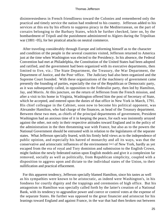disinterestedness in French friendliness toward the Colonies and remembered only the practical and timely service the nation had rendered to his country. Jefferson added to his services at this era by his efforts to suppress piracy in the Mediterranean, on the part of corsairs belonging to the Barbary States, which he further checked, later on, by the bombardment of Tripoli and the punishment administered to Algiers during the Tripolitan war (1801−05), for her piratical attacks on neutral commerce.

 After traveling considerably through Europe and informing himself as to the character and condition of the people in the several countries visited, Jefferson returned to America just at the time when Washington was elected to the Presidency. In his absence, the Federal Convention had met at Philadelphia, the Constitution of the United States had been adopted and ratified, and the government had been organized with its executive departments, then limited to five, viz.: The State Department, the Treasury, the War Department, the Department of Justice, and the Post−office. The Judiciary had also been organized and the Supreme Court founded. With these organizations of the machinery of government came presently the founding of parties, especially the rise of the Republican or Democratic party, as it was subsequently called, in opposition to the Federalist party, then led by Hamilton, Jay, and Morris. At this juncture, on the return of Jefferson from the French mission, and after a visit to his home in Virginia, Washington offered him the post of Secretary of State, which he accepted, and entered upon the duties of that office in New York in March, 1791. His chief colleague in the Cabinet, soon now to become his political opponent, was Alexander Hamilton, who had charge of the finances, as head of the Treasury department. Between these two men, as chiefs of the principal departments of government, President Washington had an anxious time of it in keeping the peace, for each was insistently arrayed against the other, not only in their respective attitudes toward England and in the policy of the administration in the then threatening war with France, but also as to the powers the National Government should be entrusted with in relation to the legislatures of the separate states. What Jefferson specially feared, with his firmly held views as to the independence of public opinion, and especially his hatred of monarchy and all its ways, was that the conservative and aristocratic influences of the envirnoment [sic] of New York, hardly as yet escaped from the era of royal and Tory dominion and submission to the English Crown, might fashion the newly federated nation upon English models and give it a complexion far removed, socially as well as politically, from Republican simplicity, coupled with a disposition to aggress upon and dictate to the individual states of the Union, to their nullification and practical effacement.

 For this apparent tendency, Jefferson specially blamed Hamilton, since his tastes as well as his sympathies were known to be aristocratic, as indeed were Washington's, in his fondness for courtly dignity and the trappings and ceremonies of high office. But his antagonism to Hamilton was specially called forth by the latter's creation of a National Bank, with its tendency to aggrandize power and coerce or control votes at the expense of the separate States. He further was opposed to the great financier and aristocrat for his leanings toward England and against France, in the war that had then broken out between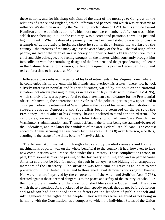these nations, and for his sharp criticism of the draft of the message to Congress on the relations of France and England, which Jefferson had penned, and which was afterwards to influence Washington in issuing the Neutrality Proclamation of 1793. In this attitude toward Hamilton and the administration, of which both men were members, Jefferson was neither selfish nor scheming, but, on the contrary, was discreet and patriotic, as well as just and high−minded. «What he desired supremely,» as has been well stated by a writer, «was the triumph of democratic principles, since he saw in this triumph the welfare of the country—the interests of the many against the ascendancy of the few—the real reign of the people, instead of the reign of an aristocracy of money or birth.» In this opposition to his chief and able colleague, and feeling strongly on the matters which constantly brought him into collision with the centralizing designs of the President and the preponderating influence in the Cabinet hostile to his views, Jefferson resigned his post in December, 1793, and retired for a time to his estate at Monticello.

 Jefferson always relished the period of his brief retirements to his Virginia home, where he could enjoy his library, entertain his friends, and overlook his estates. There, too, he took a lively interest in popular and higher education, varied by outlooks on the National situation, not always pleasing to him, as in the case of Jay's treaty with England (1794−95), which shortly afterwards proved fatal to that statesman's candidature for the Presidential office. Meanwhile, the contentions and rivalries of the political parties grew apace; and in 1797, just before the retirement of Washington at the close of his second administration, the struggle between Democrats and Federalists became focussed on the prize of the Presidency—the "Father of his Country" having declined to stand for a third term. The candidates, we need hardly say, were John Adams, who had been Vice President in Washington's administration, and Thomas Jefferson, the former being the standard−bearer of the Federalists, and the latter the candidate of the anti−Federal Republicans. The contest ended by Adams securing the Presidency by three votes (71 to 68) over Jefferson, who thus, acording to the usage of the time, became Vice−President.

 The Adams' Administration, though checkered by divided counsels and by the machinations of party, was on the whole beneficial to the country. It had, however, to face new complications with France, then under the Directory. These complications arose, in part, from soreness over the passing of the Jay treaty with England, and in part because America could not be bled for money through its envoys, at the bidding of unscrupulous members of the Directory. The situation was for a time so grave as to incite to war preparations in the United States, and to threatened naval demonstrations against France. Nor were matters improved by the enforcement of the Alien and Sedition Acts (1798), directed against those deemed dangerous to the peace and safety of the country, or who, like the more violent members of the Press, published libels on the Government. The storm which these obnoxious Acts evoked led to their speedy repeal, though not before Jefferson and Madison had denounced them as fetters on the freedom of public speech and infringements of the rights of the people. They were moreover resented as not being in harmony with the Constitution, as a compact to which the individual States of the Union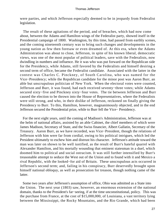were parties, and which Jefferson especially deemed to be in jeopardy from Federalist legislation.

 The result of these agitations of the period, and of breaches, which had now come about, between the Adams and Hamilton wings of the Federalist party, showed itself in the Presidential campaign of 1800. Washington, by this time, had passed from earthly scenes, and the coming nineteenth century was to bring such changes and developments in the young nation as few then foresaw or even dreamed of. At this era, when the Adams Administration was about to close, Jefferson, in spite of his known liberal, democratic views, was one of the most popular of political leaders, save with the Federalists, now dwindling in numbers and influence. He it was who was put forward on the Republican side for the Presidency, while Adams, still favored by the Federalists and himself desiring a second term of office, became the Federalist candidate. Associated with the latter in the contest was Charles C. Pinckney, of South Carolina, who was named for the Vice−Presidency; while the Republican candidate for the minor post was Aaron Burr, an able but unscrupulous politician of New York. When the electoral votes were counted, Jefferson and Burr, it was found, had each received seventy−three votes; while Adams secured sixty−five and Pinckney sixty−four votes. The tie between Jefferson and Burr caused the election to be thrown into the House of Representatives, where the Federalists were still strong, and who, in their dislike of Jefferson, reckoned on finally giving the Presidency to Burr. To this, Hamilton, however, magnanimously objected, and in the end Jefferson secured the Presidential prize, while to Burr fell the Vice− Presidency.

 For the next eight years, until the coming of Madison's Administration, Jefferson was at the helm of national affairs, assisted by an able Cabinet, the chief members of which were James Madison, Secretary of State, and the Swiss financier, Albert Gallatin, Secretary of the Treasury. Aaron Burr, as we have recorded, was Vice−President, though the relations of Jefferson with him were far from cordial, owing to his political intrigues, which led the President ultimately to eschew him and distrust his character. Jefferson's attitude toward the man was later on shown to be well iustified, as the result of Burr's hateful quarrel with Alexander Hamilton, and his mortally wounding that eminent statesman in a duel, which doomed him to political and social ostracism. It was still further intensified by Burr's treasonable attempt to seduce the West out of the Union and to found with it and Mexico a rival Republic, with the looked−for aid of Britain. These unscrupulous acts occurred in Jefferson's second term; and, failing in his conspiracy, Burr deservedly brought upon himself national obloquy, as well as prosecution for treason, though nothing came of the latter.

 Some two years after Jefferson's assumption of office, Ohio was admitted as a State into the Union. The next year (1803) saw, however, an enormous extension of the national domain, thanks to the President's far−seeing, if at the time unconstitutional, policy. This was the purchase from France, at the cost of \$15,000,000, of Louisiana, a vast territory lying between the Mississippi, the Rocky Mountains, and the Rio Grande, which had been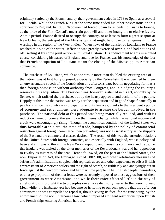originally settled by the French, and by their government ceded in 1763 to Spain as a set−off for Florida, while the French King at the same time ceded his other possessions on this continent to England. In 1800, Napoleon had forced Spain to re−cede Louisiana to France, as the price of the First Consul's uncertain goodwill and other intangible or elusive favors. At this period, France desired to occupy the country, or at least to form a great seaport at New Orleans, the entrepot of the Mississippi, that might be of use to her against English warships in the region of the West Indies. When news of the transfer of Louisiana to France reached this side of the water, Jefferson was greatly exercised over it, and had notions of off−setting it by some joint action with Great Britain. His inducement to this unwonted course, considering his hatred of England and love for France, was his knowledge of the fact that French occupation of Louisiana meant the closing of the Mississippi to American commerce.

 The purchase of Louisiana, which at one stroke more than doubled the existing area of the nation, was at first hotly opposed, especially by the Federalists. It was deemed by them an unwarrantable stretch of the Constitution on Jefferson's part, both in negotiating for it as a then foreign possession without authority from Congress, and in pledging the country's resources in its acquisition. The President was, however, sustained in his act, not only by the Senate, which ratified the purchase, but by the hearty approval and acclaim of the people. Happily at this time the nation was ready for the acquisition and in good shape financially to pay for it, since the country was prospering, and its finances, thanks to the President's policy of economy and retrenchment, were adequate to assume the burden involved in the purchase. The national debt at this period was being materially reduced, and with its reduction came, of course, the saving on the interest charge; while the national income and credit were encouragingly rising. Though the economical condition of the United States was thus favorable at this era, the state of trade, hampered by the policy of commercial restriction against foreign commerce, then prevailing, was not as satisfactory as the shippers of the East and the commercial classes desired. The reason of this was the unsettled relations of the United States with foreign countries, and especially with England, whose policy had been and still was to thwart the New World republic and harass its commerce and trade. To this England was incited by the bitter memories of the Revolutionary war and her opposition to rivalry as mistress of the seas. Hence followed, on the part of the United States, the non−Importation Act, the Embargo Act of 1807−08, and other retaliatory measures of Jefferson's administration, coupled with reprisals at sea and other expedients to offset British empressment of American sailors and the right of search, so ruthlessly and annoyingly put in force against the newborn nation and her maritime people. The English people themselves, or a large proportion of them at least, were as strongly opposed to these aggressions of their government as were Americans, and while their voice effected little in the way of amelioration, it brought the two peoples once more distinctly nearer to the resort to war. Meanwhile, the Embargo Act had become so irritating to our own people that the Jefferson administration was compelled to repeal it, though saving its face, for the time being, by the enforcement of the non−intercourse law, which imposed stringent restrictions upon British and French ships entering American harbors.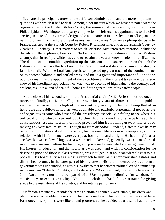Such are the principal features of the Jefferson administration and the more important questions with which it had to deal. Among other matters which we have not noted were the organization of the United States Courts; the removal of the seat of government from Philadelphia to Washington; the party complexion of Jefferson's appointments to the civil service, in spite of his expressed design to be non−partisan in the selection to office; and the naming of men for the foreign embassies, such as James Monroe as plenipotentiary to France, assisted at the French Court by Robert R. Livingstone, and at the Spanish Court by Charles C. Pinckney. Other matters to which Jefferson gave interested attention include the dispatch of the explorers, Lewis and Clarke, to report on the features of the Far Western country, then in reality a wilderness, and to reclaim the vast unknown region for civilization. The details of this notable expedition up the Missouri to its source, then on through the Indian country across the Rockies to the Pacific, need not detain us, since the story is familiar to all. With the Louisiana purchase, it opened up great tracts of the continent, later on to become habitable and settled areas, and make a great and important addition to the public domain. In the appointment of the expedition and the interest taken in it, Jefferson showed his intelligent appreciation of what was to become of high value to the country, and ere long result in a land of beautiful homes to future generations of its hardy people.

 At the close of his second term in the Presidential chair (1809) Jefferson retired once more, and finally, to "Monticello,« after over forty years of almost continuous public service. His career in this high office was entirely worthy of the man, being that of an honorable and public−spirited, as well as an able and patriotic, statesman. If not so astute and sagacious as some who have held the presidency, especially in failing to see where his political principles, if carried out to their logical conclusions, would lead, his conscientiousness and liberality of mind prevented him from falling gravely into error or making any very fatal mistakes. Though far from orthodox,—indeed, a freethinker he may be termed, in matters of religious belief, his personal life was most exemplary, and his relations with his fellowmen were ever just, honorable, and upright. He had no gifts as a speaker, but was endowed highly as a writer and thinker; and, generally, was a man of broad intelligence, unusual culture for his time, and possessed a most alert and enlightened mind. His interest in education and the liberal arts was great, and with his consideration for the deserving poor and those in class servitude, was indulged in at no inconsiderable cost to his pocket. His hospitality was almost a reproach to him, as his impoverished estates and diminished fortunes in the latter part of his life attest. His faith in democracy as a form of government was unbounded, as was his loyalty to that beneficent political creed summed up in the motto— "Liberty, Equality, and Fraternity.» "As a president,« writes the lecturer, Dr. John Lord, "he is not to be compared with Washington for dignity, for wisdom, for consistency, or executive ability. Yet, on the whole, he has left a great name for giving shape to the institutions of his country, and for intense patriotism.»

 «Jefferson's manners,» records the same entertaining writer, «were simple, his dress was plain, he was accessible to everybody, he was boundless in his hospitalities, he cared little for money, his opinions were liberal and progressive, he avoided quarrels, he had but few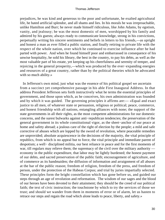prejudices, he was kind and generous to the poor and unfortunate, he exalted agricultural life, he hated artificial splendor, and all shams and lies. In his morals he was irreproachable, unlike Hamilton and Burr; he never made himself ridiculous, like John Adams, by egotism, vanity, and jealousy; he was the most domestic of men, worshipped by his family and admired by his guests; always ready to communicate knowledge, strong in his convictions, perpetually writing his sincere sentiments and beliefs in letters to his friends,—as upright and honest a man as ever filled a public station, and finally retiring to private life with the respect of the whole nation, over which he continued to exercise influence after he had parted with power. And when he found himself poor and embarrassed in consequence of his unwise hospitality, he sold his library, the best in the country, to pay his debts, as well as the most valuable part of his estate, yet keeping up his cheerfulness and serenity of temper, and rejoicing in the general prosperity,—which was produced by the ever−expanding energies and resources of a great country, rather than by the political theories which he advocated with so much ability.»

 In Jefferson's own mind, just what was the essence of his political gospel we ascertain from a succinct yet comprehensive passage in his able First Inaugural Address. In that address President Jefferson sets forth instructively what he terms the essential principles of government, and those upon which, as he conceives, his own administration was founded and by which it was guided. The governing principles it affirms are:— «Equal and exact justice to all men, of whatever state or persuasion, religious or political; peace, commerce, and honest friendship with all nations, entangling alliances with none; the support of the state governments in all their rights, as the most competent administrations for our domestic concerns, and the surest bulwarks against anti−republican tendencies; the preservation of the general government in its whole constitutional vigor, as the sheet−anchor of our peace at home and safety abroad; a jealous care of the right of election by the people; a mild and safe corrective of abuses which are lopped by the sword of revolution, where peaceable remedies are unprovided; absolute acquiescence in the decisions of the majority, the vital principle of republics, from which is no appeal but to force, the vital principle and immediate parent of despotism; a well− disciplined militia, our best reliance in peace and for the first moments of war, till regulars may relieve them; the supremacy of the civil over the military authority economy in the public expenditure, that labor may be lightly burdened; the honest payment of our debts, and sacred preservation of the public faith; encouragement of agriculture, and of commerce as its handmaiden; the diffusion of information and arraignment of all abuses at the bar of the public reason; freedom of religion, freedom of the press, and freedom of person, under the protection of the Habeas Corpus; and trial by juries impartially selected. These principles form the bright constellation which has gone before us, and guided our steps through an age of revolution and reformation. The wisdom of our sages and the blood of our heroes have been devoted to their attainment; they should be the creed of our political faith; the text of civic instruction; the touchstone by which to try the services of those we trust; and should we wander from them in moments of error or of alarm, let us hasten to retrace our steps and regain the road which alone leads to peace, liberty, and safety.»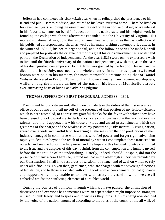Jefferson had completed his sixty−sixth year when he relinquished the presidency to his friend and pupil, James Madison, and retired to his loved Virginia home. There he lived on for seventeen years, enjoying the esteem and respect of the nation, and taking active interest in his favorite schemes on behalf of education in his native state and his helpful work in founding the college which was afterwards expanded into the University of Virginia. His interest in national affairs, up to the last, remained keen and fervid, as the vast collection of his published correspondence show, as well as his many visiting contemporaries attest. In the winter of 1825−6, his health began to fail, and in the following spring he made his will and prepared for posterity the original draft of his great historic achievement as a writer and patriot—the Declaration of Independence. As the year (1826) wore on, he expressed a wish to live until the fiftieth anniversary of the nation's independence, a wish that, as in the case of his distinguished contemporary, John Adams, was granted by the favor of Heaven, and he died on the 4th of July, mourned by the whole country. In numberless quarters, funeral honors were paid to his memory, the more memorable orations being that of Daniel Webster, delivered in Boston. To his tomb still come annually many reverent worshippers; while, among the historic shrines of the nation, his home at Monticello attracts ever−increasing hosts of loving and admiring pilgrims.

#### **THOMAS** JEFFERSON'S **FIRST INAUGURAL** ADDRESS—1801.

 Friends and fellow−citizens:—Called upon to undertake the duties of the first executive office of our country, I avail myself of the presence of that portion of my fellow−citizens which is here assmbled, to express my grateful thanks for the favor with which they have been pleased to look toward me, to declare a sincere consciousness that the task is above my talents, and that I approach it with those anxious and awful presentiments which the greatness of the charge and the weakness of my powers so justly inspire. A rising nation, spread over a wide and fruitful land, traversing all the seas with the rich productions of their industry, engaged in commerce with nations who feel power and forget right, advancing rapidly to destinies beyond the reach of mortal eye when I contemplate these transcendent objects, and see the honor, the happiness, and the hopes of this beloved country committed to the issue and the auspices of this day, I shrink from the contemplation and humble myself before the magnitude of the undertaking. Utterly, indeed, should I despair, did not the presence of many whom I here see, remind me that in the other high authorities provided by our Constitution, I shall find resources of wisdom, of virtue, and of zeal on which to rely under all difficulties. To you then, gentlemen, who are charged with the sovereign functions of legislation, and to those associated with you, I look with encouragement for that guidance and support, which may enable us to steer with safety the vessel in which we are all embarked amidst the conflicting elements of a troubled world.

 During the contest of opinions through which we have passed, the animation of discussions and exertions has sometimes worn an aspect which might impose on strangers unused to think freely, and to speak and to write as they think. But this being now decided by the voice of the nation, enounced according to the rules of the constitution, all will, of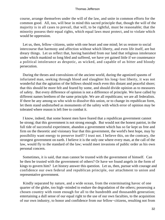course, arrange themselves under the will of the law, and unite in common efforts for the common good. All, too, will bear in mind this sacred principle that, though the will of the majority is in all cases to prevail, that will, to be rightful, must be reasonable; that the minority possess their equal rights, which equal laws must protect, and to violate which would be oppression.

 Let us, then, fellow−citizens, unite with one heart and one mind; let us restore to social intercourse that harmony and affection without which liberty, and even life itself, are but dreary things. Let us reflect that, having banished from our land that religious intolerance under which mankind so long bled and suffered, we have yet gained little if we countenance a political intolerance as despotic, as wicked, and capable of as bitter and bloody persecution.

 During the throes and convulsions of the ancient world, during the agonized spasms of infuriated man, seeking through blood and slaughter his long−lost liberty, it was not wonderful that the agitation of the billows should reach even this distant and peaceful shore; that this should be more felt and feared by some, and should divide opinion as to measures of safety. But every difference of opinion is not a difference of principle. We have called by different names brethren of the same principle. We are all republicans; we are all federalists. If there be any among us who wish to dissolve this union, or to change its republican form, let them stand undisturbed as monuments of the safety with which error of opinion may be tolerated where reason is left free to combat it.

 I know, indeed, that some honest men have feared that a republican government cannot be strong; that this government is not strong enough. But would not the honest patriot, in the full tide of successful experiment, abandon a government which has so far kept us free and firm on the theoretic and visionary fear that this government, the world's best hope, may by possibility want energy to preserve itself? I trust not. I believe this, on the contrary, the strongest government on earth. I believe it is the only one where every man, at the call of the law, would fly to the standard of the law; would meet invasions of public order as his own personal concern.

 Sometimes, it is said, that man cannot be trusted with the government of himself. Can he then be trusted with the government of others? Or have we found angels in the form of kings to govern him? Let history answer this question. Let us, then, pursue with courage and confidence our own federal and republican principle, our attachment to union and representative government.

 Kindly separated by nature, and a wide ocean, from the exterminating havoc of one quarter of the globe, too high−minded to endure the degradation of the others; possessing a chosen country with room enough for all to the hundredth and thousandth generation; entertaining a dull sense of our equal right to the use of our own faculties, to the acquisition of our own industry, to honor and confidence from our fellow−citizens, resulting not from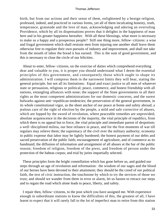birth, but from our actions and their sense of them, enlightened by a benign religion, professed, indeed, and practiced in various forms, yet all of them inculcating honesty, truth, temperance, gratutude and the love of man, acknowledging and adoring an overruling Providence, which by all its dispensations proves that it delights in the happiness of man here and in his greater happiness hereafter. With all these blessings, what more is necessary to make us a happy and a prosperous people? Still one thing more, fellow−citizens: a wise and frugal government which shall restrain men from injuring one another shall leave them otherwise free to regulate their own pursuits of industry and improvement, and shall not take from the mouth of labor the bread it has earned. This is the sum of good government, and this is necessary to close the circle of our felicities.

 About to enter, fellow−citizens, on the exercise of duties which comprehend everything dear and valuable to you, it is proper you should understand what I deem the essential principles of this government, and consequently those which ought to shape its administration. I will compress them in the narrowest limits they will bear, stating the general principle, but not all its limitations: Equal and exact justice to all men of whatever state or persuasion, religious or political; peace, commerce, and honest friendship with all nations, entangling alliances with none; the support of the State governments in all their rights as the most competent administrations for our domestic concerns, and the surest bulwarks against anti−republican tendencies; the preservation of the general government, in its whole constitutional vigor, as the sheet anchor of our peace at home and safety abroad; a jealous care of the right of election by the people, a mild and safe corrective of abuses, which are lopped by the sword of revolution, where peaceable remedies are unprovided; absolute acquiescence in the decisions of the majority, the vital principle of republics, from which there is no appeal but to force, the vital principle and immediate parent of despotism; a well−disciplined militia, our best reliance in peace, and for the first moments of war till regulars may relieve them; the supremacy of the civil over the military authority; economy in public expense that labor may be lightly burdened; the honest payment of our debts and sacred preservation of the public faith; encouragement of agriculture, and of commerce as its handmaid; the diffusion of information and arraignment of all abuses at the bar of the public reason; freedom of religion, freedom of the press, and freedom of person under the protection of the habeas corpus; and trial by juries impartially selected.

 These principles form the bright constellation which has gone before us, and guided our steps through an age of revolution and reformation: the wisdom of our sages and the blood of our heroes have been devoted to their attainment; they should be the creed of our political faith, the text of civic instruction, the touchstone by which to try the services of those we trust; and should we wander from them in error or alarm, let us hasten to retrace our steps and to regain the road which alone leads to peace, liberty, and safety.

 I repair then, fellow−citizens, to the post which you have assigned me. With experience enough in subordinate stations to know the difficulties of this, the greatest of all, I have learnt to expect that it will rarely fall to the lot of imperfect man to retire from this station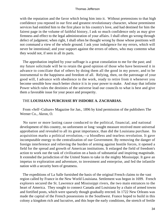with the reputation and the favor which bring him into it. Without pretensions to that high confidence you reposed in our first and greatest revolutionary character, whose preeminent services had entitled him to the first place in his country's love, and had destined for him the fairest page in the volume of faithful history, I ask so much confidence only as may give firmness and effect to the legal administration of your affairs. I shall often go wrong through defect of judgment; when right, I shall often be thought wrong by those whose positions will not command a view of the whole ground. I ask your indulgence for my errors, which will never be intentional; and your support against the errors of others, who may contemn what they would not, if seen in all its parts.

 The approbation implied by your suffrage is a great consolation to me for the past; and my future solicitude will be to retain the good opinion of those who have bestowed it in advance to conciliate that of others by doing them all the good in my power, and to be instrumental to the happiness and freedom of all. Relying, then, on the patronage of your good will, I advance with obedience to the work, ready to retire from it whenever you become sensible how much better choice it is in your power to make. And may that infinite Power which rules the destinies of the universe lead our councils to what is best and give them a favorable issue for your peace and prosperity.

#### THE **LOUISIANA PURCHASE BY ISIDORE A. ZACHARIAS.**

 From «Self−Culture» Magazine for Jan., 1896 by kind permission of the publishers The Werner Co., Akron, O.

 No surer or more lasting cause conduced to the political, financial, and national development of this country, no unforeseen or long−sought measure received more universal approbation and revealed to all its great importance, than did the Louisiana purchase. Its acquisition marks a political revolution,—a bloodless and tearless revolution. It gave incomputable energy to the centralization of our Government. By removing the danger of foreign interference and relieving the burden of arming against hostile forces, it opened a field for the spread and growth of American institutions. It enlarged the field of freedom's action to work out the task of civilization on a basis of substantial and inspiring magnitude. It extended the jurisdiction of the United States to take in the mighty Mississippi. It gave an impetus to exploration and adventure, to investment and enterprise, and fed the infantile nation with a security born of greatness.

 The expeditions of La Salle furnished the basis of the original French claims to the vast region called by France in the New World Louisiana. Settlement was begun in 1699. French explorers secured the St. Lawrence and Mississippi rivers, the two main entrances to the heart of America. They sought to connect Canada and Louisiana by a chain of armed towns and fortified posts, which were sparsely though gradually erected. In 1722 New Orleans was made the capital of the French possessions in the Southwest. France hoped to build in this colony a kingdom rich and lucrative, and this hope the early conditions, the stretch of fertile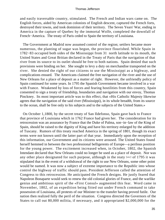and easily traversable country, stimulated. The French and Indian wars came on. The English forces, aided by American colonists of English descent, captured the French forts, destroyed their towns, and took dominion of their territory. The Seven Years' War, ending in America in the capture of Quebec by the immortal Wolfe, completed the downfall of French−America. The treaty of Paris ceded to Spain the territory of Louisiana.

 The Government at Madrid now assumed control of the region; settlers became more numerous, the planting of sugar was begun, the province flourished. While Spain in 1782−83 occupied both sides of the Mississippi from 31 north latitude to its mouth, the United States and Great Britian declared in the Treaty of Paris that the navigation of that river from its source to its outlet should be free to both nations. Spain denied that such provisions were binding on her. She sought to levy a duty on merchandise transported on the river. She denied the right of our citizens to use the Mississippi as a highway, and complications ensued. The Americans claimed the free navigation of the river and the use of New Orleans for a place of deposit as a matter of right. However, the unfriendly policy of Spain continued for some years. In 1795 the Spanish Government became involved in a war with France. Weakened by loss of forces and fearing hostilities from this country, Spain consented to sign a treaty of friendship, boundaries and navigation with our envoy, Thomas Pinckney. Its most important article was to this effect, that «His Catholic Majesty likewise agrees that the navigation of the said river (Mississippi), in its whole breadth, from its source to the ocean, shall be free only to his subjects and to the subjects of the United States.»

 On October 1,1800, by the secret treaty of San Ildefonso, Spain gave back to France that province of Louisiana which in 1762 France had given her. The consideration for its retrocession was an assurance by France that the Duke of Palma, son−in−law of the King of Spain, should be raised to the dignity of King and have his territory enlarged by the addition of Tuscany. Rumors of this treaty reached America in the spring of 1801, though its exact terms were not known until the latter part of that year. Immediately upon the reception of this information, our Government and its citizens were aroused. The United States found herself hemmed in between the two professional belligerents of Europe—a perilous position for the young power. The excitement increased when, in October, 1802, the Spanish Intendant declared that New Orleans could no longer be used as a place of deposit. Nor was any other place designated for such purpose, although in the reaty [sic] of 1795 it was stipulated that in the event of a withdrawal of the right to use New Orleans, some other point would be named. It was now a subject of extreme importance to the Republic into whose control the highway of traffic should pass. President Jefferson called the attention of Congress to this retrocession. He anticipated the French designs. He justly feared that Napoleon Bonaparte would seek to renew the old colonial glories of France, and the warlike genius and ambitious spirit of the «First Consul» augmented this fear. Word came in November, 1802, of an expedition being fitted out under French command to take possession of Louisiana, all protests of our Minister to the transfer having proved futile. Our nation then realized fully the peril of the situation. Congress directed the Governors of the States to call out 80,000 militia, if necessary, and it appropriated \$2,000,000 for the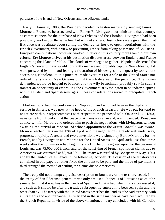purchase of the Island of New Orleans and the adjacent lands.

 Early in January, 1803, the President decided to hasten matters by sending James Monroe to France, to be associated with Robert R. Livingston, our minister to that country, as commissioners for the purchase of New Orleans and the Floridas. Livingston had been previously working on the same line, but without success. Instructions were given them that if France was obstinate about selling the desired territory, to open negotiations with the British Government, with a view to preventing France from taking possession of Louisiana. European complications, however, worked in favor of this country more than did our own efforts. Ere Monroe arrived at his destination disputes arose between England and France concerning the Island of Malta. The clouds of war began to gather. Napoleon discerned that England's powerful navy would constantly menace and probably capture New Orleans, if it were possessed by him, and fearing a frustration of his designs of conquest by too remote accessions, Napoleon, at this juncture, made overtures for a sale to the United States not only of the Island of New Orleans but of the whole area of the province. The money demanded would be helpful to France, and the wily Frenchman probably saw in such a transfer an opportunity of embroiling the Government at Washington in boundary disputes with the British and Spanish soverigns. These considerations served to precipitate French action.

 Marbois, who had the confidence of Napoleon, and who had been in the diplomatic service in America, was now at the head of the French Treasury. He was put forward to negotiate with our representatives with respect to the proposed sale. On April 1O, 1803, news came from London that the peace of Amiens was at an end; war impended. Bonaparte at once sent for Marbois and ordered him to push the negotiations with Livingston, without awaiting the arrival of Monroe, of whose appointment the «First Consul» was aware. Monroe reached Paris on the 12th of April, and the negotiations, already well under way, progressed rapidly. A treaty and two conventions were signed by Barbe−Marbois for the French, and by Livingston and Monroe for the United States, on April 30th, less than three weeks after the commission had begun its work. The price agreed upon for the cession of Louisiana was 75,000,000 francs, and for the satisfying of French spoliation claims due to Americans was estimated at \$3,750,000. The treaty was ratified by Bonaparte in May, 1803, and by the United States Senate in the following October. The cession of the territory was contained in one paper, another fixed the amount to be paid and the mode of payment, a third arranged the method of settling the claims due to Americans.

 The treaty did not attempt a precise description or boundary of the territory ceded. In the treaty of San Ildefonso general terms only are used. It speaks of Louisiana as of «the same extent that it now has in the hands of Spain, and that it had when France possessed it, and such as it should be after the treaties subsequently entered into between Spain and the other States.» The treaty with the United States describes the land as «the said territory, with all its rights and appurtenances, as fully and in the same manner as have been acquired by the French Republic, in virtue of the above−mentioned treaty concluded with his Catholic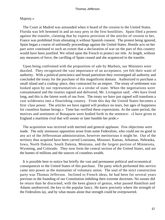### Majesty.»

 The Court at Madrid was astounded when it heard of the cession to the United States. Florida was left hemmed in and an easy prey in the first hostilities. Spain filed a protest against the transfer, claiming that by express provision of the articles of cession to her, France was prohibited from alienating it without Spanish consent. The protest being ignored, Spain began a course of unfriendly proceedings against the United States. Hostile acts on her part were continued to such an extent that a declaration of war on the part of this country would have been justified. We relied upon the French to protect our title. At length, without any measures of force, the cavilling of Spain ceased and she acquiesced in the transfer.

 Upon being confronted with the proposition of sale by Marbois, our Ministers were dazzled. They recognized the vast importance of an acceptance, yet felt their want of authority. With a political prescience and broad patriotism they overstepped all authority and concluded the treaty for the purchase of this magnificent domain. Authorized to purchase a small island and a coaling–place, they contracted for an empire. The treaty of settlement was looked upon by our representatives as a stroke of state. When the negotiations were consummated and the treaties signed and delivered, Mr. Livingston said: «We have lived long, and this is the fairest work of our lives. The treaty we have just signed will transform a vast wilderness into a flourishing country. From this day the United States becomes a first−class power. The articles we have signed will produce no tears, but ages of happiness for countless human beings.» Time has verified these expressions. At the same period, the motives and sentiment of Bonaparte were bodied forth in the sentence: «I have given to England a maritime rival that will sooner or later humble her pride.»

 The acquisition was received with merited and general applause. Few objections were made. The only strenuous opposition arose from some Federalists, who could see no good in any act of the Jeffersonian administration, however meritorious it might be. Out of the territory thus acquired have been carved Louisiana, Missouri, Kansas, Arkansas, Nebraska, Iowa, North Dakota, South Dakota, Montana, and the largest portion of Minnesota, Wyoming, and Colorado. They now form the central section of the United States, and are the homes of millions and the sources of countless wealth.

 It is possible here to notice but briefly the vast and permanent political and economical consequences to the United States of this purchase. The party which performed this service came into power as the maintainer of voluntary union. The soul of the strict construction party was Thomas Jefferson. Inclined to French ideas, he had been for several years previous to the founding of our Constitution imbibing their extreme doctrines. No sooner did he return than he discerned, with the keen glance of genius, what passed Hamilton and Adams unobserved, the key to the popular fancy. He knew precisely where the strength of the Federalists lay, and by what means alone that strength could be overpowered.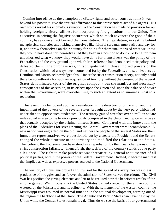Coming into office as the champion of «State−rights and strict construction,» it was beyond his power to give theoretical affirmance to this transcendent act of his agents. His own words reveal his anomalous situation: «The Constitution has made no provision for our holding foreign territory, still less for incorporating foreign nations into our Union. The executive, in seizing the fugitive occurrence which so much advances the good of their country, have done an act beyond the Constitution. The Legislature, in casting behind metaphysical subleties and risking themselves like faithful servants, must ratify and pay for it, and throw themselves on their country for doing for them unauthorized what we know they would have done for themselves had they been in a position to do it.» «Doing for them unauthorized what we know they would have done for themselves» was the policy of the Federalists, and the very ground upon which Mr. Jefferson had denounced their policy and defeated them. The purchase was, in fact, quite within those implied powers of the Constitution which had always been contended for by the Federalists, and such leaders as Hamilton and Morris acknowledged this. Under the strict construction theory, not only could there be no authority for such an acquisition of territory without the consent of the several States denominated «part of the original compact,» but the manifest and necessary consequences of this accession, in its effects upon the Union and upon the balance of power within the Government, were overwhelming to such an extent as to amount almost to a revolution.

 This event may be looked upon as a revolution in the direction of unification and the impairment of the powers of the several States, brought about by the very party which had undertaken to oppose such tendencies. The territory gained stretches over a million square miles equal in area to the territory previously comprised in the Union, and twice as large as that actually occupied by the original thirteen States. Compared with this innovation, the plans of the Federalists for strengthening the Central Government were inconsiderable. A new nation was engrafted on the old, and neither the people of the several States nor their immediate representatives were questioned; but by a treaty the President and the Senate changed the whole structure of the territory and modified the relations of the States. Thenceforth, the Louisiana purchase stood as a repudiation by their own champions of the strict construction fallacies. Thenceforth, the welfare of the country stands above party allegiance. The right to make purchases was thereafter, by general acquiescence of all political parties, within the powers of the Federal Government. Indeed, it became manifest that implied as well as expressed powers accrued to the National Government.

 The territory of Louisiana proved a fruitful soil for the spread of slavery, nor was it less productive of struggles and strife over the admission of States carved therefrom. The Civil War has pacified the jarring elements and left to be realized now the beneficent results of the empire gained. With Louisiana the United States gained control of the entire country watered by the Mississippi and its effluents. With the settlement of the western country, the Mississippi river assumed its normal function in the national development, forming out of that region the backbone of the Union. The Atlantic and Pacific States can never destroy the Union while the Central States remain loyal. Thus do we see the basis of our governmental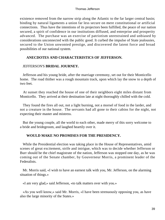existence removed from the narrow strip along the Atlantic to the far larger central basin; binding by natural ligaments a union far less secure on mere constitutional or artificial connections. Thus have the intentions of its projectors been fulfilled, the peace of our nation secured, a spirit of confidence in our institutions diffused, and enterprise and prosperity advanced. The purchase was an exercise of patriotism unrestrained and unbiased by considerations unconnected with the public good. It curbed the impulse of State jealousies, secured to the Union unwonted prestige, and discovered the latent force and broad possibilities of our national system.

# **ANECDOTES AND CHARACTERISTICS OF JEFFERSON.**

### JEFFERSON'S **BRIDAL JOURNEY.**

 Jefferson and his young bride, after the marriage ceremony, set out for their Monticello home. The road thither was a rough mountain track, upon which lay the snow to a depth of two feet.

 At sunset they reached the house of one of their neighbors eight miles distant from Monticello. They arrived at their destination late at night thoroughly chilled with the cold.

 They found the fires all out, not a light burning, not a morsel of food in the larder, and not a creature in the house. The servants had all gone to their cabins for the night, not expecting their master and mistress.

 But the young couple, all the world to each other, made merry of this sorry welcome to a bride and bridegroom, and laughed heartily over it.

## **WOULD MAKE NO PROMISES FOR THE PRESIDENCY.**

 While the Presidential election was taking place in the House of Representatives, amid scenes of great excitement, strife and intrigue, which was to decide whether Jefferson or Burr should be the chief magistrate of the nation, Jefferson was stopped one day, as he was coming out of the Senate chamber, by Gouverneur Morris, a prominent leader of the Federalists.

 Mr. Morris said, «I wish to have an earnest talk with you, Mr. Jefferson, on the alarming situation of things.»

«I am very glad,» said Jefferson, «to talk matters over with you.»

 «As you well know,» said Mr. Morris, «I have been strenuously opposing you, as have also the large minority of the States.»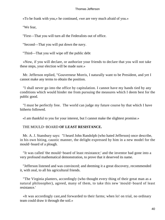«To be frank with you,» he continued, «we are very much afraid of you.»

"We fear,

"First—That you will turn all the Federalists out of office.

"Second—That you will put down the navy.

"Third—That you will wipe off the public debt

 «Now, if you will declare, or authorize your friends to declare that you will not take these steps, your election will be made sure.»

 Mr. Jefferson replied, "Gouverneur Morris, I naturally want to be President, and yet I cannot make any terms to obtain the position.

 "I shall never go into the office by capitulation. I cannot have my hands tied by any conditions which would hinder me from pursuing the measures which I deem best for the public good.

 "I must be perfectly free. The world can judge my future course by that which I have hitherto followed.

«I am thankful to you for your interest, but I cannot make the slightest promise.»

# THE MOULD−BOARD **OF LEAST RESISTANCE.**

 Mr. A. J. Stansbury says: "I heard John Randolph (who hated Jefferson) once describe, in his own biting, caustic manner, the delight expressed by him in a new model for the mould−board of a plough.

 "It was called 'the mould−board of least resistance;' and the inventor had gone into a very profound mathematical demonstration, to prove that it deserved its name.

 "Jefferson listened and was convinced; and deeming it a great discovery, recommended it, with zeal, to all his agricultural friends.

 "The Virginia planters, accordingly (who thought every thing of their great man as a natural philosopher), agreed, many of them, to take this new 'mould−board of least resistance.'

 «It was accordingly cast,and forwarded to their farms; when lo! on trial, no ordinary team could draw it through the soil.»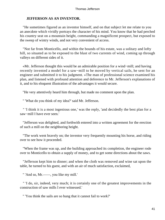# **JEFFERSON AS AN INVENTOR.**

 "He sometimes figured as an inventor himself, and on that subject let me relate to you an anecdote which vividly portrays the character of his mind. You know that he had perched his country seat on a mountain height, commanding a magnificent prospect, but exposed to the sweep of wintry winds, and not very convenient of access.

 "Not far from Monticello, and within the bounds of his estate, was a solitary and lofty hill, so situated as to be exposed to the blast of two currents of wind, coming up through valleys on different sides of it.

 «Mr. Jefferson thought this would be an admirable position for a wind−mill; and having recently invented a model for a saw−mill to be moved by vertical sails, he sent for an engineer and submitted it to his judgment. »The man of professional science examined his plan, and listened with profound attention and deference to Mr. Jefferson's explanations of it, and to his eloquent illustration of the advantages it would secure.

"He very attentively heard him through, but made no comment upon the plan.

" 'What do you think of my idea?' said Mr. Jefferson.

 " 'I think it is a most ingenious one,' was the reply, 'and decidedly the best plan for a saw−mill I have ever seen.'

 "Jefferson was delighted, and forthwith entered into a written agreement for the erection of such a mill on the neighboring height.

 "The work went bravely on; the inventor very frequently mounting his horse, and riding over to see how it proceeded.

 "When the frame was up, and the building approached its completion, the engineer rode over to Monticello to obtain a supply of money, and to get some directions about the saws.

 "Jefferson kept him to dinner; and when the cloth was removed and wine sat upon the table, he turned to his guest, and with an air of much satisfaction, exclaimed,

" 'And so, Mr.——, you like my mill.'

 " 'I do, sir, indeed, very much; it is certainly one of the greatest improvements in the construction of saw mills I ever witnessed.'

" 'You think the sails are so hung that it cannot fail to work?'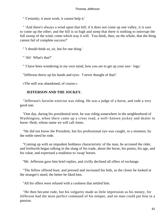" 'Certainly; it must work, it cannot help it.'

 " 'And there's always a wind upon that hill; if it does not come up one valley, it is sure to come up the other; and the hill is so high and steep that there is nothing to interrupt the full sweep of the wind, come which way it will. You think, then, on the whole, that the thing cannot fail of complete success?'

" 'I should think so, sir, but for one thing.'

" 'Ah! What's that?'

" 'I have been wondering in my own mind, how you are to get up your saw− logs.'

"Jefferson threw up his hands and eyes: 'I never thought of that!'

«The mill was abandoned, of course.»

# **JEFFERSON AND THE JOCKEY.**

 "Jefferson's favorite exercise was riding. He was a judge of a horse, and rode a very good one.

 "One day, during his presidential term, he was riding somewhere in the neighborhood of Washington, when there came up a cross road, a well−known jockey and dealer in horse−flesh, whose name we will call Jones.

 "He did not know the President, but his professional eye was caught, in a moment, by the noble steed he rode.

 "Coming up with an impudent boldness characteristic of the man, he accosted the rider, and forthwith began talking in the slang of his trade, about the horse, his points, his age, and his value, and expressed a readiness to 'swap' horses.

"Mr. Jefferson gave him brief replies, and civilly declined all offers of exchange.

 "The fellow offered boot, and pressed and increased his bids, as the closer he looked at the stranger's steed, the better he liked him.

"All his offers were refused with a coolness that nettled him.

 "He then became rude, but his vulgarity made as little impression as his money, for Jefferson had the most perfect command of his temper, and no man could put him in a passion.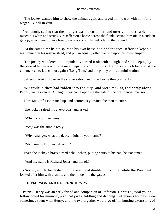"The jockey wanted him to show the animal's gait, and urged him to trot with him for a wager. But all in vain.

 "At length, seeing that the stranger was no customer, and utterly impracticable, he raised his whip and struck Mr. Jefferson's horse across the flank, setting him off in a sudden gallop, which would have brought a less accomplished rider to the ground.

 "At the same time he put spurs to his own beast, hoping for a race. Jefferson kept his seat, reined in his restive steed, and put an equally effective rein upon his own temper.

 "The jockey wondered; but impudently turned it off with a laugh, and still keeping by the side of his new acquaintance, began talking politics. Being a staunch Federalist, he commenced to launch out against 'Long Tom,' and the policy of his administration.

"Jefferson took his part in the conversation, and urged some things in reply.

 "Meanwhile they had ridden into the city, and were making their way along Pennsylvania avenue. At length they came opposite the gate of the presidential mansion.

"Here Mr. Jefferson reined up, and courteously invited the man to enter.

"The jockey raised his eye−brows, and asked—

" 'Why, do you live here?'

" 'Yes,' was the simple reply.

" 'Why, stranger, what the deuce might be your name?'

" 'My name is Thomas Jefferson.'

"Even the jockey's brass turned pale—when, putting spurs to his nag, he exclaimed—

" 'And my name is Richard Jones, and I'm ok!'

 «Saying which, he dashed up the avenue at double quick time, while the President looked after him with a smile, and then rode into the gate.»

## **JEFFERSON AND PATRICK HENRY.**

 Patrick Henry was an early friend and companion of Jefferson. He was a jovial young fellow noted for mimicry, practical jokes, fiddling and dancing. Jefferson's holidays were sometimes spent with Henry, and the two together would go off on hunting excursions of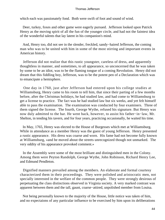which each was passionately fond. Both were swift of foot and sound of wind.

 Deer, turkey, foxes and other game were eagerly pursued. Jefferson looked upon Patrick Henry as the moving spirit of all the fun of the younger circle, and had not the faintest idea of the wonderful talents that lay latent in his companion's mind.

 And, Henry too, did not see in the slender, freckled, sandy−haired Jefferson, the coming man who was to be united with him in some of the most stirring and important events in American history.

 Jefferson did not realize that this rustic youngster, careless of dress, and apparently thoughtless in manner, and sometimes, to all appearance, so unconcerned that he was taken by some to be an idiot, was to be the flaming tongue of a coming Revolution. Henry did not dream that this fiddling boy, Jefferson, was to be the potent pen of a Declaration which was to emancipate a hemisphere.

 One day in 1760, just after Jefferson had entered upon his college studies at Williamsburg, Henry came to his room to tell him, that since their parting of a few months before, after the Christmas holidays, he had studied law, and had come to Williamsburg to get a license to practice. The fact was he had studied law but six weeks, and yet felt himself able to pass the examination. The examination was conducted by four examiners. Three of them signed the license. The fourth, George Wythe, refused his signature. But Henry was now duly admitted to the bar. He went back, however, to assist his father−in−law, Mr. Shelton, in tending his tavern, and for four years, practicing occasionally, he waited his time.

 In May, 1765, Henry was elected to the House of Burgesses which met at Williamsburg. While in attendance as a member Henry was the guest of young Jefferson. Henry presented a rustic appearance. His dress was coarse and worn. His fame had not become fully known at Williamsburg, «and he moved about the streets unrecognized though not unmarked. The very oddity of his appearance provoked comment.»

 In the Assembly were some of the most brilliant and distinguished men in the Colony. Among them were Peyton Randolph, George Wythe, John Robinson, Richard Henry Lee, and Edmund Pendleton.

 Dignified manners prevailed among the members. An elaborate and formal courtesy characterized them in their proceedings. They were polished and aristocratic men, not specially interested in the welfare of the common people. They were strongly desirous of perpetuating the class distinctions observed in Virginia society. A very marked contrast was apparent between them and the tall, gaunt, coarse−attired, unpolished member from Louisa.

 Not being personally known to the majority of the House, little notice was taken of him, and no expectaions of any particular influence to be exercised by him upon its deliberations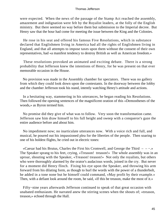were expected. When the news of the passage of the Stamp Act reached the assembly, amazement and indignation were felt by the Royalist leaders, at the folly of the English ministry. But there seemed no way before them but submission to the Imperial decree. But Henry saw that the hour had come for meeting the issue between the King and the Colonies.

 He rose in his seat and offered his famous Five Resolutions, which in substance declared that Englishmen living in America had all the rights of Englishmen living in England, and that all attempts to impose taxes upon them without the consent of their own representatives, had «a manifest tendency to destroy British as well as American freedom.»

 These resolutions provoked an animated and exciting debate. There is a strong probability that Jefferson knew the intentions of Henry, for he was present on that ever memorable occasion in the House.

 No provision was made in the Assembly chamber for spectators. There was no gallery from which they could look down upon the contestants. In the doorway between the lobby and the chamber Jefferson took his stand, intently watching Henry's attitude and actions.

 In a hesitating way, stammering in his utterances, he began reading his Resolutions. Then followed the opening sentences of the magnificent oration of this «Demosthenes of the woods,» as Byron termed him.

 No promise did they give of what was to follow. Very soon the transformation came. Jefferson saw him draw himself to his full height and sweep with a conqueror's gaze the entire audience before and about him.

 No impediment now; no inarticulate utterances now. With a voice rich and full, and musical, he poured out his impassioned plea for the liberties of the people. Then soaring to one of his boldest flights, he cried out in electric tones:

 «Caesar had his Brutus, Charles the First his Cromwell, and George the Third – – −.» The Speaker sprang to his feet, crying, «Treason! treason!» The whole assembly was in an uproar, shouting with the Speaker, «Treason! treason!» Not only the royalists, but others who were thoroughly alarmed by the orator's audacious words, joined in the cry. But never for a moment did Henry flinch. Fixing his eye upon the Speaker, and throwing his arm forward from his dilating form, as though to hurl the words with the power of a thunderbolt, he added in a tone none but he himself could command, «May profit by their example.» Then, with a defiant look around the room, he said, «If this be treason, make the most of it.»

 Fifty−nine years afterwards Jefferson continued to speak of that great occasion with unabated enthusiasm. He narrated anew the stirring scenes when the shouts of; «treason, treason,» echoed through the Hall.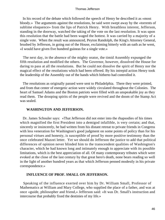In his record of the debate which followed the speech of Henry he described it as «most bloody.» The arguments against the resolutions, he said were swept away by the «torrents of sublime eloquence» from the lips of Patrick Henry. With breathless interest, Jefferson, standing in the doorway, watched the taking of the vote on the last resolution. It was upon this resolution that the battle had been waged the hottest. It was carried by a majority of a single vote. When the result was announced, Peyton Randolph, the King's Attorney General, brushed by Jefferson, in going out of the House, exclaiming bitterly with an oath as he went, «I would have given five hundred guineas for a single vote.»

 The next day, in the absence of the mighty orator, the timid Assembly expunged the fifth resolution and modified the others. The Governor, however, dissolved the House for daring to pass at all the resolutions. But he could not dissolve the spirit of Henry nor the magical effect of the resolutions which had been offered. By his intrepid action Henry took the leadership of the Assembly out of the hands which hitherto had controlled it.

 The resolutions as originally passed were sent to Philadelphia. There they were printed, and from that center of energetic action were widely circulated throughout the Colonies. The heart of Samuel Adams and the Boston patriots were filled with an unspeakable joy as they read them. The drooping spirits of the people were revived and the doom of the Stamp Act was sealed.

## **WASHINGTON AND JEFFERSON.**

 Dr. James Schouler says: «That Jefferson did not enter into the rhapsodies of his times which magnified the first President into a demigod infallible, is very certain; and that, sincerely or insincerely, he had written from his distant retreat to private friends in Congress with less veneration for Washington's good judgment on some points of policy than for his personal virtues and honesty, is susceptible of proof by more positive testimony than the once celebrated Mazzei letter. Yet we should do Jefferson the justice to add that political differences of opinion never blinded him to the transcendent qualities of Washington's character, which he had known long and intimately enough to appreciate with its possible limitations, which is the best appreciation of all. Of many contemporary tributes which were evoked at the close of the last century by that great hero's death, none bears reading so well in the light of another hundred years as that which Jefferson penned modestly in his private correspondence.»

### **INFLUENCE OF PROF. SMALL ON JEFFERSON.**

 Speaking of the influence exerted over him by Dr. William Small, Professor of Mathematics at William and Mary College, who supplied the place of a father, and was at once «guide, philosopher and friend,» Jefferson said: «It was Dr. Small's instruction and intercourse that probably fixed the destinies of my life.»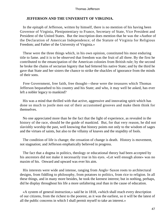### **JEFFERSON AND THE UNIVERSITY OF VIRGINIA.**

 In the epitaph of Jefferson, written by himself, there is no mention of his having been Governor of Virginia, Plenipotentiary to France, Secretary of State, Vice President and President of the United States. But the inscription does mention that he was the «Author of the Declaration of American Independence; of the Statute of Virginia for Religious Freedom; and Father of the University of Virginia.»

 These were the three things which, in his own opinion, constituted his most enduring title to fame. and it is to be observed that freedom was the fruit of all three. By the first he contributed to the emancipation of the American colonies from British rule; by the second he broke the chains of sectarian bigotry that had fettered his native State; and by the third he gave that State and her sisters the chance to strike the shackles of ignorance from the minds of their sons.

 Free Government, free faith, free thought—these were the treasures which Thomas Jefferson bequeathed to his country and his State; and who, it may well be asked, has ever left a nobler legacy to mankind?

 His was a mind that thrilled with that active, aggressive and innovating spirit which has done so much to jostle men out of their accustomed grooves and make them think for themselves.

 No one appreciated more than he the fact that the light of experience, as revealed in the history of the race, should be the guide of mankind. But, for that very reason, he did not slavishly worship the past, well knowing that history points not only to the wisdom of sages and the virtues of saints, but also to the villainy of knaves and the stupidity of fools.

 The condition of life is change; the cessation of change is death. History is movement, not stagnation; and Jefferson emphatically believed in progress.

 The fact that a dogma in politics, theology or educational theory had been accepted by his ancestors did not make it necessarily true in his eyes. «Let well enough alone» was no maxim of his. Onward and upward was ever his aim.

 His interests were wide and intense, ranging from Anglo−Saxon roots to architectural designs, from fiddling to philosophy, from potatoes to politics, from rice to religion. In all these things, and in many more besides, he took the keenest interest; but in nothing, perhaps, did he display throughout his life a more unfaltering zeal than in the cause of education.

 «A system of general instruction,» said he in 1818, «which shall reach every description of our citizens, from the richest to the poorest, as it was the earliest, so it will be the latest of all the public concerns in which I shall permit myself to take an interest.»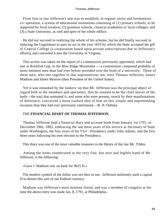From first to last Jefferson's aim was to establish, in organic union and harmonious co−operation, a system of educational institutions consisting of (1) primary schools, to be supported by local taxation; (2) grammar schools, classical academies or local colleges; and (3) a State University, as roof and spire of the whole edifice.

 He did not succeed in realizing the whole of his scheme, but he did finally succeed in inducing the Legislature to pass an act in the year 1819 by which the State accepted the gift of Central College (a corporation based upon private subscriptions due to Jefferson's efforts), and converted it into the University of Virginia.

 This action was taken on the report of a commission previously appointed, which had met at Rockfish Gap, in the Blue Ridge Mountains — a commission composed probably of more eminent men than had ever before presided over the birth of a university. Three of these men, who met together in that unpretentious inn, were Thomas Jefferson, James Madison and James Monroe (then President of the United States).

 Yet it was remarked by the lookers−on that Mr. Jefferson was the principal object of regard both to the members and spectators; that he seemed to be the chief mover of the body—the soul that animated it; and some who were present, struck by their manifestations of deference, conceived a more exalted idea of him on this simple and unpretending occasion than they had ever previously entertained.—R. H. Dabney.

## THE **FINANCIAL DIARY OF THOMAS JEFFERSON.**

 Thomas Jefferson kept a financial diary and account book from January 1st 1791, to December 28th, 1803, embracing the last three years of his service as Secretary of State under Washington, the four years of his Vice− Presidency under John Adams, and the first three years following his own election to the Presidency.

This diary was one of the most valuable treasures in the library of the late Mr. Tilden.

 Among the items enumerated in the very fine, but neat and legible hand of Mr. Jefferson, is the following:

«Gave J. Madison ord. on bank for 9625 D.»

 The modern symbol of the dollar was not then in use. Jefferson uniformly used a capital D to denote this unit of our Federal currency.

 Madison was Jefferson's most intimate friend, and was a member of congress at the time the above entry was made Jan. 8, 1791, at Philadelphia.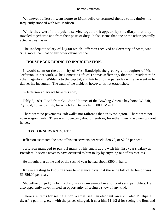Whenever Jefferson went home to Monticello or returned thence to his duties, he frequently stopped with Mr. Madison.

While they were in the public service together, it appears by this diary, that they traveled together to and from their posts of duty. It also seems that one or the other generally acted as paymaster.

 The inadequate salary of \$3,500 which Jefferson received as Secretary of State, was \$500 more than that of any other cabinet officer.

## **HORSE BACK RIDING TO INAUGURATION.**

 It would seem on the authority of Mrs. Randolph, the great−granddaughter of Mr. Jefferson, in her work, «The Domestic Life of Thomas Jefferson,» that the President rode «the magnificent Wildair» to the capitol, and hitched to the palisades while he went in to deliver his inaugural. The truth of the incident, however, is not established.

In Jefferson's diary we have this entry:

 Feb'y 3, 1801, Rec'd from Col. John Hoomes of the Bowling Green a bay horse Wildair, 7 yr. old, 16 hands high, for which I am to pay him 300 D May 1.

 There were no pavements, sidewalks nor railroads then in Washington. There were not even wagon roads. There was no getting about, therefore, for either men or women without horses.

## **COST OF SERVANTS,** ETC.

Jefferson estimated the cost of his ten servants per week, \$28.70, or \$2.87 per head.

 Jefferson managed to pay off many of his small debts with his first year's salary as President. It seems never to have occurred to him to lay by anything out of his receipts.

He thought that at the end of the second year he had about \$300 in hand.

 It is interesting to know in these temperance days that the wine bill of Jefferson was \$1,356.00 per year.

 Mr. Jefferson, judging by his diary, was an inveterate buyer of books and pamphlets. He also apparently never missed an opportunity of seeing a show of any kind.

 There are items for seeing a lion, a small seal, an elephant, an elk, Caleb Phillips a dwarf, a painting, etc., with the prices charged. It cost him 11 1/2 d for seeing the lion, and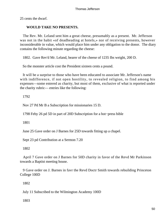25 cents the dwarf.

# **WOULD TAKE NO PRESENTS.**

 The Rev. Mr. Leland sent him a great cheese, presumably as a present. Mr. Jefferson was not in the habit «of deadheading at hotels,» nor of receiving presents, however inconsiderable in value, which would place him under any obligation to the donor. The diary contains the following minute regarding the cheese:

1802. Gave Rev'd Mr. Leland, bearer of the cheese of 1235 Ibs weight, 200 D.

So the monster article cost the President sixteen cents a pound.

 It will be a surprise to those who have been educated to associate Mr. Jefferson's name with indifference, if not open hostility, to revealed religion, to find among his expenses—some entered as charity, but most of them, exclusive of what is reported under the charity rubric— entries like the following:

1792

Nov 27 Pd Mr B a Subscription for missionaries 15 D.

1798 Feby 26 pd 5D in part of 20D Subscription for a hot−press bible

1801

June 25 Gave order on J Barnes for 25D towards fitting up a chapel.

Sept 23 pd Contribution at a Sermon 7.20

1802

 April 7 Gave order on J Barnes for 50D charity in favor of the Revd Mr Parkinson towards a Baptist meeting house.

 9 Gave order on J. Barnes in favr the Revd Doctr Smith towards rebuilding Princeton College 100D

1802

July 11 Subscribed to the Wilmington Academy 100D

1803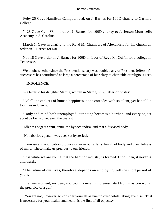Feby 25 Gave Hamilton Campbell ord. on J. Barnes for 100D charity to Carlisle College.

 " 28 Gave Genl Winn ord. on J. Barnes for 100D charity to Jefferson Monticello Academy in S. Carolina.

 March 1. Gave in charity to the Revd Mr Chambers of Alexandria for his church an order on J. Barnes for 50D

 Nov 18 Gave order on J. Barnes for 100D in favor of Revd Mr Coffin for a college in Tennessee.

 We doubt whether since the Presidential salary was doubled any of President Jefferson's successors has contributed as large a percentage of his salary to charitable or religious uses.

# **INDOLENCE.**

In a letter to his daughter Martha, written in March,1787, Jefferson writes:

 "Of all the cankers of human happiness, none corrodes with so silent, yet baneful a tooth, as indolence.

 "Body and mind both unemployed, our being becomes a burthen, and every object about us loathsome, even the dearest.

"Idleness begets ennui, ennui the hypochondria, and that a diseased body.

"No laborious person was ever yet hysterical.

 "Exercise and application produce order in our affairs, health of body and cheerfulness of mind. These make us precious to our friends.

 "It is while we are young that the habit of industry is formed. If not then, it never is afterwards.

 "The future of our lives, therefore, depends on employing well the short period of youth.

 "If at any moment, my dear, you catch yourself in idleness, start from it as you would the precipice of a gulf.

 «You are not, however, to consider yourself as unemployed while taking exercise. That is necessary for your health, and health is the first of all objects.»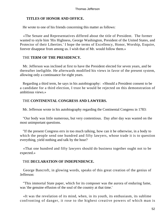# **TITLES OF HONOR AND OFFICE.**

He wrote to one of his friends concerning this matter as follows:

 «The Senate and Representatives differed about the title of President. The former wanted to style him 'His Highness, George Washington, President of the United States, and Protector of their Liberties.' I hope the terms of Excellency, Honor, Worship, Esquire, forever disappear from among us. I wish that of Mr. would follow them.»

# THE **TERM OF THE PRESIDENCY.**

 Mr. Jefferson was inclined at first to have the President elected for seven years, and be thereafter ineligible. He afterwards modified his views in favor of the present system, allowing only a continuance for eight years.

 Regarding a third term, he says in his autobiography: «Should a President consent to be a candidate for a third election, I trust he would be rejected on this demonstration of ambitious views.»

# THE **CONTINENTAL CONGRESS AND LAWYERS.**

Mr. Jefferson wrote in his autobiography regarding the Continental Congress in 1783:

 "Our body was little numerous, but very contentious. Day after day was wasted on the most unimportant questions.

 "If the present Congress errs in too much talking, how can it be otherwise, in a body to which the people send one hundred and fifty lawyers, whose trade it is to question everything, yield nothing and talk by the hour?

 «That one hundred and fifty lawyers should do business together ought not to be expected.»

# THE **DECLARATION OF INDEPENDENCE.**

 George Bancroft, in glowing words, speaks of this great creation of the genius of Jefferson:

 "This immortal State paper, which for its composer was the aurora of enduring fame, was 'the genuine effusion of the soul of the country at that time.'

 «It was the revelation of its mind, when, in its youth, its enthusiasm, its sublime confronting of danger, it rose to the highest creative powers of which man is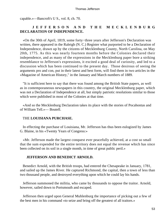capable.»—Bancroft's U S., vol. 8, ch. 70.

# **JEFFERSON AND THE MECKLENBURG DECLARATION OF INDEPENDENCE.**

 «On the 30th of April, 1819, some forty−three years after Jefferson's Declaration was written, there appeared in the Raleigh (N. C.) Register what purported to be a Declaration of Independence, drawn up by the citizens of Mecklenburg County, North Carolina, on May 20th, 1775. As this was nearly fourteen months before the Colonies declared their independence, and as many of the expressions in the Mecklenburg paper bore a striking resemblance to Jefferson's expressions, it excited a good deal of curiosity, and led to a discussion which has been continued to the present day. Those desirous of seeing the arguments pro and con, put in their latest and best form, will find them in two articles in the »Magazine of American History," in the January and March numbers of 1889.

 "It is sufficient here to say that there was found among the British State papers, as well as in contemporaneous newspapers in this country, the original Mecklenburg paper, which was not a Declaration of Independence at all, but simply patriotic resolutions similar to those which were published in most of the Colonies at that time.

 «And so the Mecklenburg Declaration takes its place with the stories of Pocahontas and of William Tell.»— Boutell.

## THE **LOUISIANA PURCHASE.**

 In effecting the purchase of Louisiana, Mr. Jefferson has thus been eulogized by James G. Blaine, in his «Twenty Years of Congress:»

 «Mr. Jefferson made the largest conquest ever peacefully achieved, at a cost so small that the sum expended for the entire territory does not equal the revenue which has since been collected on its soil in a single month, in time of great public peril.»

#### **JEFFERSON AND BENEDICT ARNOLD.**

 Benedict Arnold, with the British troops, had entered the Chesapeake in January, 1781, and sailed up the James River. He captured Richmond, the capital, then a town of less than two thousand people, and destroyed everything upon which he could lay his hands.

 Jefferson summoned the militia, who came by thousands to oppose the traitor. Arnold, however, sailed down to Portsmouth and escaped.

 Jefferson then urged upon General Muhlenburg the importance of picking out a few of the best men in his command «to seize and bring off the greatest of all traitors.»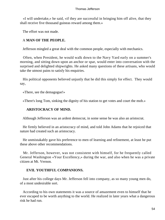«I will undertake,» he said, «if they are successful in bringing him off alive, that they shall receive five thousand guineas reward among them.»

The effort was not made.

# A **MAN OF THE PEOPLE.**

Jefferson mingled a great deal with the common people, especially with mechanics.

 Often, when President, he would walk down to the Navy Yard early on a summer's morning, and sitting down upon an anchor or spar, would enter into conversation with the surprised and delighted shipwrights. He asked many questions of these artisans, who would take the utmost pains to satisfy his enquiries.

 His political opponents believed unjustly that he did this simply for effect. They would say,

«There, see the demagogue!»

«There's long Tom, sinking the dignity of his station to get votes and court the mob.»

### **ARISTOCRACY OF MIND.**

Although Jefferson was an ardent democrat, in some sense he was also an aristocrat.

 He firmly believed in an aristocracy of mind, and told John Adams that he rejoiced that nature had created such an aristocracy.

 He unmistakably gave his preference to men of learning and refinement, at least he put these above other recommendations.

 Mr. Jefferson, however, was not consistent with himself, for he frequently called General Washington «Your Excellency,» during the war, and also when he was a private citizen at Mt. Vernon.

### **EVIL YOUTHFUL COMPANIONS.**

 Just after his college days Mr. Jefferson fell into company, as so many young men do, of a most undesirable sort.

 According to his own statements it was a source of amazement even to himself that he ever escaped to be worth anything to the world. He realized in later years what a dangerous risk he had run.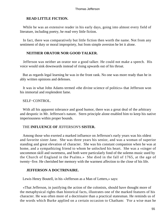# **READ LITTLE FICTION.**

While he was an extensive reader in his early days, going into almost every field of literature, including poetry, he read very little fiction.

 In fact, there was comparatively but little fiction then worth the name. Not from any sentiment of duty or moral impropriety, but from simple aversion he let it alone.

# **NEITHER ORATOR NOR GOOD TALKER.**

 Jefferson was neither an orator nor a good talker. He could not make a speech. His voice would sink downwards instead of rising upwards out of his throat.

 But as regards legal learning he was in the front rank. No one was more ready than he in ably written opinions and defenses.

 It was in what John Adams termed «the divine science of politics» that Jefferson won his immortal and resplendent fame.

# SELF−CONTROL.

With all his apparent tolerance and good humor, there was a great deal of the arbitrary and despotic in Mr. Jefferson's nature. Stern principle alone enabled him to keep his native imperiousness within proper bounds.

## THE **INFLUENCE OF** JEFFERSON'S **SISTER.**

 Among those who exerted a marked influence on Jefferson's early years was his oldest and favorite sister Jane. She was three years his senior, and was a woman of superior standing and great elevation of character. She was his constant companion when he was at home, and a sympathizing friend to whom he unlocked his heart. She was a «singer of uncommon skill and sweetness, and both were particularly fond of the solemn music used by the Church of England in the Psalms.» She died in the fall of 1765, at the age of twenty−five. He cherished her memory with the warmest affection to the close of his life.

## **JEFFERSON A DOCTRINAIRE.**

Lewis Henry Boutell, in his «Jefferson as a Man of Letters,» says:

 «That Jefferson, in justifying the action of the colonists, should have thought more of the metaphysical rights than historical facts, illustrates one of the marked features of his character. He was often more of a doctrinaire than a practical statesman. He reminds us of the words which Burke applied on a certain occasion to Chatham: 'For a wise man he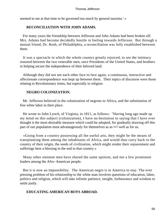seemed to me at that time to be governed too much by general maxims.' »

# **RECONCILIATION WITH JOHN ADAMS.**

 For many years the friendship between Jefferson and John Adams had been broken off. Mrs. Adams had become decidedly hostile in feeling towards Jefferson. But through a mutual friend, Dr. Rush, of Philadelphia, a reconciliation was fully established between them.

 It was a spectacle in which the whole country greatly rejoiced, to see the intimacy restored between the two venerable men, once Presidents of the United States, and brothers in helping secure the independence of their beloved land.

 Although they did not see each other face to face again, a continuous, instructive and affectionate correspondence was kept up between them. Their topics of discourse were those relating to Revolutionary times, but especially to religion.

# **NEGRO COLONIZATION.**

 Mr. Jefferson believed in the colonization of negroes to Africa, and the substitution of free white labor in their place.

 He wrote to John Lynch, of Virginia, in 1811, as follows: "Having long ago made up my mind on this subject (colonization), I have no hesitation in saying that I have ever thought it the most desirable measure which could be adopted, for gradually drawing off this part of our population most advantageously for themselves as as [sic] well as for us.

 «Going from a country possessing all the useful arts, they might be the means of transplanting them among the inhabitants of Africa, and would thus carry back to the country of their origin, the seeds of civilization, which might render their sojournment and sufferings here a blessing in the end to that country.»

 Many other eminent men have shared the same opinion, and not a few prominent leaders among the Afro−American people.

 But it is now an impossibility. The American negro is in America to stay. The ever pressing problem of his relationship to the white man involves questions of education, labor, politics and religion, which will take infinite patience, insight, forbearance and wisdom to settle justly.

# **EDUCATING AMERICAN BOYS ABROAD.**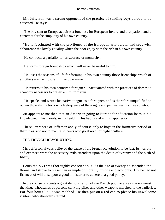Mr. Jefferson was a strong opponent of the practice of sending boys abroad to be educated. He says:

 "The boy sent to Europe acquires a fondness for European luxury and dissipation, and a contempt for the simplicity of his own country.

 "He is fascinated with the privileges of the European aristocrats, and sees with abhorrence the lovely equality which the poor enjoy with the rich in his own country.

"He contracts a partiality for aristocracy or monarchy.

"He forms foreign friendships which will never be useful to him.

 "He loses the seasons of life for forming in his own country those friendships which of all others are the most faithful and permanent.

 "He returns to his own country a foreigner, unacquainted with the practices of domestic economy necessary to preserve him from ruin.

 "He speaks and writes his native tongue as a foreigner, and is therefore unqualified to obtain those distinctions which eloquence of the tongue and pen insures in a free country.

 «It appears to me then that an American going to Europe for education loses in his knowledge, in his morals, in his health, in his habits and in his happiness.»

 These utterances of Jefferson apply of course only to boys in the formative period of their lives, and not to mature students who go abroad for higher culture.

# THE **FRENCH REVOLUTION.**

 Mr. Jefferson always believed the cause of the French Revolution to be just. Its horrors and excesses were the necessary evils attendant upon the death of tyranny and the birth of liberty.

 Louis the XVI was thoroughly conscientious. At the age of twenty he ascended the throne, and strove to present an example of morality, justice and economy. But he had not firmness of will to support a good minister or to adhere to a good policy.

 In the course of events a great demonstration of the French populace was made against the king. Thousands of persons carrying pikes and other weapons marched to the Tuileries. For four hours Louis was mobbed. He then put on a red cap to please his unwelcome visitors, who afterwards retired.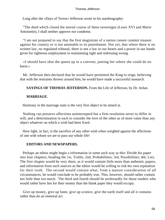Long after the «Days of Terror» Jefferson wrote in his autobiography:

 "The deed which closed the mortal course of these sovereigns (Louis XVI and Marie Antoinette), I shall neither approve nor condemn.

 "I am not prepared to say that the first magistrate of a nation cannot commit treason against his country or is not amenable to its punishment. Nor yet, that where there is no written law, no regulated tribunal, there is not a law in our hearts and a power in our hands given for righteous employment in maintaining right and redressing wrong.

 «I should have shut the queen up in a convent, putting her where she could do no harm.»

 Mr. Jefferson then declared that he would have permitted the King to reign, believing that with the restraints thrown around him, he would have made a successful monarch.

**SAYINGS OF THOMAS JEFFERSON.** From the Life of Jefferson, by Dr. Irelan.

# **MARRIAGE.**

Harmony in the marriage state is the very first object to be aimed at.

 Nothing can preserve affections uninterrupted but a firm resolution never to differ in will, and a determination in each to consider the love of the other as of more value than any object whatever on which a wish had been fixed.

 How light, in fact, is the sacrifice of any other wish when weighed against the affections of one with whom we are to pass our whole life!

# **EDITORS AND NEWSPAPERS.**

 Perhaps an editor might begin a reformation in some such way as this: Divide his paper into four chapters, heading the 1st, Truths; 2nd, Probabilities; 3rd, Possibilities; 4th, Lies. The first chapter would be very short, as it would contain little more than authentic papers, and information from such sources as the editor would be willing to risk his own reputation for their truth. The second would contain what, from a mature consideration of all circumstances, he would conclude to be probably true. This, however, should rather contain too little than too much. The third and fourth should be professedly for those readers who would rather have lies for their money than the blank paper they would occupy.

 Give up money, give up fame, give up science, give the earth itself and all it contains rather than do an immoral act.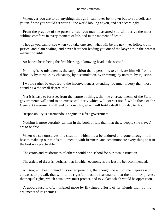Whenever you are to do anything, though it can never be known but to yourself, ask yourself how you would act were all the world looking at you, and act accordingly.

 From the practice of the purest virtue, you may be assured you will derive the most sublime comforts in every moment of life, and in the moment of death.

 Though you cannot see when you take one step, what will be the next, yet follow truth, justice, and plain dealing, and never fear their leading you out of the labyrinth in the nearest manner possible.

An honest heart being the first blessing, a knowing head is the second.

 Nothing is so mistaken as the supposition that a person is to extricate himself from a difficulty by intrigue, by chicanery, by dissimulation, by trimming, by untruth, by injustice.

 I would rather be exposed to the inconveniences attending too much liberty than those attending a too small degree of it.

 Yet it is easy to foresee, from the nature of things, that the encroachments of the State governments will tend to an excess of liberty which will correct itself, while those of the General Government will tend to monarchy, which will fortify itself from day to day.

Responsibility is a tremendous engine in a free government.

 Nothing is more certainly written in the book of fate than that these people (the slaves) are to be free.

When we see ourselves in a situation which must be endured and gone through, it is best to make up our minds to it, meet it with firmness, and accommodate every thing to it in the best way practicable.

The errors and misfortunes of others should be a school for our own instruction.

The article of dress is, perhaps, that in which economy is the least to be recommended.

 All, too, will bear in mind this sacred principle, that though the will of the majority is in all cases to prevail, that will, to be rightful, must be reasonable; that the minority possess their equal rights, which equal laws must protect, and to violate which would be oppression.

 A good cause is often injured more by ill−timed efforts of its friends than by the arguments of its enemies.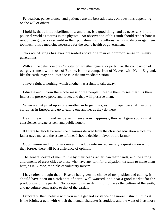Persuasion, perseverance, and patience are the best advocates on questions depending on the will of others.

 I hold it, that a little rebellion, now and then, is a good thing, and as necessary in the political world as storms in the physical. An observation of this truth should render honest republican governors so mild in their punishment of rebellions, as not to discourage them too much. It is a medicine necessary for the sound health of government.

 No race of kings has ever presented above one man of common sense in twenty generations.

With all the defects in our Constitution, whether general or particular, the comparison of our government with those of Europe, is like a comparison of Heaven with Hell. England, like the earth, may be allowed to take the intermediate station.

I have a right to nothing, which another has a right to take away.

 Educate and inform the whole mass of the people. Enable them to see that it is their interest to preserve peace and order, and they will preserve them.

 When we get piled upon one another in large cities, as in Europe, we shall become corrupt as in Europe, and go to eating one another as they do there.

 Health, learning, and virtue will insure your happiness; they will give you a quiet conscience, private esteem and public honor.

 If I were to decide between the pleasures derived from the classical education which my father gave me, and the estate left me, I should decide in favor of the farmer.

 Good humor and politeness never introduce into mixed society a question on which they foresee there will be a difference of opinion.

 The general desire of men to live by their heads rather than their hands, and the strong allurements of great cities to those who have any turn for dissipation, threaten to make them here, as in Europe, the sinks of voluntary misery.

 I have often thought that if Heaven had given me choice of my position and calling, it should have been on a rich spot of earth, well watered, and near a good market for the productions of the garden. No occupation is so delightful to me as the culture of the earth, and no culture comparable to that of the garden.

 I sincerely, then, believe with you in the general existence of a moral instinct. I think it is the brightest gem with which the human character is studded, and the want of it as more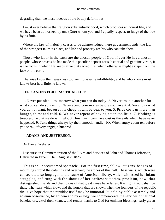degrading than the most hideous of the bodily deformities.

 I must ever believe that religion substantially good, which produces an honest life, and we have been authorized by one (One) whom you and I equally respect, to judge of the tree by its fruit.

 Where the law of majority ceases to be acknowledged there government ends, the law of the strongest takes its place, and life and property are his who can take them.

 Those who labor in the earth are the chosen people of God, if ever He has a chosen people, whose breasts he has made this peculiar deposit for substantial and genuine virtue, it is the focus in which He keeps alive that sacred fire, which otherwise might escape from the face of the earth.

 The wise know their weakness too well to assume infallibility; and he who knows most knows best how little he knows.

# TEN **CANONS FOR PRACTICAL LIFE.**

 1. Never put off till to−morrow what you can do today. 2. Never trouble another for what you can do yourself. 3. Never spend your money before you have it. 4. Never buy what you do not want, because it is cheap; it will be dear to you. 5. Pride costs us more than hunger, thirst and cold. 6. We never repent of having eaten too little. 7. Nothing is troublesome that we do willingly. 8. How much pain have cost us the evils which have never happened. 9. Take things always by their smooth handle. 1O. When angry count ten before you speak; if very angry, a hundred.

## **ADAMS AND JEFFERSON.**

By Daniel Webster

 Discourse in Commemoration of the Lives and Services of John and Thomas Jefferson, Delivered in Faneuil Hall, August 2, 1826.

 This is an unaccustomed spectacle. For the first time, fellow−citizens, badges of mourning shroud the columns and overhang the arches of this hall. These walls, which were consecrated, so long ago, to the cause of American liberty, which witnessed her infant struggles, and rung with the shouts of her earliest victories, proclaim, now, that distinguished friends and champions of that great cause have fallen. It is right that it shall be thus. The tears which flow, and the honors that are shown when the founders of the republic die, give hope that the republic itself may be immortal. It is fit, by public assembly and solemn observance, by anthem and by eulogy, we commemorate the services of national benefactors, extol their virtues, and render thanks to God for eminent blessings, early given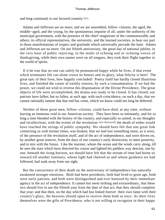and long continued, to our favored countrty [sic].

 Adams and Jefferson are no more; and we are assembled, fellow−citizens, the aged, the middle−aged, and the young, by the spontaneous impulse of all, under the authority of the municipal government, with the presence of the chief−magistrate of the commonwealth, and others, its official representatives, the university, and the learned societies, to bear our part in those manifestations of respect and gratitude which universally pervade the land. Adams and Jefferson are no more. On our fiftieth anniversary, the great day of national jubilee, in the very hour of public rejoicing, in the midst of echoing and re−echoing voices of thanksgiving, while their own names were on all tongues, they took their flight together to the world of spirits.

 If it be true that no one can safely be pronounced happy while he lives, if that event which terminates life can alone crown its honors and its glory, what felicity is here! The great epic of their lives, how happily concluded! Poetry itself has hardly closed illustrious lives, and finished the career of earthly renown, by such a consummation. If we had the power, we could not wish to reverse this dispensation of the Divine Providence. The great objects of life were accomplished, the drama was ready to be closed. It has closed; our patriots have fallen; but so fallen, at such age, with such coincidence, on such a day, that we cannot rationally lament that that end has come, which we know could not long be deferred.

 Neither of these great men, fellow−citizens, could have died, at any time, without leaving an immense void in our American society. They have been so intimately, and for so long a time blended with the history of the country, and especially so united, in our thoughts and recollections, with the events of the revolution [text destroyed] the death of either would have touched the strings of public sympathy. We should have felt that one great link connecting us with former times, was broken; that we had lost something more, as it were, of the presence of the revolution itself, and of the act of independence, and were driven on, by another great remove, from the days of our country's early distinction, to meet posterity, and to mix with the future. Like the mariner, whom the ocean and the winds carry along, till he sees the stars which have directed his course and lighted his pathless way descent, one by one, beneath the rising horizon, we should have felt that the stream of time had borne us onward till another luminary, whose light had cheered us and whose guidance we had followed, had sunk away from our sight.

 But the concurrence of their death on the anniversary of independence has naturally awakened stronger emotions. Both had been presidents, both had lived to great age, both were early patriots, and both were distinguished and ever honored by their immediate agency in the act of independence. It cannot but seem striking and extraordinary, that these two should live to see the fiftieth year from the date of that act; that they should complete that year; and that then, on the day which had fast linked forever their own fame with their country's glory, the heavens should open to receive them both at once. As their lives themselves were the gifts of Providence, who is not willing to recognize in their happy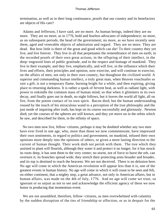termination, as well as in their long continuance, proofs that our country and its benefactors are objects of His care?

 Adams and Jefferson, I have said, are no more. As human beings, indeed they are no more. They are no more, as in 1776, bold and fearless advocates of independence; no more, as on subsequent periods, the head of the government; no more, as we have recently seen them, aged and venerable objects of admiration and regard. They are no more. They are dead. But how little is there of the great and good which can die! To their country they yet live, and live forever. They live in all that perpetuates the remembrance of men on earth; in the recorded proofs of their own great actions, in the offspring of their intellect, in the deep−engraved lines of public gratitude, and in the respect and homage of mankind. They live in their example; and they live, emphatically, and will live, in the influence which their lives and efforts, their principles and opinion, now exercise, and will continue to exercise, on the affairs of men, not only in their own country, but thoughout the civilized world. A superior and commanding human intellect, a truly great man, when Heaven vouchsafes so rare a gift, is not a temporary flame, burning bright for a while, and then expiring, giving place to returning darkness. It is rather a spark of fervent heat, as well as radiant light, with power to enkindle the common mass of human mind; so that when it glimmers in its own decay, and finally goes out in death, no night follows, but it leaves the world all light, all on fire, from the potent contact of its own spirit. Bacon died; but the human understanding roused by the touch of his miraculous wand to a perception of the true philosophy and the just mode of inquiring after truth, has kept on its course successfully and gloriously. Newton died; yet the courses of the spheres are still known, and they yet move on in the orbits which he saw, and described for them, in the infinity of space.

 No two men now live, fellow−citizens, perhaps it may be doubted whether any two men have ever lived in one age, who, more than those we now commemorate, have impressed their own sentiments, in regard to politics and government, on mankind, infused their own opinions more deeply into the opinions of others, or given a more lasting direction to the current of human thought. Their work doth not perish with them. The tree which they assisted to plant will flourish, although they water it and protect it no longer; for it has struck its roots deep, it has sent them to the very center; no storm, not of force to burst the orb, can overturn it; its branches spread wide; they stretch their protecting arms broader and broader, and its top is destined to reach the heavens. We are not deceived. There is no delusion here. No age will come in which the American revolution will appear less than it is, one of the greatest events in human history. No age will come in which it will cease to be seen and felt, on either continent, that a mighty step, a great advance, not only in American affairs, but in human affairs, was made on the 4th of July, 1776. And no age will come we trust, so ignorant or so unjust as not to see and acknowledge the efficient agency of these we now honor in producing that momentous event.

 We are not assembled, therefore, fellow−citizens, as men overwhelmed with calamity by the sudden disruption of the ties of friendship or affection, or as in despair for the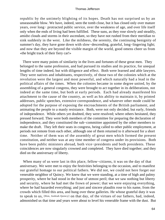republic by the untimely blighting of its hopes. Death has not surprised us by an unseasonable blow. We have, indeed, seen the tomb close, but it has closed only over mature years, over long− protracted public service, over the weakness of age, and over life itself only when the ends of living had been fulfilled. These suns, as they rose slowly and steadily, amidst clouds and storms in their ascendant, so they have not rushed from their meridian to sink suddenly in the west. Like the mildness, the serenity, the continuing benignity of summer's day, they have gone down with slow−descending, grateful, long−lingering light; and now that they are beyond the visible margin of the world, good omens cheer us from «the bright track of their fiery car!»

 There were many points of similarity in the lives and fortunes of these great men. They belonged to the same profession, and had pursued its studies and its practice, for unequal lengths of time indeed, but with diligence and effect. Both were learned and able lawyers. They were natives and inhabitants, respectively, of those two of the colonies which at the revolution were the largest and most powerful, and which naturally had a lead in the political affairs of the times. When the colonies became in some degree united, by the assembling of a general congress, they were brought to act together in its deliberations, not indeed at the same time, but both at early periods. Each had already manifested his attachment to the cause of the country, as well as his ability to maintain it, by printed addresses, public speeches, extensive correspondence, and whatever other mode could be adopted for the purpose of exposing the encroachments of the British parliament, and animating the people to a manly resistance. Both, were not only decided, but early, friends of independence. While others yet doubted, they were resolved; where others hesitated, they pressed forward. They were both members of the committee for preparing the declaration of independence, and they constituted the sub−committee appointed by the other members to make the draft. They left their seats in congress, being called to other public employment, at periods not remote from each other, although one of them returned to it afterward for a short time. Neither of them was of the assembly of great men which formed the present constitution, and neither was at any time member of congress under its provisions. Both have been public ministers abroad, both vice−presidents and both presidents. These coincidences are now singularly crowned and completed. They have died together; and they died on the anniversary of liberty.

 When many of us were last in this place, fellow−citizens, it was on the day of that anniversary. We were met to enjoy the festivities belonging to the occasion, and to manifest our grateful homage to our political fathers. We did not, we could not here forget our venerable neighbor of Quincy. We knew that we were standing, at a time of high and palmy prosperity, where he had stood in the hour of utmost peril; that we saw nothing but liberty and security, where he had met the frown of power; that we were enjoying everything, where he had hazarded everything; and just and sincere plaudits rose to his name, from the crowds which filled this area, and hung over these galleries. He whose grateful duty it was to speak to us, [Hon, Joshiah Quincy] on that day, of the virtues of our fathers, had, indeed, admonished us that time and years were about to level his venerable frame with the dust. But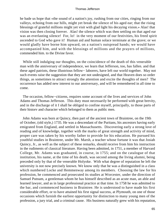he bade us hope that «the sound of a nation's joy, rushing from our cities, ringing from our valleys, echoing from our hills, might yet break the silence of his aged ear; that the rising blessings of grateful millions might yet visit with glad light his decaying vision.» Alas! that vision was then closing forever. Alas! the silence which was then settling on that aged ear was an everlasting silence! For, lo! in the very moment of our festivities, his freed spirit ascended to God who gave it! Human aid and human solace terminate at the grave; or we would gladly have borne him upward, on a nation's outspread hands; we would have accompanied him, and with the blessings of millions and the prayers of millions, commended him. to the Divine favor.

 While still indulging our thoughts, on the coincidence of the death of this venerable man with the anniversary of independence, we learn that Jefferson, too, has fallen. and that these aged patriots, these illustrious fellow− laborers, have left our world together. May not such events raise the suggestion that they are not undesigned, and that Heaven does so order things, as sometimes to attract strongly the attention and excite the thoughts of men? The occurrence has added new interest to our anniversary, and will be remembered in all time to come.

 The occasion, fellow−citizens, requires some account of the lives and services of John Adams and Thomas Jefferson. This duty must necessarily be performed with great brevity, and in the discharge of it I shall be obliged to confine myself, principally, to those parts of their historv and character which belonged to them as public men.

 John Adams was born at Quincy, then part of the ancient town of Braintree, on the 19th of October, (old style,) 1735. He was a descendant of the Puritans, his ancestors having early emigrated from England, and settled in Massachusetts. Discovering early a strong love of reading and of knowledge, together with the marks of great strength and activity of mind, proper care was taken by his worthy father to provide for his education. He pursued his youthful studies in Braintree, under Mr. Marsh, a teacher whose fortune it was that Josiah Quincy, Jr., as well as the subject of these remarks, should receive from him his instruction in the rudiments of classical literature. Having been admitted, in 1751, a member of Harvard College, Mr. Adams was graduated, in course, in 1755; and on the catalogue of that institution, his name, at the time of his death, was second among the living alumni, being preceded only by that of the venerable Holyoke. With what degree of reputation he left the university is not now precisely known. We know only that he was a distinguished in a class which numbered Locke and Hemmenway among its members. Choosing the law for his profession, he commenced and prosecuted its studies at Worcester, under the direction of Samuel Putnam, a gentleman whom he has himself described as an acute man, an able and learned lawyer, and as in large professional practice at that time. In 1758 he was admitted to the bar, and cormmenced business in Braintree. He is understood to have made his first considerable effort, or to have attained his first signal success, at Plymouth, on one of those occasions which furnish the earliest opportunity for distinction to many young men of the profession, a jury trial, and a criminal cause. His business naturally grew with his reputation,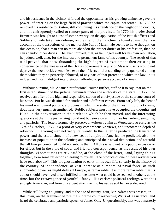and his residence in the vicinity afforded the opportunity, as his growing eminence gave the power, of entering on the large field of practice which the capital presented. In 1766 he removed his residence to Boston, still continuing his attendance on the neighboring circuits, and not unfrequently called to remote parts of the province. In 1770 his professional firmness was brought to a test of some severity, on the application of the British officers and Soldiers to undertake their defense, on the trial of the indictments found against them on account of the transactions of the memorable 5th of March. He seems to have thought, on this occasion, that a man can no more abandon the proper duties of his profession, than he can abandon other duties. The event proved, that, as he judged well for his own reputation, he judged well, also, for the interest and permanent fame of his country. The result of that trial proved, that notwithstanding the high degree of excitement then existing in consequence of the measures of the British government, a jury of Massachusetts would not deprive the most reckless enemies, even the officers of that standing army quartered among them which they so perfectly abhorred, of any part of that protection which the law, in its mildest and most indulgent interpretation, afforded to persons accused of crimes.

 Without pursuing Mr. Adams's professional course further, suffice it to say, that on the first establishment of the judicial tribunals under the authority of the state, in 1776, he received an offer of the high and responsible station of chief−justice of the supreme court of his state. But he was destined for another and a different career. From early life, the bent of his mind was toward politics. a propensity which the state of the times, if it did not create, doubtless very much strengthened. Public subjects must have occupied the thoughts and filled up the conversation in the circles in which he then moved, and the interesting questions at that time just arising could not but sieve on a mind like his, ardent, sanguine, and patriotic. The letter, fortunately preserved, written by him at Worcester, so early as the 12th of October, 1755, is a proof of very comprehensive views, and uncommon depth of reflection, in a young man not yet quite twenty. In this letter he predicted the transfer of power, and the establishment of a new seat of empire in America; he predicted, also, the increase of population in the colonies; and anticipated their naval distinction, and foretold that all Europe combined could not subdue them. All this is said not on a public occasion or for effect, but in the style of sober and friendly correspondence, as the result of his own thoughts. «I sometimes retire,» said he, at the close of the letter, «and, laying things together, form some reflections pleasing to myself. The produce of one of these reveries you have read above.»\* This prognostication so early in his own life, so early in the history of the country, of independence, of vast increase of numbers, of naval force, of such augmented power as might defy all Europe, is remarkable. It is more remarkable that its author should have lived to see fulfilled to the letter what could have seemed to others, at the time, but the extravagance of youthful fancy. His earliest political feelings were thus strongly American, and from this ardent attachment to his native soil he never departed.

 While still living at Quincy, and at the age of twenty−four, Mr. Adams was present, in this town, on the argument before the supreme court respecting Writs of Assistance, and heard the celebrated and patriotic speech of James Otis. Unquestionably, that was a masterly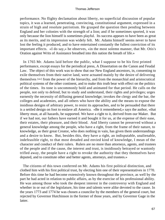performance. No flighty declamation about liberty, no superficial discussion of popular topics, it was a learned, penetrating, convincing, constitutional argument, expressed in a strain of high and resolute patriotism. He grasped the question then pending between England and her colonies with the strength of a lion; and if he sometimes sported, it was only because the lion himself is sometimes playful. Its success appears to have been as great as its merits, and its impression was widely felt. Mr. Adams himself seems never to have lost the feeling it produced, and to have entertained constantly the fullest conviction of its important effects. «I do say,» he observes, «in the most solemn manner, that Mr. Otis's Oration against Writs of Assistance breathed into this nation the breath of life.»

 In 1765 Mr. Adams laid before the public, what I suppose to be his first printed performance, except essays for the periodical press, A Dissertation on the Canon and Feudal Law. The object of this work was to show that our New England ancestors, in, consenting to exile themselves from their native land, were actuated mainly by the desire of delivering themeslves [sic] from the power of the hierarchy, and from the monarchial and aristocratical political systems of the other continent, and to make this truth bear with effect on the politics of the times. Its tone is uncommonly bold and animated for that period. He calls on the people, not only to defend, but to study and understand, their rights and privileges; urges earnestly the necessity of diffusing general knowledge; invokes the clergy and the bar, the colleges and academies, and all others who have the ability and the means to expose the insidious designs of arbitrary power, to resist its approaches, and to be persuaded that there is a settled design on foot to enslave all America. «Be it remembered,» says the author, «that liberty must, at all hazards, be supported. We have a right to it, derived from our Maker. But if we had not, our fathers have earned it and bought it for us, at the expense of their ease, their estates, their pleasure, and their blood. And liberty cannot be preserved without a general knowledge among the people, who have a right, from the frame of their nature, to knowledge, as their great Creator, who does nothing in vain, has given them understandings and a desire to know. But, besides this, they have a right, an indisputable, unalienable, indefeasible right, to that most dreaded and envied kind of knowledge, I mean of the character and conduct of their rulers. Rulers are no more than attorneys, agents, and trustees of the people and if the cause, the interest and trust, is insidiously betrayed or wantonly trifled away, the people have a right to revoke the authority that they themselves have deputed, and to constitute other and better agents, attorneys, and trustees.»

 The citizens of this town conferred on Mr. Adams his first political distinction, and clothed him with his first political trust, by electing him one of their representatives in 1770. Before this time he had become extensively known throughout the province, as well by the part he had acted in relation to public affairs, as by the exercise of his professional ability. He was among those who took the deepest interest in the controversy with England and whether in or out of the legislature, his time and talents were alike devoted to the cause. In the years 1773 and 1774 he was chosen a councilor by the members of the general court, but rejected by Governor Hutchinson in the former of those years, and by Governor Gage in the latter.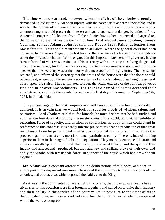The time was now at hand, however, when the affairs of the colonies urgently demanded united counsels. An open rupture with the parent state appeared inevitable, and it was but the dictate of prudence that those who were united by a common interest and a common danger, should protect that interest and guard against that danger, by united efforts. A general congress of delegates from all the colonies having been proposed and agreed to, the house of representatives, on the 17th of June, 1774, elected James Bowdoin, Thomas Cushing, Samuel Adams, John Adams, and Robert Treat Paine, delegates from Massachusetts. This appointment was made at Salem, where the general court had been convened by Governor Gage, in the last hour of the existence of a house of representatives under the provincial charter. While engaged in this important business, the governor, having been informed of what was passing, sent his secretary with a message dissolving the general court. The secretary, finding the door locked, directed the messenger to go in and inform the speaker that the secretary was at the door with a message from the governor. The messenger returned, and informed the secretary that the orders of the house were that the doors should be kept fast; whereupon the secretary soon after read a proclamation, dissolving the general court, upon, the stairs. Thus terminated forever, the actual exercise of the political power of England in or over Massachusetts. The four last named delegates accepted their appointments, and took their seats in congress the first day of its meeting, September 5th, 1774, in Philadelphia.

 The proceedings of the first congress are well known, and have been universally admired. It is in vain that we would look for superior proofs of wisdom, talent, and patriotism. Lord Chatham said that, for himself, he must declare that he had studied and admired the free states of antiquity, the master states of the world, but that, for solidity of reasoning, force of sagacity, and wisdom of conclusion, no body of men could stand in preference to this congress. It is hardly inferior praise to say that no production of that great man himself can be pronounced superior to several of the papers, published as the proceedings of this most able, most firm, most patriotic assembly. There is, indeed, nothing superior to them in the range of political disquisition. They not only embrace, illustrate and enforce everything which political philosophy, the love of liberty, and the spirit of free inquiry had antecedently produced, but they add new and striking views of their own, and apply the whole, with irresistible force, in support of the cause which had drawn them together.

 Mr. Adams was a constant attendant on the deliberations of this body, and bore an active part in its important measures. He was of the committee to state the rights of the colonies, and of that, also, which reported the Address to the King.

 As it was in the continental congress, fellow−citizens, that those whose deaths have given rise to this occasion were first brought together, and called on to unite their industry and their ability in the service of the country, let us now turn to the other of these distinguished men, and take a brief notice of his life up to the period when he appeared within the walls of congress.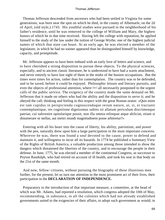Thomas Jefferson descended from ancestors who had been settled in Virginia for some generations, was born near the spot on which he died, in the county of Albemarle, on the 2d of April, (old style,) 1743. His youthful studies were pursued in the neighborhood of his father's residence, until he was removed to the college of William and Mary, the highest honors of which he in due time received. Having left the college with reputation, he applied himself to the study of the law under the tuition of George Wythe, one of the highest judicial names of which that state can boast. At an early age, he was elected a member of the legislature, in which he had no sooner appeared than he distinguished himself by knowledge, capacity, and promptitude.

 Mr. Jefferson appears to have been imbued with an early love of letters and science, and to have cherished a strong disposition to pursue these objects. To the physical sciences, especially, and to ancient classic literature, he is understood to have had a warm attachment, and never entirely to have lost sight of them in the midst of the busiest occupations. But the times were times for action, rather than for contemplation. The country was to be defended, and to be saved, before it could be enjoyed. Philosophic leisure and literary pursuits, and even the objects of professional attention, where [sic] all necessarily postponed to the urgent calls of the public service. The exigency of the country made the same demand on Mr. Jefferson that it made on others who had the ability and the disposition to serve it; and he obeyed the call; thinking and feeling in this respect with the great Roman orator: «Quis enim est tam cupidus in perspicienda cognoscendaque rerum nature, ut, si, ei tractanti contemplantique, res cognitione dignissmas subito sit allatum periculum discrimenque patriae, cui subvenire opitularique possit, non illa omnia relinquat atque abJiciat, etiam si dinumerare se stellas, aut metiri mundi magnitudinem posse arbitretur?»

 Entering with all his heart into the cause of liberty, his ability, patriotism, and power with the pen, naturally drew upon him a large participation in the most important concerns. Wherever he was, there was found a soul devoted to the cause, power to defend and maintain it, and willingness to incur all its hazards. In 1774 he published a Summary View of the Rights of British America, a valuable production among those intended to show the dangers which threatened the liberties of the country, and to encourage the people in their defense. In June, 1775, he was elected a member of the continental Congress, as successor to Peyton Randolph, who had retired on account of ill health, and took his seat in that body on the 21st of the same month.

 And now, fellow−citizens, without pursuing the biography of these illustrious men further, for the present, let us turn our attention to the most prominent act of their lives, their participation in the **DECLARATION OF INDEPENDENCE.**

 Preparatory to the introduction of that important measure, a committee, at the head of which was Mr. Adams, had reported a resolution, which congress adopted the 10th of May, recommending, in substance, to all the colonies which had not already established governments suited to the exigencies of their affairs, to adopt such government as would, in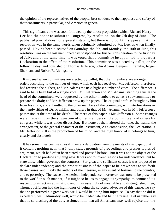the opinion of the representatives of the people, best conduce to the happiness and safety of their constituents in particular, and America in general.

 This significant vote was soon followed by the direct proposition which Richard Henry Lee had the honor to submit to Congress, by resolution, on the 7th day of June. The published journal does not expressly state it, but there is no doubt, I suppose, that this resolution was in the same words when originally submitted by Mr. Lee, as when finally passed. Having been discussed on Saturday, the 8th, and Monday, the 10th of June, this resolution was on the last mentioned day postponed for further consideration to the first day of July; and at the same time, it was voted that a committee be appointed to prepare a Declaration to the effect of the resolution. This committee was elected by ballot, on the following day, and consisted of Thomas Jefferson, John Adams, Benjamin Franklin, Roger Sherman, and Robert R. Livingston.

 It is usual when committees are elected by ballot, that their members are arranged in order, according to the number of votes which each has received. Mr. Jefferson, therefore, had received the highest, and Mr. Adams the next highest number of votes. The difference is said to have been but of a single vote. Mr. Jefferson and Mr. Adams, standing thus at the head of the committee, were requested by the other members to act as a sub−committee to prepare the draft; and Mr. Jefferson drew up the paper. The original draft, as brought by him from his study, and submitted to the other members of the committee, with interlineations in the handwriting of Dr. Franklin, and others in that of Mr. Adams, was in Mr. Jefferson's possession at the time of his death. The merit of this paper is Mr. Jefferson's. Some changes were made in it on the suggestion of other members of the committee, and others by congress while it was under discussion. But none of them altered the tone. the frame, the arrangement, or the general character of the instrument, As a composition, the Declaration is Mr. Jefferson's. It is the production of his mind, and the high honor of it belongs to him, clearly and absolutely.

 It has sometimes been said, as if it were a derogation from the merits of this paper; that it contains nothing new; that it only states grounds of proceeding, and presses topics of argument, which had often been stated and pressed before. But it was not the object of the Declaration to produce anything new. It was not to invent reasons for independence, but to state those which governed the congress. For great and sufficient causes it was proposed to declare independence; and the proper business of the paper to be drawn was to set forth those causes, and justify the authors of the measure, in any event of fortune, to the country, and to posterity. The cause of American independence, moreover, was now to be presented to the world in such manner, if it might so be, as to engage its sympathy, to command its respect, to attract its admiration. and in an assembly of most able and distinguished men, Thomas Jefferson had the high honor of being the selected advocate of this cause. To say that he performed his great work well, would be doing him injustice. To say that he did it excellently well, admirably well, would be inadequate and halting praise. Let us rather say that he so discharged the duty assigned him, that all Americans may well rejoice that the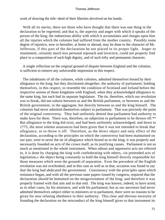work of drawing the title−deed of their liberties devolved on his hands.

 With all its merits, there are those who have thought that there was one thing in the declaration to be regretted; and that is, the asperity and anger with which it speaks of the person of the king; the industrious ability with which it accumulates and charges upon him all the injuries which the colonies had suffered from the mother country. Possibly some degree of injustice, now or hereafter, at home or abroad, may be done to the character of Mr. Jefferson, if this part of the declaration be not placed in its proper light. Anger or resentment, certainly much less personal reproach and invective, could not properly find place in a composition of such high dignity, and of such lofty and permanent character.

 A single reflection on the original ground of dispute between England and the colonies, is sufficient to remove any unfavorable impression in this respect.

 The inhabitants of all the colonies, while colonies, admitted themselves bound by their allegiance to the king; but they disclaimed altogether, the authority of parliament; holding themselves, in this respect, to resemble the condition of Scotland and Ireland before the respective unions of those kingdoms with England, when they acknowledged allegiance to the same king, but each had its separate legislature. The tie, therefore, which our revolution was to break, did not subsist between us and the British parliament, or between us and the British government, in the aggregate, but directly between us and the king himself. The colonists had never admitted themselves subject to parliament. That was precisely the point of the original controversy. They had uniformly denied that parliament had authority to make laws for them. There was, therefore, no subjection to parliaments to be thrown off.<sup>\*\*</sup> But allegiance to the king did exist, and had been uniformly acknowledged; and down to 1775, the most solemn assurances had been given that it was not intended to break that allegiance, or to throw it off. Therefore, as the direct object and only effect of the declaration, according to the principles on which the controversy had been maintained on our part, were to sever the tie of allegiance which bound us to the king, it was properly and necessarily founded on acts of the crown itself, as its justifying causes. Parliament is not so much as mentioned in the whole instrument. When odious and oppressive acts are referred to, it is done by charging the king with confederating with others, «in pretended acts of legislation,» the object being constantly to hold the king himself directly responsible for those measures which were the grounds of separation. Even the precedent of the English revolution was not overlooked, and in this case as well as in that, occasion was found to say that the king had abdicated the government. Consistency with the principles upon which resistance began, and with all the previous state papers issued by congress, required that the declaration should be bottomed on the misgovernment of the king; and therefore it was properly framed with that aim and to that end. The king was known, indeed, to have acted, as in other cases, by his ministers, and with his parliament; but as our ancestors had never admitted themselves subject either to ministers or to parliament, there were no reasons to be given for now refusing obedience to their authority. This clear and obvious necessity of founding the declaration on the misconduct of the king himself gives to that instrument its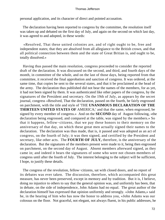personal application, and its character of direct and pointed accusation.

 The declaration having been reported to congress by the committee, the resolution itself was taken up and debated on the first day of July, and again on the second on which last day, it was agreed to and adopted, in these words:

 «Resolved, That these united colonies are, and of right ought to be, free and independent states; that they are absolved from all allegiance to the British crown, and that all political connection between them and the state of Great Britian is, and ought to be, totally dissolved.»

 Having thus passed the main resolution, congress proceeded to consider the reported draft of the declaration. It was discussed on the second, and third, and fourth days of the month, in committee of the whole, and on the last of those days, being reported from that committee, it received the final approbation and sanction of congress. It was ordered, at the same time, that copies be sent to the several states, and that it be proclaimed at the head of the army. The declaration thus published did not bear the names of the members, for as yet, it had not been signed by them. It was authenticated like other papers of the congress, by the signatures of the President and secretary. On the 19th of July, as appears by the secret journal, congress «Resolved, That the declaration, passed on the fourth, be fairly engrossed on parchment, with the title and style of 'THE **UNANIMOUS DECLARATION OF THE THIRTEEN UNITED STATES OF** AMERICA;' and that the same, when engrossed, be signed by every member of congress.» And on the **SECOND** day of August following, «the declaration being engrossed, and compared at the table, was signed by the members.» So that it happens, fellow−citizens, that we pay these honors to their memory on the anniversary of that day, on which these great men actually signed their names to the declaration. The declaration was thus made, that is, it passed and was adopted as an act of congress, on the fourth of July; it was then signed, and certified by the President and secretary, like other acts. The **FOURTH OF JULY,** therefore, is the anniversary of the declaration. But the signatures of the members present were made to it, being then engrossed on parchment, on the second day of August. Absent members afterward signed, as they came in; and indeed it bears the signatures of some who were not chosen members of congress until after the fourth of July. The interest belonging to the subject will be sufficient, I hope, to justify these details.

 The congress of the revolution, fellow−citizens, sat with closed doors, and no report of its debates was ever taken. The discussion, therefore, which accompanied this great measure, has never been preserved, except in memory and by tradition. But it is, I believe, doing no injustice to others to say that the general opinion was, and uniformly has been, that in debate, on the side of independence, John Adams had no equal. The great author of the declaration himself has expressed that opinion uniformly and strongly. «John Adams,» said he, in the hearing of him who has now the honor to address you, «John Adams was our colossus on the floor. Not graceful, not elegant, not always fluent, in his public addresses, he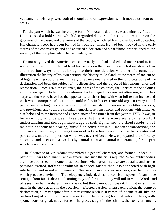yet came out with a power, both of thought and of expression, which moved us from our seats.»

 For the part which he was here to perform, Mr. Adams doubtless was eminently fitted. He possessed a bold spirit, which disregarded danger, and a sanguine reliance on the goodness of the cause, and the virtues of the people, which led him to overlook all obstacles. His character, too, had been formed in troubled times. He had been rocked in the early storms of the controversy, and had acquired a decision and a hardihood proportioned to the severity of the discipline which he had undergone.

 He not only loved the American cause devoutly, but had studied and understood it. It was all familiar to him. He had tried his powers on the questions which it involved, often and in various ways; and had brought to their consideration whatever of argument or illustration the history of his own country, the history of England, or the stores of ancient or of legal learning could furnish. Every grievance enumerated in the long catalogue of the declaration had been the subject of his discussion, and the object of his remonstrance and reprobation. From 1760, the colonies, the rights of the colonies, the liberties of the colonies, and the wrongs inflicted on the colonies, had engaged his constant attention; and it has surprised those who have had the opportunity of observing, with what full remembrance and with what prompt recollection he could refer, in his extreme old age, to every act of parliament affecting the colonies, distinguishing and stating their respective titles, sections, and provisions; and to all the colonial memorials, remonstrances and petitions with whatever else belonged to the intimate and exact history of the times from that year to 1775. It was, in his own judgment, between these years that the American people came to a full understanding and thorough knowledge of their rights, and to a fixed resolution of maintaining them; and bearing, himself, an active part in all important transactions, the controversy with England being then in effect the business of his life, facts, dates and particulars, made an impression which was never effaced. He was prepared, therefore, by education and discipline, as well as by natural talent and natural temperament, for the part which he was now to act.

 The eloquence of Mr. Adams resembled his general character, and formed, indeed, a part of it. It was bold, manly, and energetic, and such the crisis required. When public bodies are to be addressed on momentous occasions, when great interests are at stake, and strong passions excited, nothing is valuable in speech farther than it is connected with high intellectual and moral endowments. Clearness, force, and earnestness, are the qualities which produce conviction. True eloquence, indeed, does not consist in speech. It cannot be brought from far. Labor and learning may toil for it, but they will toil in vain. Words and phrases may be marshaled in every way, but they cannot compass it. It must exist in the man, in the subject, and in the occasion. Affected passion, intense expression, the pomp of declamation, all may aspire after it; they cannot reach it. It comes, if it come at all, like the outbreaking of a fountain from the earth, or the bursting forth of volcanic fires, with spontaneous, original, native force. The graces taught in the schools, the costly ornaments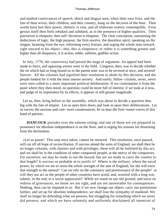and studied contrivances of speech, shock and disgust men, when their own lives, and the fate of their wives, their children, and their country, hang on the decision of the hour. Then words have lost their power, rhetoric is vain, and all elaborate oratory contemptible. Even genius itself then feels rebuked and subdued, as in the presence of higher qualities. Then patriotism is eloquent; then self−devotion is eloquent. The clear conception, outrunning the deductions of logic, the high purpose, the firm resolve, the dauntless spirit, speaking on the tongue, beaming from the eye, informing every feature, and urging the whole man onward, right onward to his object—this, this is eloquence; or rather it is something greater and higher than all eloquence, it is action, noble, sublime, godlike action.

 In July, 1776, the controversy had passed the stage of argument. An appeal had been made to force, and opposing armies were in the field. Congress, then, was to decide whether the tie which had so long bound us to the parent state was to be severed at once, and severed forever. All the colonies had signified their resolution to abide by this decision, and the people looked for it with the most intense anxiety. And surely, fellow−citizens, never, never were men called to a more important political deliberation. If we contemplate it from the point where they then stood, no question could be more full of interest; if we look at it now, and judge of its importance by its effects, it appears in still greater magnitude.

 Let us, then, bring before us the assembly, which was about to decide a question thus big with the fate of empire. Let us open their doors and look in upon their deliberations. Let us survey the anxious and care−worn countenances, let us hear the firm−toned voices of this band of patriots.

**HANCOCK** presides over the solemn sitting; and one of those not yet prepared to pronounce for absolute independence is on the floor, and is urging his reasons for dissenting from the declaration.

 «Let us pause! This step once taken, cannot be retraced. This resolution, once passed, will cut off all hope of reconciliation. If success attend the arms of England, we shall then be no longer colonies, with charters and with privileges; these will all be forfeited by this act; and we shall be in the condition of other conquered people, at the mercy of the conquerors. For ourselves, we may be ready to run the hazard; but are we ready to carry the country to that length? Is success so probable as to justify it? Where is the military, where the naval power, by which we are to resist the whole strength of the arm of England, for she will exert that strength to the utmost? Can we rely on the constancy and perseverance of the people? or will they not act as the people of other countries have acted, and, wearied with a long war, submit, in the end, to a worse oppression? While we stand on our old ground, and insist on redress of grievances, we know we are right, and are not answerable for consequences. Nothing, then can be imputed to us. But if we now change our object, carry our pretensions farther, and set up for absolute independence, we shall lose the sympathy of mankind. We shall no longer be defending what we possess, but struggling for something which we never did possess, and which we have solemnly and uniformly disclaimed all intention of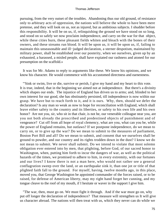pursuing, from the very outset of the troubles. Abandoning thus our old ground, of resistance only to arbitrary acts of oppression, the nations will believe the whole to have been mere pretense, and they will look on us, not as injured, but as ambitious subjects. I shudder before this responsibility. It will be on us, if, relinquishing the ground we have stood on so long, and stood on so safely we now proclaim independence, and carry on the war for that object, while these cities burn, these pleasant fields whiten and bleach with the bones of their owners, and these streams run blood. It will be upon us, it will be upon us, if, failing to maintain this unseasonable and ill−judged declaration, a sterner despotism, maintained by military power, shall be established over our posterity, when we ourselves, given up by an exhausted, a harassed, a misled people, shall have expiated our rashness and atoned for our presumption on the scaffold.»

 It was for Mr. Adams to reply to arguments like these. We know his opinions, and we know his character. He would commence with his accustomed directness and earnestness.

 "'Sink or swim, live or die, survive or perish, I give my hand and my heart to this vote. It is true, indeed, that in the beginning we aimed not at independence. But there's a divinity which shapes our ends. The injustice of England has driven us to arms; and, blinded to her own interest for our good, she has obstinately persisted, till independence is now within our grasp. We have but to reach forth to it, and it is ours. Why, then, should we defer the declaration? Is any man so weak as now to hope for reconciliation with England, which shall leave either safety to the country and its liberties, or safety to his own life and his own honor? Are not you, sir, who sit in that chair, is not he, our venerable colleague near you, are you not both already the proscribed and predestined objects of punishment and of vengeance? Cut off from all hope of royal clemency, what are you, what can you be, while the power of England remains, but outlaws? If we postpone independence, do we mean to carry on, or to give up the war? Do we mean to submit to the measures of parliament, Boston Port Bill and all? Do we mean to submit, and consent that we ourselves shall be ground to powder, and our country and its rights trodden down in the dust? I know we do not mean to submit. We never shall submit. Do we intend to violate that most solemn obligation ever entered into by men, that plighting, before God, of our sacred honor to Washington, when, putting him forth to incur the dangers of war, as well as the political hazards of the times, we promised to adhere to him, in every extremity, with our fortunes and our lives? I know there is not a man here, who would not rather see a general conflagration sweep over the land, or an earthquake sink it, than one jot or title of that plighted faith fall to the ground. For myself, having, twelve months ago, in this place, moved you, that George Washington be appointed commander of the forces raised, or to be raised, for defense of American liberty, may my right hand forget her cunning, and my tongue cleave to the roof of my mouth, if I hesitate or waver in the support I give him.

 "The war, then, must go on. We must fight it through. And if the war must go on, why put off longer the declaration of independence? That measure will strengthen us It will give us character abroad. The nations will then treat with us, which they never can do while we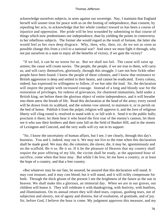acknowledge ourselves subjects, in arms against our sovereign. Nay, I maintain that England herself will sooner treat for peace with us on the footing of independence, than consent, by repealing her acts, to acknowledge that her whole conduct toward us has been a course of injustice and oppression. Her pride will be less wounded by submitting to that course of things which now predestinates our independence, than by yielding the points in controversy to her rebellious subjects. The former she would regard as the result of fortune, the latter she would feel as her own deep disgrace. Why, then, why, then, sir, do we not as soon as possible change this from a civil to a national war? And since we must fight it through, why not put ourselves in a state to enjoy all the benefits of victory, if we gain the victory?

 "If we fail, it can be no worse for us. But we shall not fail. The cause will raise up armies; the cause will create navies. The people, the people, if we are true to them, will carry us, and will carry themselves, gloriously, through this struggle. I care not how fickle other people have been found. I know the people of these colonies, and I know that resistance to British aggression is deep and settled in their hearts, and cannot be eradicated. Every colony, indeed, has expressed its willingness to follow, if we but take the lead. Sir, the declaration will inspire the people with increased courage. Instead of a long and bloody war for the restoration of privileges, for redress of grievances, for chartered immunities, held under a British king, set before them the glorious object of entire independence, and it will breathe into them anew the breath of life. Read this declaration at the head of the army; every sword will be drawn from its scabbard, and the solemn vow uttered, to maintain it, or to perish on the bed of honor. Publish it from the pulpit; religion will approve it, and the love of religious liberty will cling round it, resolved to stand with it, or fall with it. Send it to the public halls; proclaim it there; let them hear it who heard the first roar of the enemy's cannon, let them see it who saw their brothers and their sons fall on the field of Bunker Hill, and in the streets of Lexington and Concord, and the very walls will cry out in its support.

 "Sir, I know the uncertainty of human affairs, but I see, I see clearly, through this day's business. You and I, indeed, may rue it. We may not live to the time when this declaration shall be made good. We may die; die colonists; die slaves; die, it may be, ignominiously and on the scaffold. Be it so. Be it so. If it be the pleasure of Heaven that my country shall require the poor offering of my life, the victim shall be ready, at the appointed hour of sacrifice, come when that hour may. But while I do live, let me have a country, or at least the hope of a country, and that a free country.

 «But whatever may be our fate, be assured, be assured that this declaration will stand. It may cost treasure, and it may cost blood; but it will stand, and it will richly compensate for both. Through the thick gloom of the present I see the brightness of the future as the sun in heaven. We shall make this a glorious, an immortal day. When we are in our graves, our children will honor it. They will celebrate it with thanksgiving, with festivity, with bonfires, and illuminations. On its annual return they will shed tears, copious, gushing tears, not of subjection and slavery, not of agony and distress, but of exultation, of gratitude, and of joy. Sir, before God, I believe the hour is come. My judgment approves this measure, and my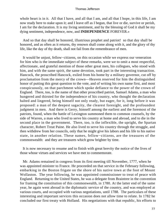whole heart is in it. All that I have, and all that I am, and all that I hope, in this life, I am now ready here to stake upon it; and I leave off as I begun, that live or die, survive or perish, I am for the declaration. It is my living sentiment, and by the blessing of God it shall be my dying sentiment, independence, now, and **INDEPENDENCE** FOREVER.»

 And so that day shall be honored, illustrious prophet and patriot! so that day shall be honored, and as often as it returns, thy renown shall come along with it, and the glory of thy life, like the day of thy death, shall not fail from the remembrance of men.

 It would be unjust, fellow−citizens, on this occasion while we express our veneration for him who is the immediate subject of these remarks, were we to omit a most respectful, affectionate, and grateful mention of those other great men, his collegues, who stood with him, and with the same spirit, the same devotion, took part in the interesting transaction. Hancock, the proscribed Hancock, exiled from his home by a military governor, cut off by proclamation from the mercy of the crown—Heaven reserved for him the distinguished honor of putting this great question to the vote, and of writing his own name first, and most conspicuously, on that parchment which spoke defiance to the power of the crown of England. There, too, is the name of that other proscribed patriot, Samuel Adams, a man who hungered and thirsted for the independence of his country, who thought the declaration halted and lingered, being himself not only ready, but eager, for it, long before it was proposed: a man of the deepest sagacity, the clearest foresight, and the profoundest judgment in men. And there is Gerry, himself among the earliest and the foremost of the patriots, found, when the battle of Lexington summoned them to common counsels, by the side of Warren, a man who lived to serve his country at home and abroad, and to die in the second place in the government. There, too, is the inflexible, the upright, the Spartan character, Robert Treat Paine. He also lived to serve his country through the struggle, and then withdrew from her councils, only that he might give his labors and his life to his native state, in another relation. These names, fellow−citizens, are the treasures of the commonwealth: and they are treasures which grow brighter by time.

 It is now necessary to resume and to finish with great brevity the notice of the lives of those whose virtues and services we have met to commemorate.

 Mr. Adams remained in congress from its first meeting till November, 1777, when he was appointed minister to France. He proceeded on that service in the February following, embarking in the Boston frigate on the shore of his native town at the foot of Mount Wollaston. The year following, he was appointed commissioner to treat of peace with England. Returning to the United States, he was a delegate from Braintree in the convention for framing the constitution of this commonwealth, in 1780. At the latter end of the same year, he again went abroad in the diplomatic service of the country, and was employed at various courts, and occupied with various negotiations, until 1788. The particulars of these interesting and important services this occasion does not allow time to relate. In 1782 he concluded our first treaty with Holland. His negotiations with that republic, his efforts to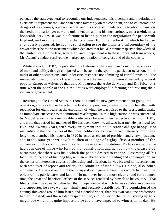persuade the states−general to recognize our independence, his incessant and indefatigable exertions to represent the American cause favorably on the continent, and to counteract the designs of its enemies, open and secret, and his successful undertaking to obtain loans, on the credit of a nation yet new and unknown, are among his most arduous. most useful, most honorable services. It was his fortune to bear a part in the negotiation for peace with England, and in something more than six years from the declaration which he had so strenuously supported, he had the satisfaction to see the minister plenipotentiary of the crown subscribe to the instrument which declared that his «Britannic majesty acknowledged the United States to be free, sovereign, and independent.» In these important transactions, Mr. Adams' conduct received the marked approbation of congress and of the countrty.

 While abroad, in 1787, he published his Defense of the American Constitution; a work of merit and ability, though composed with haste, on the spur of a particular occasion, in the midst of other occupations, and under circumstances not admitting of careful revision. The immediate object of the work was to counteract the weight of opinion advanced by several popular European writers of that day, Mr. Turgct, the Abbe de Mably and Dr. Price, at a time when the people of the United States were employed in forming and revising their system of government.

 Returning to the United States in 1788, he found the new government about going into operation, and was himself elected the first vice−president, a situation which he filled with reputation for eight years, at the expiration of which he was raised to the presidential chair, as immediate successor to the immortal Washington. In this high station he was succeeded by Mr. Jefferson, after a memorable controversy between their respective friends, in 1801; and from that period his manner of life has been known to all who hear me. He has lived for five−and−twenty years, with every enjoyment that could render old age happy. Not inattentive to the occurrences of the times, political cares have not yet materially, or for any long time, disturbed his repose. In 1820 he acted as elector of president and vice− president, and in the same year we saw him, then at the age of eighty−five, a member of the convention of this commonwealth called to revise the constitution. Forty years before, he had been one of those who formed that constitution; and he had now the pleasure of witnessing that there was little which the people desired to change. Possessing all his faculties to the end of his long life, with an unabated love of reading and contemplation, in the center of interesting circles of friendship and affection, he was blessed in his retirement with whatever of repose and felicity the condition of man allows. He had, also, other enjoyments. He saw around him that prosperity and general happiness which had been the object of his public cares and labors. No man ever beheld more clearly, and for a longer time, the great and beneficial effects of the services rendered by himself to his country. That liberty which he so early defended, that independence of which he was so able an advocate and supporter, he saw, we trust, firmly and securely established. The population of the country thickened around him faster, and extended wider, than his own sanguine predictions had anticipated; and the wealth respectability, and power of the nation sprang up to a magnitude which it is quite impossible he could have expected to witness in his day. He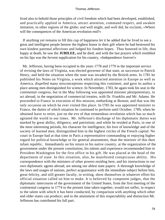lived also to behold those principles of civil freedom which had been developed, established, and practically applied in America, attract attention, command respect, and awaken imitation, in other regions of the globe; and well might, and well did, he exclaim, «Where will the consequences of the American revolution end?»

 If anything yet remains to fill this cup of happiness let it be added that he lived to see a great and intelligent people bestow the highest honor in their gift where he had bestowed his own kindest parental affections and lodged his fondest hopes. Thus honored in life, thus happy at death, he saw the **JUBILEE,** and he died; and with the last prayers which trembled on his lips was the fervent supplication for his country, «Independence forever!»

 Mr. Jefferson, having been occupied in the years 1778 and 1779 in the important service of revising the laws of Virginia, was elected governor of that state, as successor to Patrick Henry, and held the situation when the state was invaded by the British arms. In 1781 he published his Notes on Virginia, a work which attracted attention in Europe as well as America, dispelled many misconceptions respecting this continent, and gave its author a place among men distinguished for science. In November, 1783, he again took his seat in the continental congress, but in the May following was appointed minister plenipotentiary, to act abroad, in the negotiation of commercial treaties, with Dr. Franklin and Mr. Adams. He proceeded to France in execution of this mission, embarking at Boston; and that was the only occasion on which he ever visited this place. In I785 he was appointed minister to France, the duties of which situation he continued to perform until October, 1789, when he obtained leave to retire, just on the eve of that tremendous revolution which has so much agitated the world in our times. Mr. Jefferson's discharge of his diplomatic duties was marked by great ability, diligence, and patriotism; and while he resided at Paris, in one of the most interesting periods, his character for intelligence, his love of knowledge and of the society of learned men, distinguished him in the highest circles of the French capital. No court in Europe had at that time in Paris a representative commanding or enjoying higher regard for political knowledge or for general attainments, than the minister of this then infant republic. Immediately on his return to his native country, at the organization of the government under the present constitution, his talents and experience recommended him to President Washington for the first office in his gift. He was placed at the head of the department of state. In this situation, also, he manifested conspicuous ability. His correspondence with the ministers of other powers residing here, and his instructions to our own diplomatic agents abroad, are among our ablest state papers. A thorough knowledge of the laws and usages of nations, perfect acquaintance with the immediate subject before him, great felicity, and still greater faculty, in writing, show themselves in whatever effort his official situation called on him to make. It is believed by competent judges, that the diplomatic intercourse of the government of the United States, from the first meeting of the continental congress in 1774 to the present time taken together, would not suffer, in respect to the talent with which it has been conducted, by comparison with anything which other and older states can produce; and to the attainment of this respectability and distinction Mr. Jefferson has contributed his full part.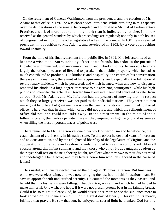On the retirement of General Washington from the presidency, and the election of Mr. Adams to that office in 1797, he was chosen vice−president. While presiding in this capacity over the deliberations of the senate, he compiled and published a Manual of Parliamentary Practice, a work of more labor and more merit than is indicated by its size. It is now received as the general standard by which proceedings are regulated; not only in both houses of congress, but in most of the other legislative bodies in the country. In 1801 he was elected president, in opposition to Mr. Adams, and re−elected in 1805, by a vote approaching toward unanimity.

 From the time of his final retirement from public life, in 1809, Mr. Jefferson lived as became a wise man. Surrounded by affectionate friends, his ardor in the pursuit of knowledge undiminished, with uncommon health and unbroken spirits, he was able to enjoy largely the rational pleasures of life, and to partake in that public prosperity which he had so much contributed to produce. His kindness and hospitality, the charm of his conversation, the ease of his manners, the extent of his acquirements, and, especially, the full store of revolutionary incidents which he possessed, and which he knew when and how to dispense, rendered his abode in a high degree attractive to his admiring countrymen, while his high public and scientific character drew toward him every intelligent and educated traveler from abroad. Both Mr. Adams and Mr. Jefferson had the pleasure of knowing that the respect which they so largely received was not paid to their official stations. They were not men made great by office; but great men, on whom the country for its own benefit had conferred office. There was that in them which office did not give, and which the relinquishment of office did not, and could not, take away. In their retirement, in the midst of their fellow−citizens, themselves private citizens, they enjoyed as high regard and esteem as when filling the most important places of public trust.

 There remained to Mr. Jefferson yet one other work of patriotism and beneficence, the establishment of a university in his native state. To this object he devoted years of incessant and anxious attention, and by the enlightened liberality of the legislature of Virginia, and the cooperation of other able and zealous friends, he lived to see it accomplished. May all success attend this infant seminary; and may those who enjoy its advantages, as often as their eyes shall rest on the neighboring height, recollect what they owe to their disinterested and indefatigable benefactor; and may letters honor him who thus labored in the cause of letters!

 Thus useful, and thus respected, passed the old age of Thomas Jefferson. But time was on its ever−ceaseless wing, and was now bringing the last hour of this illustrious man. He saw its approach with undisturbed serenity. He counted the moments as they passed, and beheld that his last sands were falling. That day, too, was at hand which he had helped to make immortal. One wish, one hope, if it were not presumptuous, beat in his fainting breast. Could it be so might it please God, he would desire once more to see the sun, once more to look abroad on the scene around him on the great day of liberty. Heaven, in its mercy, fulfilled that prayer. He saw that sun, he enjoyed its sacred light he thanked God for this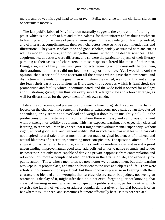mercy, and bowed his aged head to the grave. «Felix, non vitae tantum claritate, sid etiam opportunitate mortis.»

 The last public labor of Mr. Jefferson naturally suggests the expression of the high praise which is due, both to him and to Mr. Adams, for their uniform and zealous attachment to learning, and to the cause of general knowledge. Of the advantages of learning, indeed, and of literary accomplishments, their own characters were striking recommendations and illustrations. They were scholars, ripe and good scholars; widely acquainted with ancient, as well as modern literature, and not altogether uninstructed in the deeper sciences. Their acquirements, doubtless, were different, and so were the particular objects of their literary pursuits; as their tastes and characters, in these respects differed like those of other men. Being, also, men of busy lives, with great objects requiring action constantly before them, their attainments in letters did not become showy or obtrusive. Yet I would hazard the opinion, that, if we could now ascertain all the causes which gave them eminence, and distinction in the midst of the great men with whom they acted, we should find not among the least their early acquisitions in literature, the resources which it furnished, the promptitude and facility which it communicated, and the wide field it opened for analogy and illustration; giving them thus, on every subject, a larger view and a broader range, as well for discussion as for the government of their own conduct.

 Literature sometimes, and pretensions to it much oftener disgusts, by appearing to hang loosely on the character, like something foreign or extraneous, not a part, but an ill−adjusted appendage; or by seeming to overload and weigh it down bv its unsightly bulk, like the productions of bad taste in architecture, where there is messy and cumbrous ornament without strength or solidity of column. This has exposed learning, and especially classical learning, to reproach. Men have seen that it might exist without mental superiority, without vigor, without good taste, and without utility. But in such cases classical learning has only not inspired natural talent, or, at most, it has but made original feebleness of intellect, and natural bluntness of perception, something more conspicuous. The question, after all, if it be a question, is, whether literature, ancient as well as modern, does not assist a good understanding, improve natural good taste, add polished armor to native strength, and render its possessor, not only more capable of deriving private happiness from contemplation and reflection, but more accomplished also for action in the affairs of life, and especially for public action. Those whose memories we now honor were learned men; but their learning was kept in its proper place, and made subservient to the uses and objects of life. Thev were scholars, not common nor superficial; but their scholarship was so in keeping with their character, so blended and inwrought, that careless observers, or bad judges, not seeing an ostentatious display of it, might infer that it did not exist; forgetting, or not knowing, that classical learning in men who act in conspicuous public stations, perform duties which exercise the faculty of writing, or address popular deliberative, or judicial bodies, is often felt where it is little seen, and sometimes felt more effectually because it is not seen at all.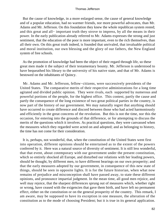But the cause of knowledge, in a more enlarged sense, the cause of general knowledge and of a popular education, had no warmer friends, nor more powerful advocates, than Mr. Adams and Mr. Jefferson. On this foundation they knew the whole republican system rested; and this great and all− important truth they strove to impress, by all the means in their power. In the early publication already referred to Mr. Adams expresses the strong and just sentiment, that the education of the poor is more important, even to the rich themselves, than all their own. On this great truth indeed, is founded that unrivaled, that invaluable political and moral institution, our own blessing and the glory of our fathers, the New England system of free schools.

 As the promotion of knowledge had been the object of their regard through life, so these great men made it the subject of their testamentary bounty. Mr. Jefferson is understood to have bequeathed his library to the university of his native state, and that of Mr. Adams is bestowed on the inhabitants of Quincy.

 Mr. Adams and Mr. Jefferson, fellow−citizens, were successively presidents of the United States. The comparative merits of their respective administrations for a long time agitated and divided public opinion. They were rivals, each supported by numerous and powerful portions of the people, for the highest office. This contest, partly the cause and partly the consequence of the long existence of two great political parties in the country, is now part of the history of our government. We may naturally regret that anything should have occurred to create difference and discord between those who had acted harmoniously and efficiently in the great concerns of the revolution. But this is not the time, nor this the occasion, for entering into the grounds of that difference, or for attempting to discuss the merits of the questions which it involves. As practical questions, they were canvassed when the measures which they regarded were acted on and adopted; and as belonging to history, the time has not come for their consideration.

 It is, perhaps, not wonderful, that, when the constitution of the United States went first into operation, different opinions should be entertained as to the extent of the powers conferred by it. Here was a natural source of diversity of sentiment. It is still less wonderful, that that event, about cotemporary with our government under the present constitution, which so entirely shocked all Europe, and disturbed our relations with her leading powers, should be thought, by different men, to have different bearings on our own prosperity; and that the early measures adopted by our government, in consequence of this new state of things, should be seen in opposite lights. It is for the future historian, when what now remains of prejudice and misconception shall have passed away, to state these different opinions, and pronounce impartial judgment. In the mean time, all good men rejoice, and well may rejoice, that the sharpest differences sprung out of measures which, whether right or wrong, have ceased with the exigencies that gave them birth, and have left no permanent effect, either on the constitution or on the general prosperity of the country. This remark, I am aware, may be supposed to have its exception in one measure, the alteration of the constitution as to the mode of choosing President; but it is true in its general application.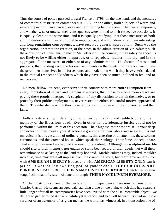Thus the course of policv pursued toward France in 1798, on the one hand, and the measures of commercial restriction commenced in 1807, on the other, both subjects of warm and severe opposition, have passed away and left nothing behind them. They were temporary, and whether wise or unwise, their consequences were limited to their respective occasions. It is equally clear, at the same time, and it is equally gratifying, that those measures of both administrations which were of durable importance, and which drew after them interesting and long remaining consequences, have received general approbation. Such was the organization, or rather the creation, of the navy, in the administration of Mr. Adams; such the acquisition of Louisiana, in that of Mr. Jefferson. The country, it may safely be added, is not likely to be willing either to approve, or to reprobate, indiscriminately, and in the aggregate, all the measures of either, or of any, administration. The dictate of reason and justice is, that, holding each one his own sentiments on the points in difference, we imitate the great men themselves in the forbearance and moderation which they have cherished, and in the mutual respect and kindness which they have been so much inclined to feel and to reciprocate.

 No men, fellow−citizens, ever served their country with more entire exemption from every imputation of selfish and mercenary motives, than those to whose memory we are paying these proofs of respect. A suspicion of any disposition to enrich themselves, or to profit by their public employments, never rested on either. No sordid motive approached them. The inheritance which they have left to their children is of their character and their fame.

 Fellow−citizens, I will detain you no longer by this faint and feeble tribute to the memory of the illustrious dead. Even in other hands, adequate justice could not be performed, within the limits of this occasion. Their highest, their best praise, is your deep conviction of their merits, your affectionate gratitude for their labors and services. It is not my voice, it is this cessation of ordinary pursuits, this arresting of all attention, these solemn ceremonies, and this crowded house, which speak their eulogy. Their fame, indeed, is safe. That is now treasured up beyond the reach of accident. Although no sculptured marble should rise to their memory, nor engraved stone bear record of their deeds, yet will their remembrance be as lasting as the land they honored. Marble columns may, indeed, moulder into dust, time may erase all impress from the crumbling stone, but their fame remains; for with **AMERICAN LIBERTY** it rose, and with **AMERICAN LIBERTY ONLY** can it perish. It was the last swelling peal of yonder choir, **THEIR BODIES ARE BURIED IN PEACE,** BUT **THEIR NAME LIVETH EVERMORE.** I catch that solemn song, I echo that lofty strain of funeral triumph, **THEIR NAME LIVETH EVERMORE.**

 Of the illustrious signers of the declaration of independence there now remains only Charles Carroll. He seems an aged oak, standing alone on the plain, which time has spared a little longer after all its cotemporaries have been leveled with the dust. Venerable object! we delight to gather round its trunk, while yet it stands, and to dwell beneath its shadow. Sole survivor of an assembly of as great men as the world has witnessed, in a transaction one of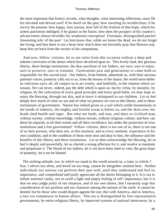the most important that history records, what thoughts, what interesting reflections, must fill his elevated and devout soul! If he dwell on the past, how touching its recollections; if he survey the present, how happy, how joyous, how full of the fruition of that hope, which his ardent patriotism indulged; if he glance at the future, how does the prospect of his country's advancement almost bewilder his weakened conception! Fortunate, distinguished patriot! Interesting relic of the past! Let him know that, while we honor the dead, we do not forget the living; and that there is not a heart here which does not fervently pray that Heaven may keep him yet back from the society of his companions.

 And now, fellow−citizens, let us not retire from this occasion without a deep and solemn conviction of the duties which have devolved upon us. This lovely land, this glorious liberty, these benign institutions, the dear purchase of our fathers, are ours; ours to enjoy, ours to preserve, ours to transmit. Generations past and generations to come hold us responsible for this sacred trust. Our fathers, from behind, admonish us, with their anxious paternal voices; posterity calls out to us, from the bosom of the future; the world turns hither its solicitous eyes; all, all conjure us to act wisely, and faithfully, in the relation which we sustain. We can never, indeed, pay the debt which is upon us; but by virtue, by morality, by religion, by the cultivation of every good principle and every good habit, we may hope to enjoy the blessing, through our day, and to leave it unimpared to our children. Let us feel deeply how much of what we are and of what we possess we owe to this liberty, and to these institutions of government. Nature has indeed given us a soil which yields bounteously to the hands of industry, the mighty and fruitful ocean is before us, and the skies over our heads shed health and vigor. But what are lands, and seas, and skies to civilized man, without society, without knowledge, without morals, without religious culture; and how can these be enjoyed, in all their extent and all their excellence, but under the protection of wise institutions and a free government? Fellow−citizens, there is not one of us, there is not one of us here present, who does not, at this moment, and at every moment, experience in his own condition, and in the condition of those most near and dear to him, the influence and the benefits of this liberty and these institutions. Let us then acknowledge the blessing, let us feel it deeply and powerfully, let us cherish a strong affection for it, and resolve to maintain and perpetuate it. The blood of our fathers, let it not have been shed in vain; the great hope of posterity, let it not be blasted.

 The striking attitude, too, in which we stand to the world around us, a topic to which, I fear, I advert too often, and dwell on too long, cannot be altogether omitted here. Neither individuals nor nations can perform their part well, until they understand and feel its importance, and comprehend and justly appreciate all the duties belonging to it. It is not to inflate national vanity, nor to swell a light and empty feeling of self−importance, but it is that we may judge justly of our situation, and of our own duties, that I earnestly urge this consideration of our position and our character among the nations of the earth. It cannot be denied, but by those who would dispute against the sun, that with America, and in America, a new era commences in human affairs. This era is distinguished by free representative governments, by entire religious liberty, by improved systems of national intercourse, by a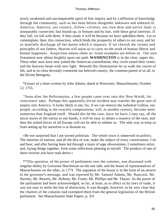newly awakened and unconquerable spirit of free inquiry and by a diffusion of knowledge through the community, such as has been before altogether unknown and unheard of. America, America, our country, fellow−citizens, our own dear and native land, is inseparably connected, fast bound up, in fortune and by fate, with these great interests. If they fall, we fall with them; if they stand, it will be because we have upholden them. Let us contemplate, then, this connection, which binds the prosperity of others to our own; and let us manfully discharge all the duties which it imposes. If we cherish the virtues and principles of our fathers, Heaven will assist us to carry on the work of human liberty and human happiness. Auspicious omens cheer us. Great examples are before us. Our own firmament now shines brightly upon our path. **WASHINGTON** is in the clear, upper sky. These other stars have now joined the American constellation; they circle round their center, and the heavens beam with new light. Beneath this illumination let us walk the course of life, and at its close devoutly commend our beloved country, the common parent of us all, to the Divine Benignity.

 \*Extract of a letter written by John Adams, dated at Worcester, Massachusetts, October 12, 1755.

 "Soon after the Reformation, a few people came over into this New World, for conscience' sake. Perhaps this apparently trivial incident may transfer the great seat of empire into America. It looks likely to me; for, if we can remove the turbulent Gallios, our people, according to the exactest computations, will, in another century, become more numerous than England itself. Should this be the case, since we have, I may say, all the naval stores of the nation in our hands, it will be easy to obtain a mastery of the seas; and then the united forces of all Europe will not be able to subdue us. The only way to keep us from setting up for ourselves is to disunite us.

 «Be not surprised that I am turned polititian. The whole town is immersed in politics. The interests of nations, and all the dira of war, make the subject of every conversation. I sit and hear, and after having been led through a maze of sage obversations, I sometimes retire, and, laying things together, form some reflections pleasing to myself. The produce of one of these reveries you have read above.»

 \*\*This question. of the power of parliament over the colonies, was discussed with singular ability by Governor Hutchinson on the one side, and the house of representatives of Massachusetts on the other, in 1773. The argument of the house is in the form of an answer to the governor's message, and was reported by Mr. Samuel Adams, Mr. Hancock, Mr. Hawley, Mr. Bowers, Mr. Hobson, Mr. Foster, Mr. Phillips and Mr. Thayer. As the power of the parliament had been acknowledged, so far, at least, as to affect us by laws of trade, it was not easy to settle the line of distinction. It was thought, however, to be very clear that the charters of the colonies had exempted them from the general legislation of the British parliament. See Massachusetts State Papers, p. 351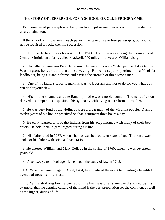# THE **STORY OF JEFFERSON.** FOR **A SCHOOL OR CLUB PROGRAMME.**

 Each numbered paragraph is to be given to a pupil or member to read, or to recite in a clear, distinct tone.

 If the school or club is small, each person may take three or four paragraphs, but should not be required to recite them in succession.

 1. Thomas Jefferson was born April 13, 1743. His home was among the mountains of Central Virginia on a farm, called Shadwell, 150 miles northwest of Williamsburg.

 2. His father's name was Peter Jefferson. His ancestors were Welsh people. Like George Washington, he learned the art of surveying. He was a superb specimen of a Virginia landholder, being a giant in frame, and having the strength of three strong men.

 3. One of his father's favorite maxims was, «Never ask another to do for you what you can do for yourself.»

 4. His mother's name was Jane Randolph. She was a noble woman. Thomas Jefferson derived his temper, his disposition, his sympathy with living nature from his mother.

 5. He was very fond of the violin, as were a great many of the Virginia people. During twelve years of his life, he practiced on that instrument three hours a day.

 6. He early learned to love the Indians from his acquaintance with many of their best chiefs. He held them in great regard during his life.

 7. His father died in 1757, when Thomas was but fourteen years of age. The son always spoke of his father with pride and veneration.

 8. He entered William and Mary College in the spring of 1760, when he was seventeen years old.

9. After two years of college life he began the study of law in 1763.

 1O. When he came of age in April, 1764, he signalized the event by planting a beautiful avenue of trees near his house.

 11. While studying law he carried on the business of a farmer, and showed by his example, that the genuine culture of the mind is the best preparation for the common, as well as the higher, duties of life.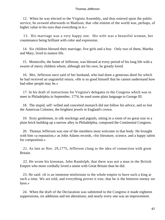12. When he was elected to the Virginia Assembly, and thus entered upon the public service, he avowed afterwards to Madison, that «the esteem of the world was, perhaps, of higher value in his eyes than everything in it.»

 13. His marriage was a very happy one. His wife was a beautiful woman, her countenance being brilliant with color and expression.

 14. Six children blessed their marriage, five girls and a boy. Only two of them, Martha and Mary, lived to mature life.

 15. Monticello, the home of Jefferson, was blessed at every period of his long life with a swarm of merry children whom, although not his own, he greatly loved.

 16. Mrs. Jefferson once said of her husband, who had done a generous deed for which he had received an ungrateful return, «He is so good himself that he cannot understand how bad other people may be.»

 17. In his draft of instructions for Virginia's delegates to the Congress which was to meet in Philadelphia in September, 1774, he used some plain language to George III.

 18. The stupid, self−willed and conceited monarch did not follow his advice, and so lost the American Colonies, the brightest jewels in England's crown.

 19. Sixty gentlemen, in silk stockings and pigtails, sitting in a room of no great size in a plain brick building up a narrow alley in Philadelphia, composed the Continental Congress.

 20. Thomas Jefferson was one of the members most welcome in that body. He brought with him «a reputation,» as John Adams records, «for literature, science, and a happy talent for composition.»

 21. As late as Nov. 29,1775, Jefferson clung to the idea of connection with great Britain.

 22. He wrote his kinsman, John Randolph, that there was not a man in the British Empire who more cordially loved a union with Great Britain than he did.

 23. He said: «It is an immense misfortune to the whole empire to have such a king at such a time. We are told, and everything proves it true, that he is the bitterest enemy we have.»

 24. When the draft of the Declaration was submitted to the Congress it made eighteen suppressions, six additions and ten alterations; and nearly every one was an improvement.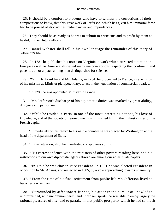25. It should be a comfort to students who have to witness the corrections of their compositions to know, that this great work of Jefferson, which has given him immortal fame had to be pruned of its crudities, redundancies and imprudences.

 26. They should be as ready as he was to submit to criticisms and to profit by them as he did, in their future efforts.

 27. Daniel Webster shall tell in his own language the remainder of this story of Jefferson's life.

 28. "In 1781 he published his notes on Virginia, a work which attracted attention in Europe as well as America, dispelled many misconceptions respecting this continent, and gave its author a place among men distinguished for science.

 29. "With Dr. Franklin and Mr. Adams, in 1784, he proceeded to France, in execution of his mission as Minister plenipotentiary, to act in the negotiation of commercial treaties.

30. "In 1785 he was appointed Minister to France.

 31. "Mr. Jefferson's discharge of his diplomatic duties was marked by great ability, diligence and patriotism.

 32. "While he resided in Paris, in one of the most interesting periods, his love of knowledge, and of the society of learned men, distinguished him in the highest circles of the French capital.

 33. "Immediately on his return to his native country he was placed by Washington at the head of the department of State.

34. "In this situation, also, he manifested conspicuous ability.

 35. "His correspondence with the ministers of other powers residing here, and his instructions to our own diplomatic agents abroad are among our ablest State papers.

 36. "In 1797 he was chosen Vice President. In 1801 he was elected President in opposition to Mr. Adams, and reelected in 1805, by a vote approaching towards unanimity.

 37. "From the time of his final retirement from public life Mr. Jefferson lived as becomes a wise man.

 38. "Surrounded by affectionate friends, his ardor in the pursuit of knowledge undiminished, with uncommon health and unbroken spirits, he was able to enjoy largely the rational pleasures of life, and to partake in that public prosperity which he had so much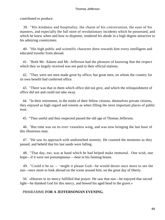contributed to produce.

 39. "His kindness and hospitality, the charm of his conversation, the ease of his manners, and especially the full store of revolutionary incidents which he possessed, and which he knew when and how to dispense, rendered his abode in a high degree attractive to his admiring countrymen.

 40. "His high public and scientific character drew towards him every intelligent and educated traveler from abroad.

 41. "Both Mr. Adams and Mr. Jefferson had the pleasure of knowing that the respect which they so largely received was not paid to their official stations.

 42. "They were not men made great by office; but great men, on whom the country for its own benefit had conferred office.

 43. "There was that in them which office did not give, and which the relinquishment of office did not and could not take away.

 44. "In their retirement, in the midst of their fellow citizens, themselves private citizens, they enjoyed as high regard and esteem as when filling the most important places of public trust.

45. "Thus useful and thus respected passed the old age of Thomas Jefferson.

 46. "But time was on its ever−ceaseless wing, and was now bringing the last hour of this illustrious man.

 47. "He saw its approach with undisturbed serenity. He counted the moments as they passed, and beheld that his last sands were falling.

 48. "That day, too, was at hand which he had helped make immortal. One wish, one hope—if it were not presumptuous —beat in his fainting breast.

 49. "Could it be so – −might it please God—he would desire once more to see the sun—once more to look abroad on the scene around him, on the great day of liberty.

 50. «Heaven in its mercy fulfilled that prayer. He saw that sun—he enjoyed that sacred light—he thanked God for this mercy, and bowed his aged head to the grave.»

# PR06RAMME **FOR A JEFFERSONIAN EVENING.**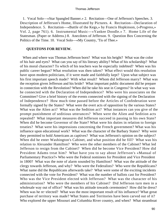1. Vocal Solo—«Star Spangled Banner.» 2. Recitation—One of Jefferson's Speeches. 3. Description of Jefferson's Home, Illustrated by Pictures. 4. Recitation—Declaration of Independence. 5. Recitation—«Battle of the Kegs,» by Francis Hopkinson, («Progress,» Vol. 2, page 761). 6. Instrumental Music—«Yankee Doodle.» 7. Home Life of the Statesman. (Paper or Address.) 8. Anecdotes of Jefferson. 9. Question Box Concerning the Politics of the Time. 10. Vocal Solo—«My Country, 'Tis of Thee.»

# **QUESTONS FOR REVIEW.**

When and where was Thomas Jefferson born? What was his height? What was the color of his hair and eyes? What can you say of his literary ability? What of his scholarship? What of his moral character? To which of his teachers was he especially indebted? When was his public career begun? What resolution was then taken? What effect would this resolution have upon modern politicians, if it were made and faithfully kept? Upon what subject was his first important speech made? With what result? Whom did Jefferson marry? What was the reception given Jefferson and his bride? What important public document did he prepare in connection with the Revolution? When did he take his seat in Congress? In what way was he connected with the Declaration of Independence? Who were his associates on the Committee? Give a brief history of the events connected with the signing of the Declaration of Independence? How much time passed before the Articles of Confederation were formally signed by the States? What were the overt acts of opposition by the various States? What was the Alien act? What was the Sedition act? What instances can you give of the prompt punishment of seditious utterances? When were the Alien and Sedition acts repealed? What important measures did Jefferson succeed in passing in his own State? When did he become Governor of the State? What were his duties in relation to foreign treaties? What were his impressions concerning the French government? What was his influence upon educational work? What was the character of the Barbary States? Why were they permitted to hold Americans as captives? What was Jefferson's opinion on the subject? When did he enter Washington's Cabinet, and what position did he fill? What was his relation to Alexander Hamilton? Who were the other members of the Cabinet? What led Jefferson to resign from the Cabinet? When did he become Vice President? How did President Adams treat him? What have you to say about Jefferson's «Manual of Parliamentary Practice?» Who were the Federal nominees for President and Vice President in 1800? What was the note of alarm sounded by Hamilton? What was the attitude of the clergy towards Jefferson, and why? Who were the Federalists? Who were the Republicans? What name did the Republicans afterwards take? What were some of the exciting incidents connected with the vote for President? What was the number of ballots cast for President? Who was the Vice President elected with Jefferson? What was the character of his administration? Who were the members of his Cabinet? Did Jefferson turn men in a wholesale way out of office? What was his attitude towards ceremonies? How did he dress? When was he re−elected? What was the most important result of his influence? What great purchase of territory was made? What States and Territories have been carved out of it? Who explored the upper Missouri and Columbia River country, and when? What steamboat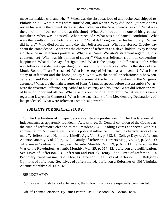made her maiden trip, and when? When was the first boat load of anthracite coal shipped to Philadelphia? What pirates were snuffed out, and when? Why did John Quincy Adams resign his seat in the United States Senate? What was the Non−Intercourse act? What was the condition of our commerce at this time? What Act proved to be one of his greatest mistakes? When was it passed? When repealed? What was his financial condition? What were the results of his efforts for education? What did Congress pay for his library? When did he die? Who died on the same day that Jefferson did? What did Horace Greeley say about the coincidence? What was the character of Jefferson as a slave−holder? Why is there a difference in Jefferson's portraits? What was Daniel Webster's statement regarding, his countenance? What was his opinion of slavery? What was Jefferson's opinion concerning happiness? What did he say of resignations? What is the epitaph on Jefferson's tomb? What was Jefferson's statement regarding promises for the Presidency? What is the story of the Mould Board of Least Resistance? What is the story of Jefferson as an inventor? What is the story of Jefferson and the horse jockey? What was the peculiar relationship between Jefferson and Patrick Henry? Who were some of the brilliant members of the Virginia assembly? What are the main features of Henry's famous speech before that assembly? What were the treasures Jefferson bequeathed to his country and his State? What did Jefferson say of titles of honor and office? What was his opinion of a third term? What were his views regarding lawyers in Congress? What is the true history of the Mecklenburg Declarations of lndependence? What were Jefferson's oratorical powers?

# **SUBJECTS FOR SPECIAL STUDY.**

 1. The Declaration of Independence as a literary production. 2. The Declaration of Independence as apparently founded in Acts xvii, 26. 3. General condition of the Country at the time of Jefferson's election to the Presidency. 4. Leading events connected with his administration. 5. General results of his political influence. 6. Leading characteristics of the man. 7. Jefferson and Hamilton. Littell's Age, Vol. 81, p. 613. 8. College Days of Jefferson. Atlantic Monthly, Vol. 29, p, 16. 9. Family of Jefferson. Harpers Mag., Vol. 43, p. 366. 1O. Jefferson in Continental Congress. Atlantic Monthly, Vol. 29, p. 676. 11. Jefferson in the War of the Revolution. Atlantic Monthly, Vol. 29, p. 517. 12. Jefferson and nullification. See Lives of Jefferson. 13. Jefferson and Patrick Henry. See Lives of Jefferson.. 14. Pecuniary Embarrassments of Thomas Jefferson. See Lives of Jefferson. 15. Religious Opinions of Jefferson. See Lives of Jefferson. 16. Jefferson a Reformer of Old Virginia. Atlantic Monthly Vol 30, p. 32

# BlBLI0GRAPHY.

For those who wish to read extensively, the following works are especially commended:

Life of Thomas Jefferson. By James Parton. Jas. R. Osgood Co., Boston, 1874.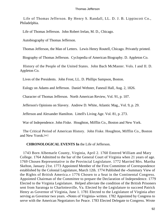Life of Thomas Jefferson. By Henry S. Randall, LL. D. J. B. Lippincott Co., Philadelphia.

Life of Thomas Jefferson. John Robert Irelan, M. D., Chicago.

Autobiography of Thomas Jefferson.

Thomas Jefferson, the Man of Letters. Lewis Henry Routell, Chicago. Privately printed.

Biography of Thomas Jefferson. Cyclopedia of American Biography. D. Appleton Co.

 History of the People of the United States. John Bach McMaster. Vols. I and II. D. Appleton Co.

Lives of the Presidents. John Frost, LL. D. Phillips Sampson, Boston.

Eulogy on Adams and Jefferson. Daniel Webster, Faneuil Hall, Aug. 2, 1826.

Character of Thomas Jefferson. North American Review, Vol. 91, p. 107.

Jefferson's Opinions on Slavery. Andrew D. White, Atlantic Mag., Vol. 9, p. 29.

Jefferson and Alexander Hamilton. Littell's Living Age. Vol. 81, p. 273.

War of Independence. John Fiske. Houghton, Mifflin Co., Boston and New York.

 The Critical Period of American History. John Fiske. Houghton, Mifflin Co., Boston and New Yorok.[sic]

# **CHRONOLOGICAL EVENTS In** the Life of Jefferson.

 1743 Born Albemarle County, Virginia, April 2. 1760 Entered William and Mary College. 1764 Admitted to the bar of the General Court of Virginia when 21 years of age. 1769 Chosen Representative in the Provincial Legislature. 1772 Married Mrs. Martha Skelton, January 21st. 1773 Appointed Member of the First Committee of Correspondence established by the Colonial Legislature, March 12th. 1774 Published the «Summary View of the Rights of British America.» 1776 Chosen to a Seat in the Continental Congress. Appointed Chairman of the Committee to prepare the Declaration of Independence. 1779 Elected to the Virginia Legislature. Helped alleviate the condition of the British Prisoners sent from Saratoga to Charlottesville, Va. Elected by the Legislature to succeed Patrick Henry as Governor of Virginia, June 1. 1781 Elected to the Legislature of Virginia after serving as Governor two years. «Notes of Virginia» written. 1782 Appointed by Congress to serve with the American Negotiators for Peace. 1783 Elected Delegate to Congress. Wrote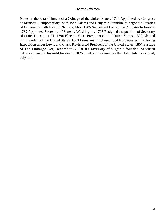Notes on the Establishment of a Coinage of the United States. 1784 Appointed by Congress as Minister Plenipotentiary, with John Adams and Benjamin Franklin, to negotiate Treaties of Commerce with Foreign Nations, May. 1785 Succeeded Franklin as Minister to France. 1789 Appointed Secretary of State by Washington. 1793 Resigned the position of Secretary of State, December 31. 1796 Elected Vice−President of the United States. 1800 Eletced [sic] President of the Untied States. 1803 Louisiana Purchase. 1804 Northwestern Exploring Expedition under Lewis and Clark. Re−Elected President of the United States. 1807 Passage of The Embargo Act, December 22. 1818 University of Virginia founded, of which Jefferson was Rector until his death. 1826 Died on the same day that John Adams expired, July 4th.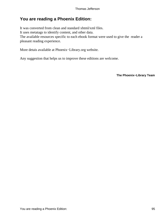# **You are reading a Phoenix Edition:**

It was converted from clean and standard xhtml/xml files. It uses metatags to identify content, and other data. The available resources specific to each ebook format were used to give the reader a pleasant reading experience.

More detais available at Phoenix−Library.org website.

Any suggestion that helps us to improve these editions are welcome.

**The Phoenix−Library Team**